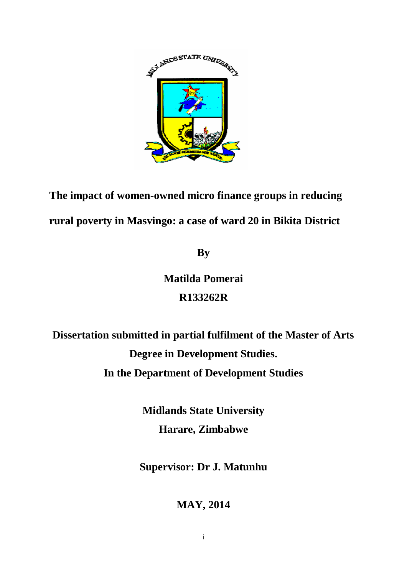

**The impact of women-owned micro finance groups in reducing rural poverty in Masvingo: a case of ward 20 in Bikita District** 

**By**

# **Matilda Pomerai R133262R**

**Dissertation submitted in partial fulfilment of the Master of Arts Degree in Development Studies. In the Department of Development Studies**

> **Midlands State University Harare, Zimbabwe**

**Supervisor: Dr J. Matunhu**

**MAY, 2014**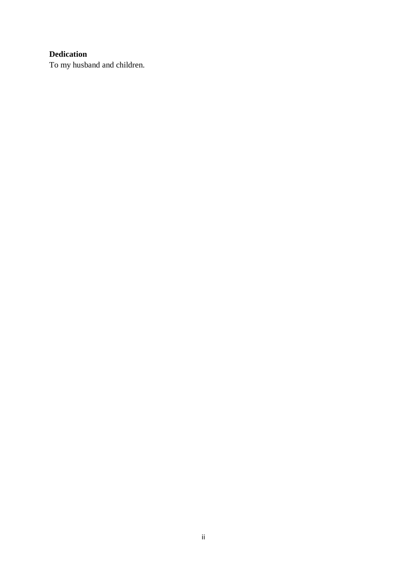# **Dedication**

To my husband and children.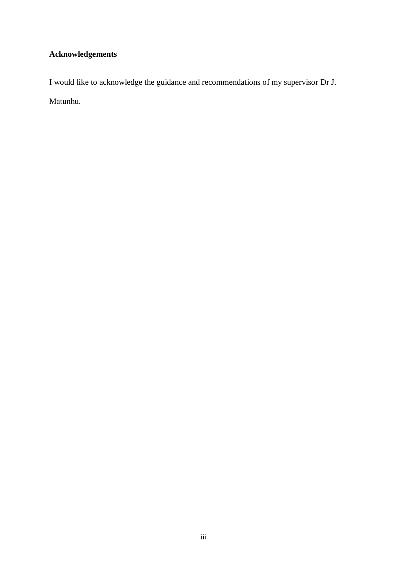# **Acknowledgements**

I would like to acknowledge the guidance and recommendations of my supervisor Dr J. Matunhu.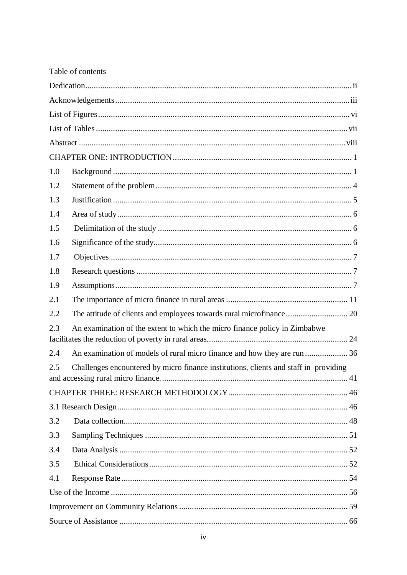|     | Table of contents                                                                    |  |
|-----|--------------------------------------------------------------------------------------|--|
|     |                                                                                      |  |
|     |                                                                                      |  |
|     |                                                                                      |  |
|     |                                                                                      |  |
|     |                                                                                      |  |
|     |                                                                                      |  |
| 1.0 |                                                                                      |  |
| 1.2 |                                                                                      |  |
| 1.3 |                                                                                      |  |
| 1.4 |                                                                                      |  |
| 1.5 |                                                                                      |  |
| 1.6 |                                                                                      |  |
| 1.7 |                                                                                      |  |
| 1.8 |                                                                                      |  |
| 1.9 |                                                                                      |  |
| 2.1 |                                                                                      |  |
| 2.2 | The attitude of clients and employees towards rural microfinance 20                  |  |
| 2.3 | An examination of the extent to which the micro finance policy in Zimbabwe           |  |
| 2.4 |                                                                                      |  |
| 2.5 | Challenges encountered by micro finance institutions, clients and staff in providing |  |
|     |                                                                                      |  |
|     |                                                                                      |  |
|     |                                                                                      |  |
| 3.2 |                                                                                      |  |
| 3.3 |                                                                                      |  |
| 3.4 |                                                                                      |  |
| 3.5 |                                                                                      |  |
| 4.1 |                                                                                      |  |
|     |                                                                                      |  |
|     |                                                                                      |  |
|     |                                                                                      |  |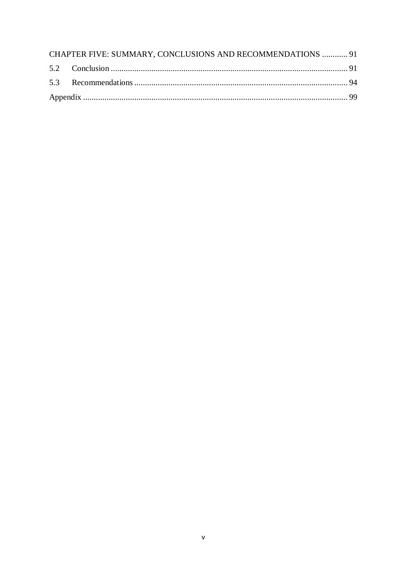| CHAPTER FIVE: SUMMARY, CONCLUSIONS AND RECOMMENDATIONS  91 |  |
|------------------------------------------------------------|--|
|                                                            |  |
|                                                            |  |
|                                                            |  |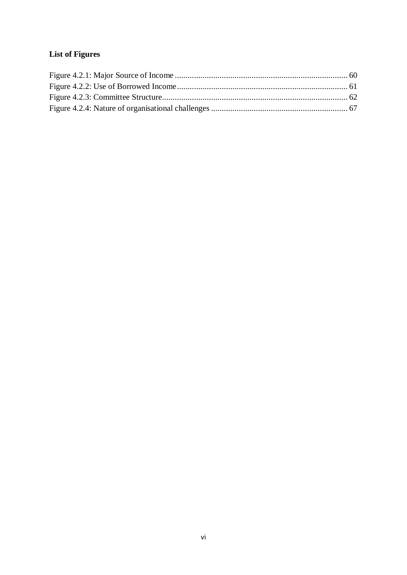# **List of Figures**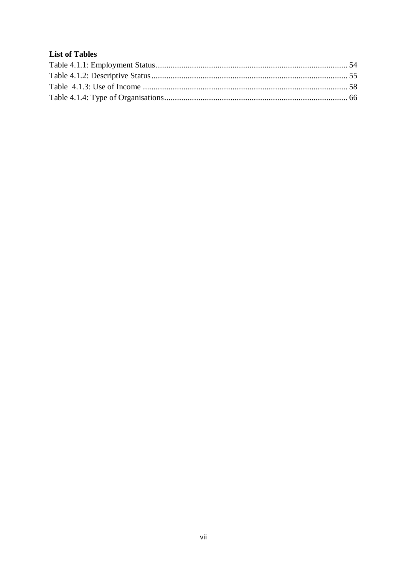# **List of Tables**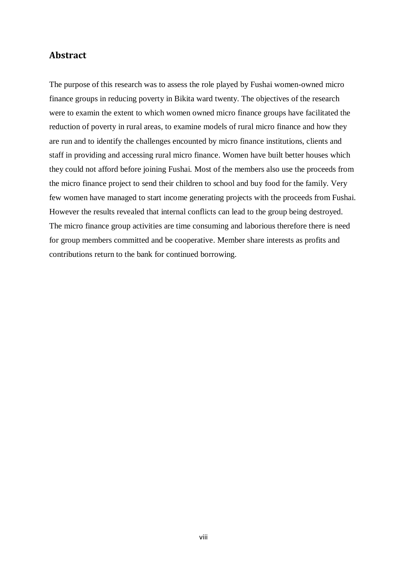# **Abstract**

The purpose of this research was to assess the role played by Fushai women-owned micro finance groups in reducing poverty in Bikita ward twenty. The objectives of the research were to examin the extent to which women owned micro finance groups have facilitated the reduction of poverty in rural areas, to examine models of rural micro finance and how they are run and to identify the challenges encounted by micro finance institutions, clients and staff in providing and accessing rural micro finance. Women have built better houses which they could not afford before joining Fushai. Most of the members also use the proceeds from the micro finance project to send their children to school and buy food for the family. Very few women have managed to start income generating projects with the proceeds from Fushai. However the results revealed that internal conflicts can lead to the group being destroyed. The micro finance group activities are time consuming and laborious therefore there is need for group members committed and be cooperative. Member share interests as profits and contributions return to the bank for continued borrowing.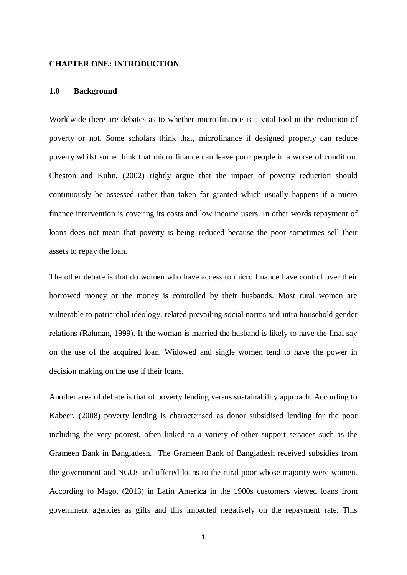### **CHAPTER ONE: INTRODUCTION**

#### **1.0 Background**

Worldwide there are debates as to whether micro finance is a vital tool in the reduction of poverty or not. Some scholars think that, microfinance if designed properly can reduce poverty whilst some think that micro finance can leave poor people in a worse of condition. Cheston and Kuhn, (2002) rightly argue that the impact of poverty reduction should continuously be assessed rather than taken for granted which usually happens if a micro finance intervention is covering its costs and low income users. In other words repayment of loans does not mean that poverty is being reduced because the poor sometimes sell their assets to repay the loan.

The other debate is that do women who have access to micro finance have control over their borrowed money or the money is controlled by their husbands. Most rural women are vulnerable to patriarchal ideology, related prevailing social norms and intra household gender relations (Rahman, 1999). If the woman is married the husband is likely to have the final say on the use of the acquired loan. Widowed and single women tend to have the power in decision making on the use if their loans.

Another area of debate is that of poverty lending versus sustainability approach. According to Kabeer, (2008) poverty lending is characterised as donor subsidised lending for the poor including the very poorest, often linked to a variety of other support services such as the Grameen Bank in Bangladesh. The Grameen Bank of Bangladesh received subsidies from the government and NGOs and offered loans to the rural poor whose majority were women. According to Mago, (2013) in Latin America in the 1900s customers viewed loans from government agencies as gifts and this impacted negatively on the repayment rate. This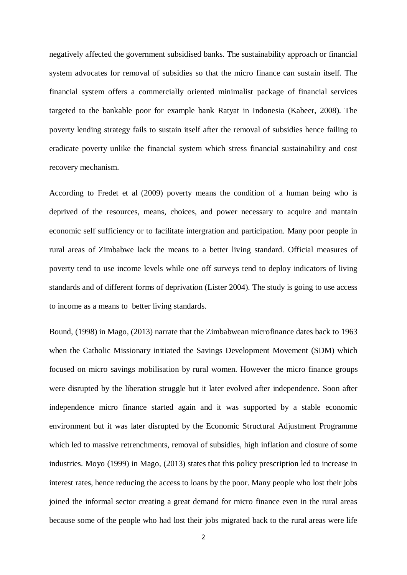negatively affected the government subsidised banks. The sustainability approach or financial system advocates for removal of subsidies so that the micro finance can sustain itself. The financial system offers a commercially oriented minimalist package of financial services targeted to the bankable poor for example bank Ratyat in Indonesia (Kabeer, 2008). The poverty lending strategy fails to sustain itself after the removal of subsidies hence failing to eradicate poverty unlike the financial system which stress financial sustainability and cost recovery mechanism.

According to Fredet et al (2009) poverty means the condition of a human being who is deprived of the resources, means, choices, and power necessary to acquire and mantain economic self sufficiency or to facilitate intergration and participation. Many poor people in rural areas of Zimbabwe lack the means to a better living standard. Official measures of poverty tend to use income levels while one off surveys tend to deploy indicators of living standards and of different forms of deprivation (Lister 2004). The study is going to use access to income as a means to better living standards.

Bound, (1998) in Mago, (2013) narrate that the Zimbabwean microfinance dates back to 1963 when the Catholic Missionary initiated the Savings Development Movement (SDM) which focused on micro savings mobilisation by rural women. However the micro finance groups were disrupted by the liberation struggle but it later evolved after independence. Soon after independence micro finance started again and it was supported by a stable economic environment but it was later disrupted by the Economic Structural Adjustment Programme which led to massive retrenchments, removal of subsidies, high inflation and closure of some industries. Moyo (1999) in Mago, (2013) states that this policy prescription led to increase in interest rates, hence reducing the access to loans by the poor. Many people who lost their jobs joined the informal sector creating a great demand for micro finance even in the rural areas because some of the people who had lost their jobs migrated back to the rural areas were life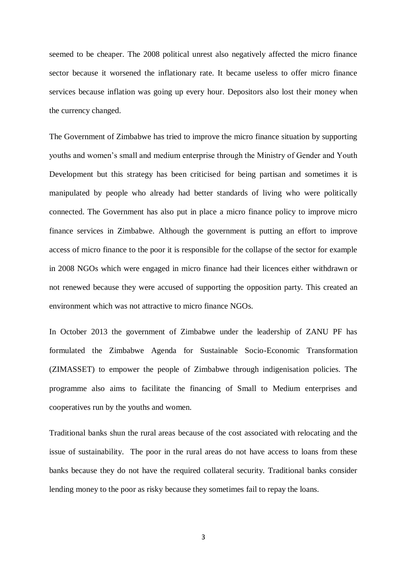seemed to be cheaper. The 2008 political unrest also negatively affected the micro finance sector because it worsened the inflationary rate. It became useless to offer micro finance services because inflation was going up every hour. Depositors also lost their money when the currency changed.

The Government of Zimbabwe has tried to improve the micro finance situation by supporting youths and women's small and medium enterprise through the Ministry of Gender and Youth Development but this strategy has been criticised for being partisan and sometimes it is manipulated by people who already had better standards of living who were politically connected. The Government has also put in place a micro finance policy to improve micro finance services in Zimbabwe. Although the government is putting an effort to improve access of micro finance to the poor it is responsible for the collapse of the sector for example in 2008 NGOs which were engaged in micro finance had their licences either withdrawn or not renewed because they were accused of supporting the opposition party. This created an environment which was not attractive to micro finance NGOs.

In October 2013 the government of Zimbabwe under the leadership of ZANU PF has formulated the Zimbabwe Agenda for Sustainable Socio-Economic Transformation (ZIMASSET) to empower the people of Zimbabwe through indigenisation policies. The programme also aims to facilitate the financing of Small to Medium enterprises and cooperatives run by the youths and women.

Traditional banks shun the rural areas because of the cost associated with relocating and the issue of sustainability. The poor in the rural areas do not have access to loans from these banks because they do not have the required collateral security. Traditional banks consider lending money to the poor as risky because they sometimes fail to repay the loans.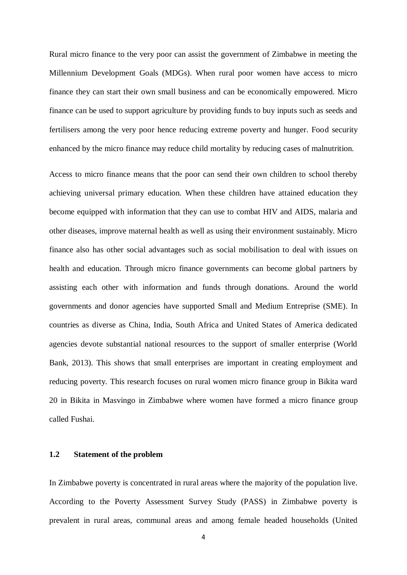Rural micro finance to the very poor can assist the government of Zimbabwe in meeting the Millennium Development Goals (MDGs). When rural poor women have access to micro finance they can start their own small business and can be economically empowered. Micro finance can be used to support agriculture by providing funds to buy inputs such as seeds and fertilisers among the very poor hence reducing extreme poverty and hunger. Food security enhanced by the micro finance may reduce child mortality by reducing cases of malnutrition.

Access to micro finance means that the poor can send their own children to school thereby achieving universal primary education. When these children have attained education they become equipped with information that they can use to combat HIV and AIDS, malaria and other diseases, improve maternal health as well as using their environment sustainably. Micro finance also has other social advantages such as social mobilisation to deal with issues on health and education. Through micro finance governments can become global partners by assisting each other with information and funds through donations. Around the world governments and donor agencies have supported Small and Medium Entreprise (SME). In countries as diverse as China, India, South Africa and United States of America dedicated agencies devote substantial national resources to the support of smaller enterprise (World Bank, 2013). This shows that small enterprises are important in creating employment and reducing poverty. This research focuses on rural women micro finance group in Bikita ward 20 in Bikita in Masvingo in Zimbabwe where women have formed a micro finance group called Fushai.

### **1.2 Statement of the problem**

In Zimbabwe poverty is concentrated in rural areas where the majority of the population live. According to the Poverty Assessment Survey Study (PASS) in Zimbabwe poverty is prevalent in rural areas, communal areas and among female headed households (United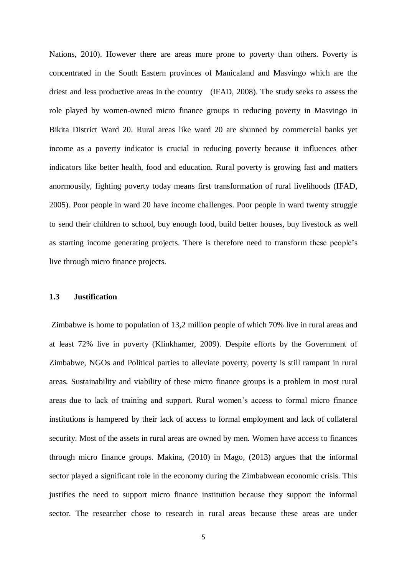Nations, 2010). However there are areas more prone to poverty than others. Poverty is concentrated in the South Eastern provinces of Manicaland and Masvingo which are the driest and less productive areas in the country (IFAD, 2008). The study seeks to assess the role played by women-owned micro finance groups in reducing poverty in Masvingo in Bikita District Ward 20. Rural areas like ward 20 are shunned by commercial banks yet income as a poverty indicator is crucial in reducing poverty because it influences other indicators like better health, food and education. Rural poverty is growing fast and matters anormousily, fighting poverty today means first transformation of rural livelihoods (IFAD, 2005). Poor people in ward 20 have income challenges. Poor people in ward twenty struggle to send their children to school, buy enough food, build better houses, buy livestock as well as starting income generating projects. There is therefore need to transform these people's live through micro finance projects.

# **1.3 Justification**

Zimbabwe is home to population of 13,2 million people of which 70% live in rural areas and at least 72% live in poverty (Klinkhamer, 2009). Despite efforts by the Government of Zimbabwe, NGOs and Political parties to alleviate poverty, poverty is still rampant in rural areas. Sustainability and viability of these micro finance groups is a problem in most rural areas due to lack of training and support. Rural women's access to formal micro finance institutions is hampered by their lack of access to formal employment and lack of collateral security. Most of the assets in rural areas are owned by men. Women have access to finances through micro finance groups. Makina, (2010) in Mago, (2013) argues that the informal sector played a significant role in the economy during the Zimbabwean economic crisis. This justifies the need to support micro finance institution because they support the informal sector. The researcher chose to research in rural areas because these areas are under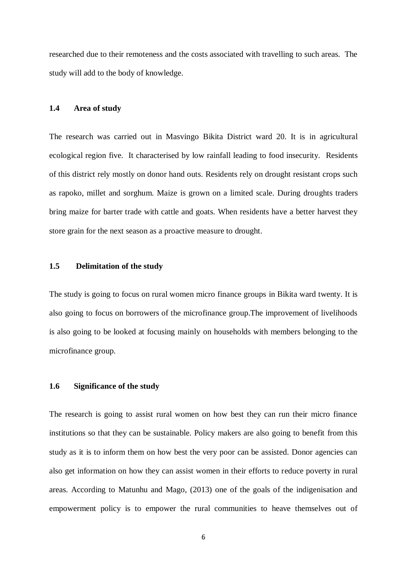researched due to their remoteness and the costs associated with travelling to such areas. The study will add to the body of knowledge.

# **1.4 Area of study**

The research was carried out in Masvingo Bikita District ward 20. It is in agricultural ecological region five. It characterised by low rainfall leading to food insecurity. Residents of this district rely mostly on donor hand outs. Residents rely on drought resistant crops such as rapoko, millet and sorghum. Maize is grown on a limited scale. During droughts traders bring maize for barter trade with cattle and goats. When residents have a better harvest they store grain for the next season as a proactive measure to drought.

# **1.5 Delimitation of the study**

The study is going to focus on rural women micro finance groups in Bikita ward twenty. It is also going to focus on borrowers of the microfinance group.The improvement of livelihoods is also going to be looked at focusing mainly on households with members belonging to the microfinance group.

# **1.6 Significance of the study**

The research is going to assist rural women on how best they can run their micro finance institutions so that they can be sustainable. Policy makers are also going to benefit from this study as it is to inform them on how best the very poor can be assisted. Donor agencies can also get information on how they can assist women in their efforts to reduce poverty in rural areas. According to Matunhu and Mago, (2013) one of the goals of the indigenisation and empowerment policy is to empower the rural communities to heave themselves out of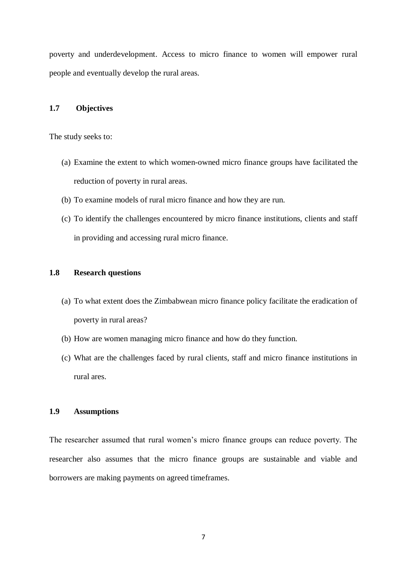poverty and underdevelopment. Access to micro finance to women will empower rural people and eventually develop the rural areas.

# **1.7 Objectives**

The study seeks to:

- (a) Examine the extent to which women-owned micro finance groups have facilitated the reduction of poverty in rural areas.
- (b) To examine models of rural micro finance and how they are run.
- (c) To identify the challenges encountered by micro finance institutions, clients and staff in providing and accessing rural micro finance.

# **1.8 Research questions**

- (a) To what extent does the Zimbabwean micro finance policy facilitate the eradication of poverty in rural areas?
- (b) How are women managing micro finance and how do they function.
- (c) What are the challenges faced by rural clients, staff and micro finance institutions in rural ares.

# **1.9 Assumptions**

The researcher assumed that rural women's micro finance groups can reduce poverty. The researcher also assumes that the micro finance groups are sustainable and viable and borrowers are making payments on agreed timeframes.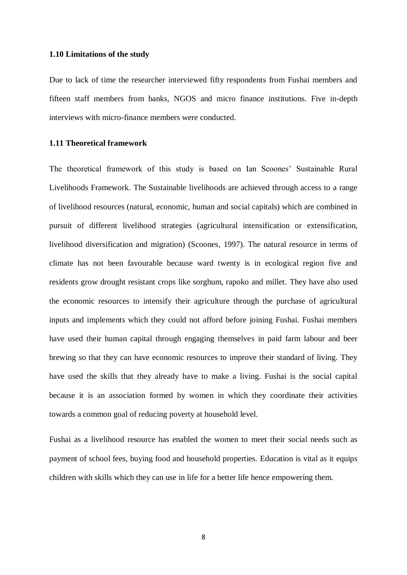#### **1.10 Limitations of the study**

Due to lack of time the researcher interviewed fifty respondents from Fushai members and fifteen staff members from banks, NGOS and micro finance institutions. Five in-depth interviews with micro-finance members were conducted.

# **1.11 Theoretical framework**

The theoretical framework of this study is based on Ian Scoones' Sustainable Rural Livelihoods Framework. The Sustainable livelihoods are achieved through access to a range of livelihood resources (natural, economic, human and social capitals) which are combined in pursuit of different livelihood strategies (agricultural intensification or extensification, livelihood diversification and migration) (Scoones, 1997). The natural resource in terms of climate has not been favourable because ward twenty is in ecological region five and residents grow drought resistant crops like sorghum, rapoko and millet. They have also used the economic resources to intensify their agriculture through the purchase of agricultural inputs and implements which they could not afford before joining Fushai. Fushai members have used their human capital through engaging themselves in paid farm labour and beer brewing so that they can have economic resources to improve their standard of living. They have used the skills that they already have to make a living. Fushai is the social capital because it is an association formed by women in which they coordinate their activities towards a common goal of reducing poverty at household level.

Fushai as a livelihood resource has enabled the women to meet their social needs such as payment of school fees, buying food and household properties. Education is vital as it equips children with skills which they can use in life for a better life hence empowering them.

8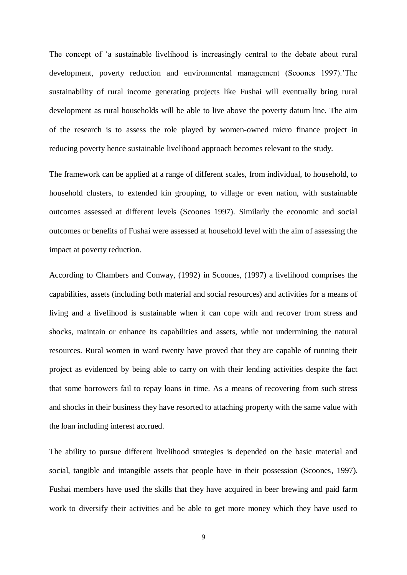The concept of 'a sustainable livelihood is increasingly central to the debate about rural development, poverty reduction and environmental management (Scoones 1997).'The sustainability of rural income generating projects like Fushai will eventually bring rural development as rural households will be able to live above the poverty datum line. The aim of the research is to assess the role played by women-owned micro finance project in reducing poverty hence sustainable livelihood approach becomes relevant to the study.

The framework can be applied at a range of different scales, from individual, to household, to household clusters, to extended kin grouping, to village or even nation, with sustainable outcomes assessed at different levels (Scoones 1997). Similarly the economic and social outcomes or benefits of Fushai were assessed at household level with the aim of assessing the impact at poverty reduction.

According to Chambers and Conway, (1992) in Scoones, (1997) a livelihood comprises the capabilities, assets (including both material and social resources) and activities for a means of living and a livelihood is sustainable when it can cope with and recover from stress and shocks, maintain or enhance its capabilities and assets, while not undermining the natural resources. Rural women in ward twenty have proved that they are capable of running their project as evidenced by being able to carry on with their lending activities despite the fact that some borrowers fail to repay loans in time. As a means of recovering from such stress and shocks in their business they have resorted to attaching property with the same value with the loan including interest accrued.

The ability to pursue different livelihood strategies is depended on the basic material and social, tangible and intangible assets that people have in their possession (Scoones, 1997). Fushai members have used the skills that they have acquired in beer brewing and paid farm work to diversify their activities and be able to get more money which they have used to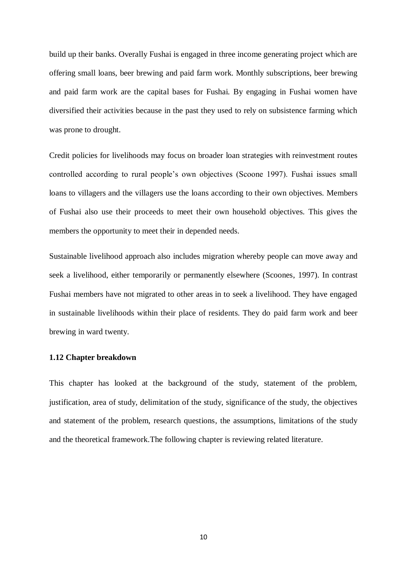build up their banks. Overally Fushai is engaged in three income generating project which are offering small loans, beer brewing and paid farm work. Monthly subscriptions, beer brewing and paid farm work are the capital bases for Fushai. By engaging in Fushai women have diversified their activities because in the past they used to rely on subsistence farming which was prone to drought.

Credit policies for livelihoods may focus on broader loan strategies with reinvestment routes controlled according to rural people's own objectives (Scoone 1997). Fushai issues small loans to villagers and the villagers use the loans according to their own objectives. Members of Fushai also use their proceeds to meet their own household objectives. This gives the members the opportunity to meet their in depended needs.

Sustainable livelihood approach also includes migration whereby people can move away and seek a livelihood, either temporarily or permanently elsewhere (Scoones, 1997). In contrast Fushai members have not migrated to other areas in to seek a livelihood. They have engaged in sustainable livelihoods within their place of residents. They do paid farm work and beer brewing in ward twenty.

# **1.12 Chapter breakdown**

This chapter has looked at the background of the study, statement of the problem, justification, area of study, delimitation of the study, significance of the study, the objectives and statement of the problem, research questions, the assumptions, limitations of the study and the theoretical framework.The following chapter is reviewing related literature.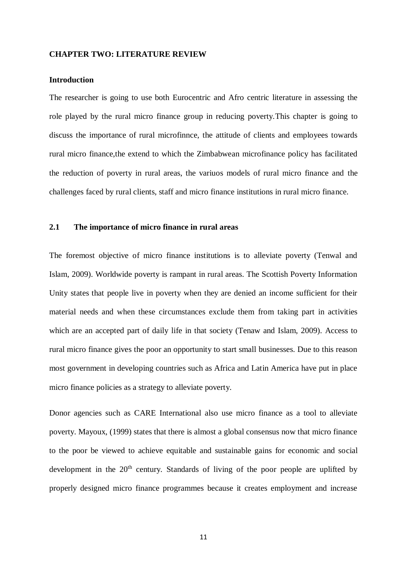#### **CHAPTER TWO: LITERATURE REVIEW**

### **Introduction**

The researcher is going to use both Eurocentric and Afro centric literature in assessing the role played by the rural micro finance group in reducing poverty.This chapter is going to discuss the importance of rural microfinnce, the attitude of clients and employees towards rural micro finance,the extend to which the Zimbabwean microfinance policy has facilitated the reduction of poverty in rural areas, the variuos models of rural micro finance and the challenges faced by rural clients, staff and micro finance institutions in rural micro finance.

### **2.1 The importance of micro finance in rural areas**

The foremost objective of micro finance institutions is to alleviate poverty (Tenwal and Islam, 2009). Worldwide poverty is rampant in rural areas. The Scottish Poverty Information Unity states that people live in poverty when they are denied an income sufficient for their material needs and when these circumstances exclude them from taking part in activities which are an accepted part of daily life in that society (Tenaw and Islam, 2009). Access to rural micro finance gives the poor an opportunity to start small businesses. Due to this reason most government in developing countries such as Africa and Latin America have put in place micro finance policies as a strategy to alleviate poverty.

Donor agencies such as CARE International also use micro finance as a tool to alleviate poverty. Mayoux, (1999) states that there is almost a global consensus now that micro finance to the poor be viewed to achieve equitable and sustainable gains for economic and social development in the  $20<sup>th</sup>$  century. Standards of living of the poor people are uplifted by properly designed micro finance programmes because it creates employment and increase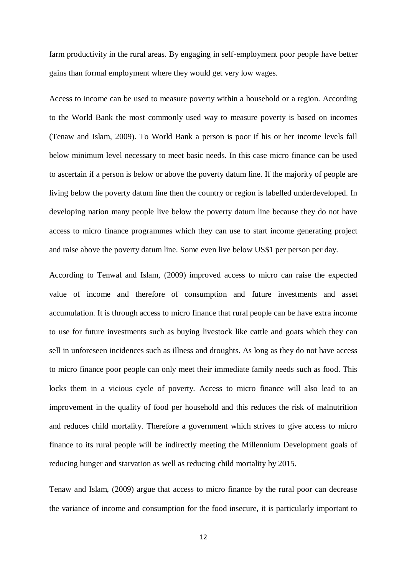farm productivity in the rural areas. By engaging in self-employment poor people have better gains than formal employment where they would get very low wages.

Access to income can be used to measure poverty within a household or a region. According to the World Bank the most commonly used way to measure poverty is based on incomes (Tenaw and Islam, 2009). To World Bank a person is poor if his or her income levels fall below minimum level necessary to meet basic needs. In this case micro finance can be used to ascertain if a person is below or above the poverty datum line. If the majority of people are living below the poverty datum line then the country or region is labelled underdeveloped. In developing nation many people live below the poverty datum line because they do not have access to micro finance programmes which they can use to start income generating project and raise above the poverty datum line. Some even live below US\$1 per person per day.

According to Tenwal and Islam, (2009) improved access to micro can raise the expected value of income and therefore of consumption and future investments and asset accumulation. It is through access to micro finance that rural people can be have extra income to use for future investments such as buying livestock like cattle and goats which they can sell in unforeseen incidences such as illness and droughts. As long as they do not have access to micro finance poor people can only meet their immediate family needs such as food. This locks them in a vicious cycle of poverty. Access to micro finance will also lead to an improvement in the quality of food per household and this reduces the risk of malnutrition and reduces child mortality. Therefore a government which strives to give access to micro finance to its rural people will be indirectly meeting the Millennium Development goals of reducing hunger and starvation as well as reducing child mortality by 2015.

Tenaw and Islam, (2009) argue that access to micro finance by the rural poor can decrease the variance of income and consumption for the food insecure, it is particularly important to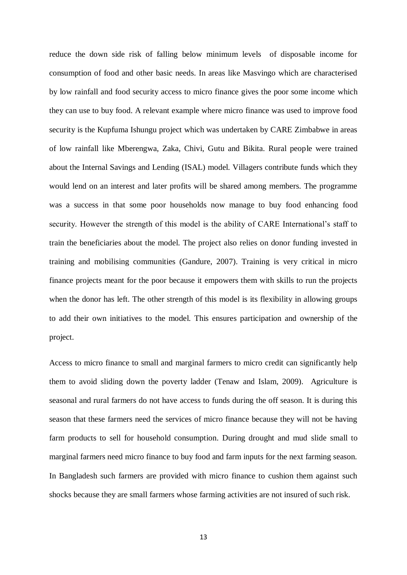reduce the down side risk of falling below minimum levels of disposable income for consumption of food and other basic needs. In areas like Masvingo which are characterised by low rainfall and food security access to micro finance gives the poor some income which they can use to buy food. A relevant example where micro finance was used to improve food security is the Kupfuma Ishungu project which was undertaken by CARE Zimbabwe in areas of low rainfall like Mberengwa, Zaka, Chivi, Gutu and Bikita. Rural people were trained about the Internal Savings and Lending (ISAL) model. Villagers contribute funds which they would lend on an interest and later profits will be shared among members. The programme was a success in that some poor households now manage to buy food enhancing food security. However the strength of this model is the ability of CARE International's staff to train the beneficiaries about the model. The project also relies on donor funding invested in training and mobilising communities (Gandure, 2007). Training is very critical in micro finance projects meant for the poor because it empowers them with skills to run the projects when the donor has left. The other strength of this model is its flexibility in allowing groups to add their own initiatives to the model. This ensures participation and ownership of the project.

Access to micro finance to small and marginal farmers to micro credit can significantly help them to avoid sliding down the poverty ladder (Tenaw and Islam, 2009). Agriculture is seasonal and rural farmers do not have access to funds during the off season. It is during this season that these farmers need the services of micro finance because they will not be having farm products to sell for household consumption. During drought and mud slide small to marginal farmers need micro finance to buy food and farm inputs for the next farming season. In Bangladesh such farmers are provided with micro finance to cushion them against such shocks because they are small farmers whose farming activities are not insured of such risk.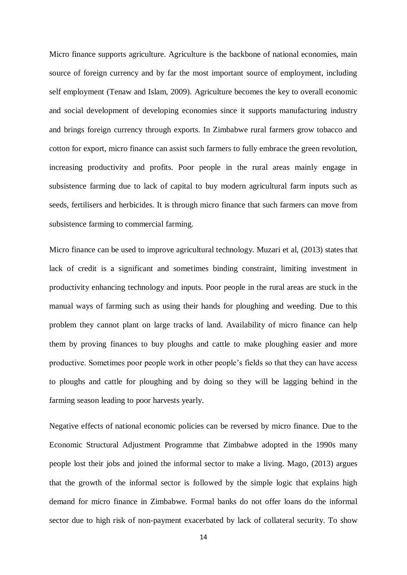Micro finance supports agriculture. Agriculture is the backbone of national economies, main source of foreign currency and by far the most important source of employment, including self employment (Tenaw and Islam, 2009). Agriculture becomes the key to overall economic and social development of developing economies since it supports manufacturing industry and brings foreign currency through exports. In Zimbabwe rural farmers grow tobacco and cotton for export, micro finance can assist such farmers to fully embrace the green revolution, increasing productivity and profits. Poor people in the rural areas mainly engage in subsistence farming due to lack of capital to buy modern agricultural farm inputs such as seeds, fertilisers and herbicides. It is through micro finance that such farmers can move from subsistence farming to commercial farming.

Micro finance can be used to improve agricultural technology. Muzari et al, (2013) states that lack of credit is a significant and sometimes binding constraint, limiting investment in productivity enhancing technology and inputs. Poor people in the rural areas are stuck in the manual ways of farming such as using their hands for ploughing and weeding. Due to this problem they cannot plant on large tracks of land. Availability of micro finance can help them by proving finances to buy ploughs and cattle to make ploughing easier and more productive. Sometimes poor people work in other people's fields so that they can have access to ploughs and cattle for ploughing and by doing so they will be lagging behind in the farming season leading to poor harvests yearly.

Negative effects of national economic policies can be reversed by micro finance. Due to the Economic Structural Adjustment Programme that Zimbabwe adopted in the 1990s many people lost their jobs and joined the informal sector to make a living. Mago, (2013) argues that the growth of the informal sector is followed by the simple logic that explains high demand for micro finance in Zimbabwe. Formal banks do not offer loans do the informal sector due to high risk of non-payment exacerbated by lack of collateral security. To show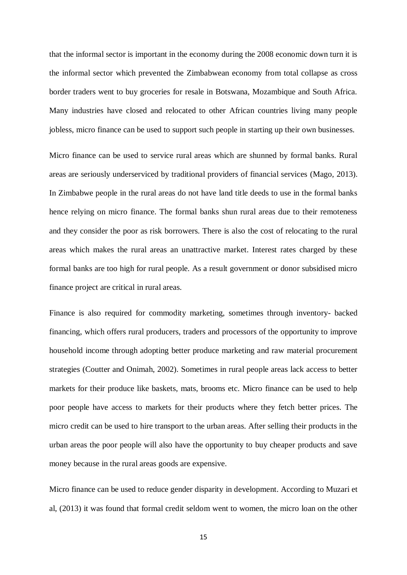that the informal sector is important in the economy during the 2008 economic down turn it is the informal sector which prevented the Zimbabwean economy from total collapse as cross border traders went to buy groceries for resale in Botswana, Mozambique and South Africa. Many industries have closed and relocated to other African countries living many people jobless, micro finance can be used to support such people in starting up their own businesses.

Micro finance can be used to service rural areas which are shunned by formal banks. Rural areas are seriously underserviced by traditional providers of financial services (Mago, 2013). In Zimbabwe people in the rural areas do not have land title deeds to use in the formal banks hence relying on micro finance. The formal banks shun rural areas due to their remoteness and they consider the poor as risk borrowers. There is also the cost of relocating to the rural areas which makes the rural areas an unattractive market. Interest rates charged by these formal banks are too high for rural people. As a result government or donor subsidised micro finance project are critical in rural areas.

Finance is also required for commodity marketing, sometimes through inventory- backed financing, which offers rural producers, traders and processors of the opportunity to improve household income through adopting better produce marketing and raw material procurement strategies (Coutter and Onimah, 2002). Sometimes in rural people areas lack access to better markets for their produce like baskets, mats, brooms etc. Micro finance can be used to help poor people have access to markets for their products where they fetch better prices. The micro credit can be used to hire transport to the urban areas. After selling their products in the urban areas the poor people will also have the opportunity to buy cheaper products and save money because in the rural areas goods are expensive.

Micro finance can be used to reduce gender disparity in development. According to Muzari et al, (2013) it was found that formal credit seldom went to women, the micro loan on the other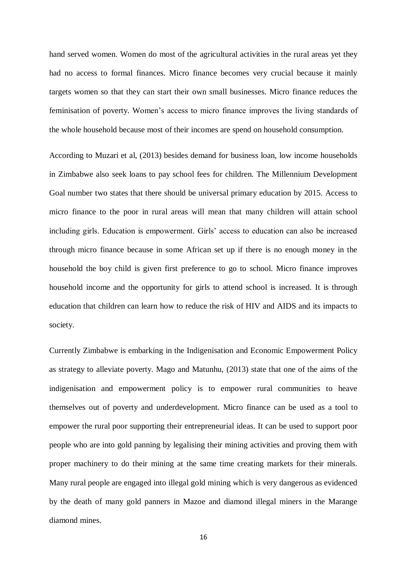hand served women. Women do most of the agricultural activities in the rural areas yet they had no access to formal finances. Micro finance becomes very crucial because it mainly targets women so that they can start their own small businesses. Micro finance reduces the feminisation of poverty. Women's access to micro finance improves the living standards of the whole household because most of their incomes are spend on household consumption.

According to Muzari et al, (2013) besides demand for business loan, low income households in Zimbabwe also seek loans to pay school fees for children. The Millennium Development Goal number two states that there should be universal primary education by 2015. Access to micro finance to the poor in rural areas will mean that many children will attain school including girls. Education is empowerment. Girls' access to education can also be increased through micro finance because in some African set up if there is no enough money in the household the boy child is given first preference to go to school. Micro finance improves household income and the opportunity for girls to attend school is increased. It is through education that children can learn how to reduce the risk of HIV and AIDS and its impacts to society.

Currently Zimbabwe is embarking in the Indigenisation and Economic Empowerment Policy as strategy to alleviate poverty. Mago and Matunhu, (2013) state that one of the aims of the indigenisation and empowerment policy is to empower rural communities to heave themselves out of poverty and underdevelopment. Micro finance can be used as a tool to empower the rural poor supporting their entrepreneurial ideas. It can be used to support poor people who are into gold panning by legalising their mining activities and proving them with proper machinery to do their mining at the same time creating markets for their minerals. Many rural people are engaged into illegal gold mining which is very dangerous as evidenced by the death of many gold panners in Mazoe and diamond illegal miners in the Marange diamond mines.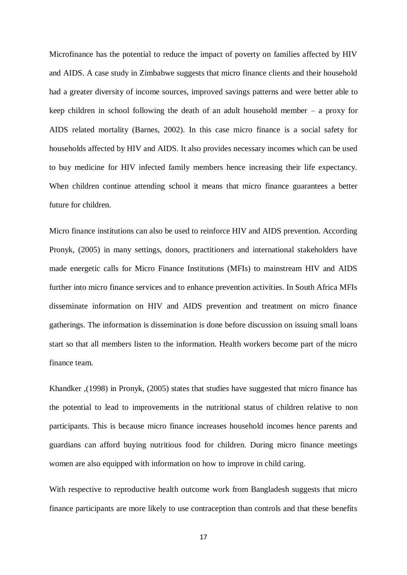Microfinance has the potential to reduce the impact of poverty on families affected by HIV and AIDS. A case study in Zimbabwe suggests that micro finance clients and their household had a greater diversity of income sources, improved savings patterns and were better able to keep children in school following the death of an adult household member – a proxy for AIDS related mortality (Barnes, 2002). In this case micro finance is a social safety for households affected by HIV and AIDS. It also provides necessary incomes which can be used to buy medicine for HIV infected family members hence increasing their life expectancy. When children continue attending school it means that micro finance guarantees a better future for children.

Micro finance institutions can also be used to reinforce HIV and AIDS prevention. According Pronyk, (2005) in many settings, donors, practitioners and international stakeholders have made energetic calls for Micro Finance Institutions (MFIs) to mainstream HIV and AIDS further into micro finance services and to enhance prevention activities. In South Africa MFIs disseminate information on HIV and AIDS prevention and treatment on micro finance gatherings. The information is dissemination is done before discussion on issuing small loans start so that all members listen to the information. Health workers become part of the micro finance team.

Khandker ,(1998) in Pronyk, (2005) states that studies have suggested that micro finance has the potential to lead to improvements in the nutritional status of children relative to non participants. This is because micro finance increases household incomes hence parents and guardians can afford buying nutritious food for children. During micro finance meetings women are also equipped with information on how to improve in child caring.

With respective to reproductive health outcome work from Bangladesh suggests that micro finance participants are more likely to use contraception than controls and that these benefits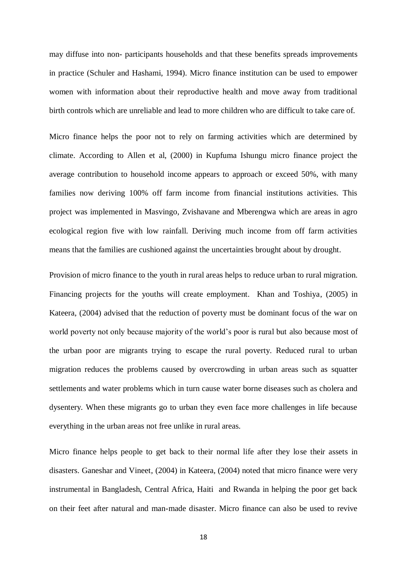may diffuse into non- participants households and that these benefits spreads improvements in practice (Schuler and Hashami, 1994). Micro finance institution can be used to empower women with information about their reproductive health and move away from traditional birth controls which are unreliable and lead to more children who are difficult to take care of.

Micro finance helps the poor not to rely on farming activities which are determined by climate. According to Allen et al, (2000) in Kupfuma Ishungu micro finance project the average contribution to household income appears to approach or exceed 50%, with many families now deriving 100% off farm income from financial institutions activities. This project was implemented in Masvingo, Zvishavane and Mberengwa which are areas in agro ecological region five with low rainfall. Deriving much income from off farm activities means that the families are cushioned against the uncertainties brought about by drought.

Provision of micro finance to the youth in rural areas helps to reduce urban to rural migration. Financing projects for the youths will create employment. Khan and Toshiya, (2005) in Kateera, (2004) advised that the reduction of poverty must be dominant focus of the war on world poverty not only because majority of the world's poor is rural but also because most of the urban poor are migrants trying to escape the rural poverty. Reduced rural to urban migration reduces the problems caused by overcrowding in urban areas such as squatter settlements and water problems which in turn cause water borne diseases such as cholera and dysentery. When these migrants go to urban they even face more challenges in life because everything in the urban areas not free unlike in rural areas.

Micro finance helps people to get back to their normal life after they lose their assets in disasters. Ganeshar and Vineet, (2004) in Kateera, (2004) noted that micro finance were very instrumental in Bangladesh, Central Africa, Haiti and Rwanda in helping the poor get back on their feet after natural and man-made disaster. Micro finance can also be used to revive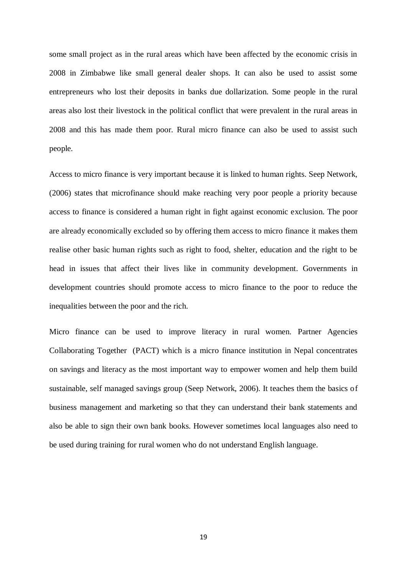some small project as in the rural areas which have been affected by the economic crisis in 2008 in Zimbabwe like small general dealer shops. It can also be used to assist some entrepreneurs who lost their deposits in banks due dollarization. Some people in the rural areas also lost their livestock in the political conflict that were prevalent in the rural areas in 2008 and this has made them poor. Rural micro finance can also be used to assist such people.

Access to micro finance is very important because it is linked to human rights. Seep Network, (2006) states that microfinance should make reaching very poor people a priority because access to finance is considered a human right in fight against economic exclusion. The poor are already economically excluded so by offering them access to micro finance it makes them realise other basic human rights such as right to food, shelter, education and the right to be head in issues that affect their lives like in community development. Governments in development countries should promote access to micro finance to the poor to reduce the inequalities between the poor and the rich.

Micro finance can be used to improve literacy in rural women. Partner Agencies Collaborating Together (PACT) which is a micro finance institution in Nepal concentrates on savings and literacy as the most important way to empower women and help them build sustainable, self managed savings group (Seep Network, 2006). It teaches them the basics of business management and marketing so that they can understand their bank statements and also be able to sign their own bank books. However sometimes local languages also need to be used during training for rural women who do not understand English language.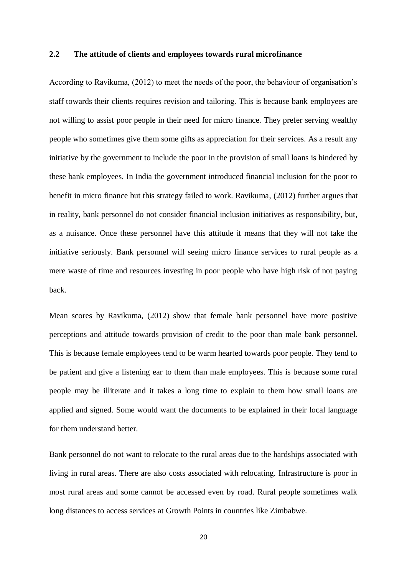#### **2.2 The attitude of clients and employees towards rural microfinance**

According to Ravikuma, (2012) to meet the needs of the poor, the behaviour of organisation's staff towards their clients requires revision and tailoring. This is because bank employees are not willing to assist poor people in their need for micro finance. They prefer serving wealthy people who sometimes give them some gifts as appreciation for their services. As a result any initiative by the government to include the poor in the provision of small loans is hindered by these bank employees. In India the government introduced financial inclusion for the poor to benefit in micro finance but this strategy failed to work. Ravikuma, (2012) further argues that in reality, bank personnel do not consider financial inclusion initiatives as responsibility, but, as a nuisance. Once these personnel have this attitude it means that they will not take the initiative seriously. Bank personnel will seeing micro finance services to rural people as a mere waste of time and resources investing in poor people who have high risk of not paying back.

Mean scores by Ravikuma, (2012) show that female bank personnel have more positive perceptions and attitude towards provision of credit to the poor than male bank personnel. This is because female employees tend to be warm hearted towards poor people. They tend to be patient and give a listening ear to them than male employees. This is because some rural people may be illiterate and it takes a long time to explain to them how small loans are applied and signed. Some would want the documents to be explained in their local language for them understand better.

Bank personnel do not want to relocate to the rural areas due to the hardships associated with living in rural areas. There are also costs associated with relocating. Infrastructure is poor in most rural areas and some cannot be accessed even by road. Rural people sometimes walk long distances to access services at Growth Points in countries like Zimbabwe.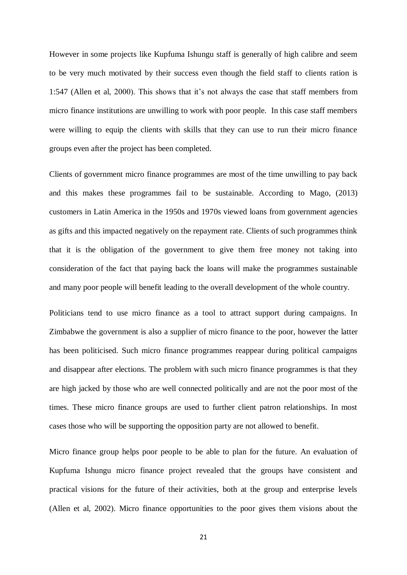However in some projects like Kupfuma Ishungu staff is generally of high calibre and seem to be very much motivated by their success even though the field staff to clients ration is 1:547 (Allen et al, 2000). This shows that it's not always the case that staff members from micro finance institutions are unwilling to work with poor people. In this case staff members were willing to equip the clients with skills that they can use to run their micro finance groups even after the project has been completed.

Clients of government micro finance programmes are most of the time unwilling to pay back and this makes these programmes fail to be sustainable. According to Mago, (2013) customers in Latin America in the 1950s and 1970s viewed loans from government agencies as gifts and this impacted negatively on the repayment rate. Clients of such programmes think that it is the obligation of the government to give them free money not taking into consideration of the fact that paying back the loans will make the programmes sustainable and many poor people will benefit leading to the overall development of the whole country.

Politicians tend to use micro finance as a tool to attract support during campaigns. In Zimbabwe the government is also a supplier of micro finance to the poor, however the latter has been politicised. Such micro finance programmes reappear during political campaigns and disappear after elections. The problem with such micro finance programmes is that they are high jacked by those who are well connected politically and are not the poor most of the times. These micro finance groups are used to further client patron relationships. In most cases those who will be supporting the opposition party are not allowed to benefit.

Micro finance group helps poor people to be able to plan for the future. An evaluation of Kupfuma Ishungu micro finance project revealed that the groups have consistent and practical visions for the future of their activities, both at the group and enterprise levels (Allen et al, 2002). Micro finance opportunities to the poor gives them visions about the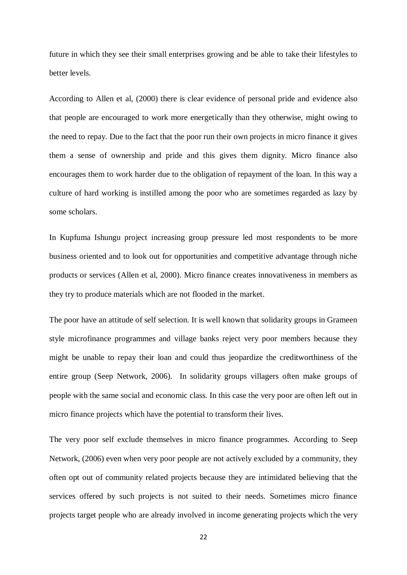future in which they see their small enterprises growing and be able to take their lifestyles to better levels.

According to Allen et al, (2000) there is clear evidence of personal pride and evidence also that people are encouraged to work more energetically than they otherwise, might owing to the need to repay. Due to the fact that the poor run their own projects in micro finance it gives them a sense of ownership and pride and this gives them dignity. Micro finance also encourages them to work harder due to the obligation of repayment of the loan. In this way a culture of hard working is instilled among the poor who are sometimes regarded as lazy by some scholars.

In Kupfuma Ishungu project increasing group pressure led most respondents to be more business oriented and to look out for opportunities and competitive advantage through niche products or services (Allen et al, 2000). Micro finance creates innovativeness in members as they try to produce materials which are not flooded in the market.

The poor have an attitude of self selection. It is well known that solidarity groups in Grameen style microfinance programmes and village banks reject very poor members because they might be unable to repay their loan and could thus jeopardize the creditworthiness of the entire group (Seep Network, 2006). In solidarity groups villagers often make groups of people with the same social and economic class. In this case the very poor are often left out in micro finance projects which have the potential to transform their lives.

The very poor self exclude themselves in micro finance programmes. According to Seep Network, (2006) even when very poor people are not actively excluded by a community, they often opt out of community related projects because they are intimidated believing that the services offered by such projects is not suited to their needs. Sometimes micro finance projects target people who are already involved in income generating projects which the very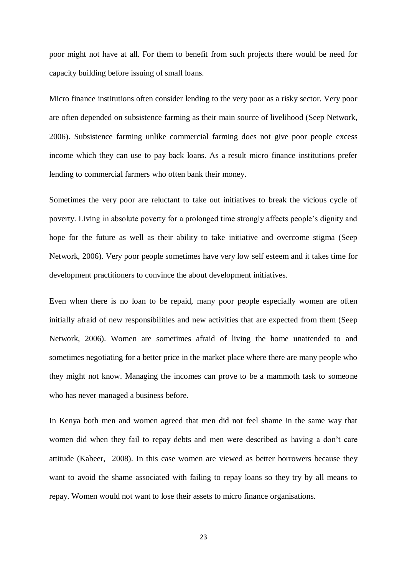poor might not have at all. For them to benefit from such projects there would be need for capacity building before issuing of small loans.

Micro finance institutions often consider lending to the very poor as a risky sector. Very poor are often depended on subsistence farming as their main source of livelihood (Seep Network, 2006). Subsistence farming unlike commercial farming does not give poor people excess income which they can use to pay back loans. As a result micro finance institutions prefer lending to commercial farmers who often bank their money.

Sometimes the very poor are reluctant to take out initiatives to break the vicious cycle of poverty. Living in absolute poverty for a prolonged time strongly affects people's dignity and hope for the future as well as their ability to take initiative and overcome stigma (Seep Network, 2006). Very poor people sometimes have very low self esteem and it takes time for development practitioners to convince the about development initiatives.

Even when there is no loan to be repaid, many poor people especially women are often initially afraid of new responsibilities and new activities that are expected from them (Seep Network, 2006). Women are sometimes afraid of living the home unattended to and sometimes negotiating for a better price in the market place where there are many people who they might not know. Managing the incomes can prove to be a mammoth task to someone who has never managed a business before.

In Kenya both men and women agreed that men did not feel shame in the same way that women did when they fail to repay debts and men were described as having a don't care attitude (Kabeer, 2008). In this case women are viewed as better borrowers because they want to avoid the shame associated with failing to repay loans so they try by all means to repay. Women would not want to lose their assets to micro finance organisations.

23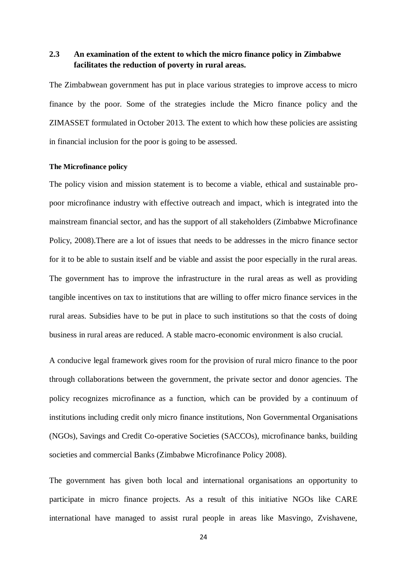# **2.3 An examination of the extent to which the micro finance policy in Zimbabwe facilitates the reduction of poverty in rural areas.**

The Zimbabwean government has put in place various strategies to improve access to micro finance by the poor. Some of the strategies include the Micro finance policy and the ZIMASSET formulated in October 2013. The extent to which how these policies are assisting in financial inclusion for the poor is going to be assessed.

#### **The Microfinance policy**

The policy vision and mission statement is to become a viable, ethical and sustainable propoor microfinance industry with effective outreach and impact, which is integrated into the mainstream financial sector, and has the support of all stakeholders (Zimbabwe Microfinance Policy, 2008).There are a lot of issues that needs to be addresses in the micro finance sector for it to be able to sustain itself and be viable and assist the poor especially in the rural areas. The government has to improve the infrastructure in the rural areas as well as providing tangible incentives on tax to institutions that are willing to offer micro finance services in the rural areas. Subsidies have to be put in place to such institutions so that the costs of doing business in rural areas are reduced. A stable macro-economic environment is also crucial.

A conducive legal framework gives room for the provision of rural micro finance to the poor through collaborations between the government, the private sector and donor agencies. The policy recognizes microfinance as a function, which can be provided by a continuum of institutions including credit only micro finance institutions, Non Governmental Organisations (NGOs), Savings and Credit Co-operative Societies (SACCOs), microfinance banks, building societies and commercial Banks (Zimbabwe Microfinance Policy 2008).

The government has given both local and international organisations an opportunity to participate in micro finance projects. As a result of this initiative NGOs like CARE international have managed to assist rural people in areas like Masvingo, Zvishavene,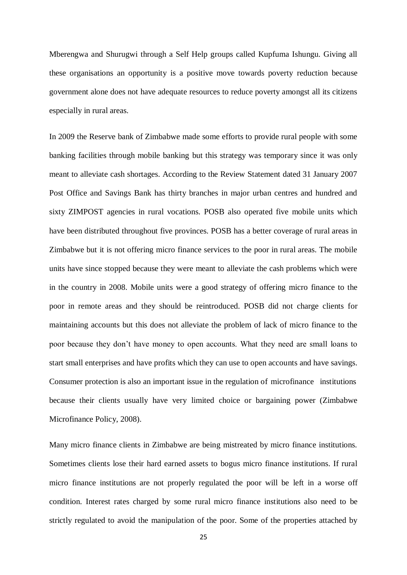Mberengwa and Shurugwi through a Self Help groups called Kupfuma Ishungu. Giving all these organisations an opportunity is a positive move towards poverty reduction because government alone does not have adequate resources to reduce poverty amongst all its citizens especially in rural areas.

In 2009 the Reserve bank of Zimbabwe made some efforts to provide rural people with some banking facilities through mobile banking but this strategy was temporary since it was only meant to alleviate cash shortages. According to the Review Statement dated 31 January 2007 Post Office and Savings Bank has thirty branches in major urban centres and hundred and sixty ZIMPOST agencies in rural vocations. POSB also operated five mobile units which have been distributed throughout five provinces. POSB has a better coverage of rural areas in Zimbabwe but it is not offering micro finance services to the poor in rural areas. The mobile units have since stopped because they were meant to alleviate the cash problems which were in the country in 2008. Mobile units were a good strategy of offering micro finance to the poor in remote areas and they should be reintroduced. POSB did not charge clients for maintaining accounts but this does not alleviate the problem of lack of micro finance to the poor because they don't have money to open accounts. What they need are small loans to start small enterprises and have profits which they can use to open accounts and have savings. Consumer protection is also an important issue in the regulation of microfinance institutions because their clients usually have very limited choice or bargaining power (Zimbabwe Microfinance Policy, 2008).

Many micro finance clients in Zimbabwe are being mistreated by micro finance institutions. Sometimes clients lose their hard earned assets to bogus micro finance institutions. If rural micro finance institutions are not properly regulated the poor will be left in a worse off condition. Interest rates charged by some rural micro finance institutions also need to be strictly regulated to avoid the manipulation of the poor. Some of the properties attached by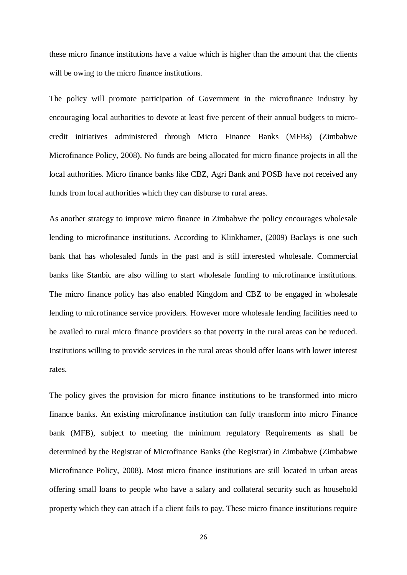these micro finance institutions have a value which is higher than the amount that the clients will be owing to the micro finance institutions.

The policy will promote participation of Government in the microfinance industry by encouraging local authorities to devote at least five percent of their annual budgets to microcredit initiatives administered through Micro Finance Banks (MFBs) (Zimbabwe Microfinance Policy, 2008). No funds are being allocated for micro finance projects in all the local authorities. Micro finance banks like CBZ, Agri Bank and POSB have not received any funds from local authorities which they can disburse to rural areas.

As another strategy to improve micro finance in Zimbabwe the policy encourages wholesale lending to microfinance institutions. According to Klinkhamer, (2009) Baclays is one such bank that has wholesaled funds in the past and is still interested wholesale. Commercial banks like Stanbic are also willing to start wholesale funding to microfinance institutions. The micro finance policy has also enabled Kingdom and CBZ to be engaged in wholesale lending to microfinance service providers. However more wholesale lending facilities need to be availed to rural micro finance providers so that poverty in the rural areas can be reduced. Institutions willing to provide services in the rural areas should offer loans with lower interest rates.

The policy gives the provision for micro finance institutions to be transformed into micro finance banks. An existing microfinance institution can fully transform into micro Finance bank (MFB), subject to meeting the minimum regulatory Requirements as shall be determined by the Registrar of Microfinance Banks (the Registrar) in Zimbabwe (Zimbabwe Microfinance Policy, 2008). Most micro finance institutions are still located in urban areas offering small loans to people who have a salary and collateral security such as household property which they can attach if a client fails to pay. These micro finance institutions require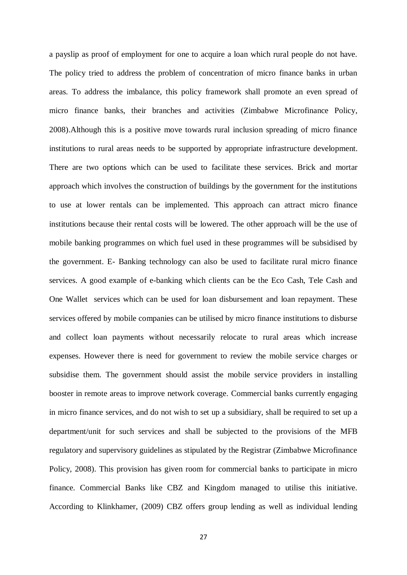a payslip as proof of employment for one to acquire a loan which rural people do not have. The policy tried to address the problem of concentration of micro finance banks in urban areas. To address the imbalance, this policy framework shall promote an even spread of micro finance banks, their branches and activities (Zimbabwe Microfinance Policy, 2008).Although this is a positive move towards rural inclusion spreading of micro finance institutions to rural areas needs to be supported by appropriate infrastructure development. There are two options which can be used to facilitate these services. Brick and mortar approach which involves the construction of buildings by the government for the institutions to use at lower rentals can be implemented. This approach can attract micro finance institutions because their rental costs will be lowered. The other approach will be the use of mobile banking programmes on which fuel used in these programmes will be subsidised by the government. E- Banking technology can also be used to facilitate rural micro finance services. A good example of e-banking which clients can be the Eco Cash, Tele Cash and One Wallet services which can be used for loan disbursement and loan repayment. These services offered by mobile companies can be utilised by micro finance institutions to disburse and collect loan payments without necessarily relocate to rural areas which increase expenses. However there is need for government to review the mobile service charges or subsidise them. The government should assist the mobile service providers in installing booster in remote areas to improve network coverage. Commercial banks currently engaging in micro finance services, and do not wish to set up a subsidiary, shall be required to set up a department/unit for such services and shall be subjected to the provisions of the MFB regulatory and supervisory guidelines as stipulated by the Registrar (Zimbabwe Microfinance Policy, 2008). This provision has given room for commercial banks to participate in micro finance. Commercial Banks like CBZ and Kingdom managed to utilise this initiative. According to Klinkhamer, (2009) CBZ offers group lending as well as individual lending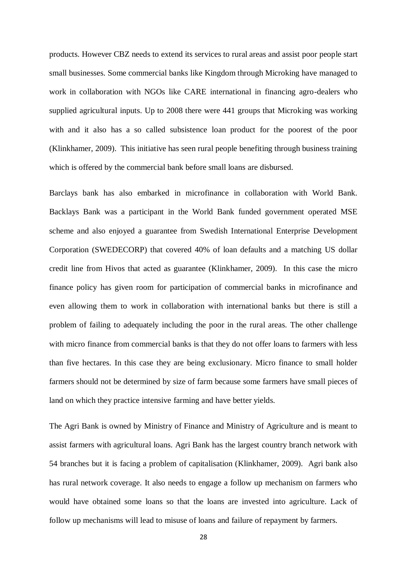products. However CBZ needs to extend its services to rural areas and assist poor people start small businesses. Some commercial banks like Kingdom through Microking have managed to work in collaboration with NGOs like CARE international in financing agro-dealers who supplied agricultural inputs. Up to 2008 there were 441 groups that Microking was working with and it also has a so called subsistence loan product for the poorest of the poor (Klinkhamer, 2009). This initiative has seen rural people benefiting through business training which is offered by the commercial bank before small loans are disbursed.

Barclays bank has also embarked in microfinance in collaboration with World Bank. Backlays Bank was a participant in the World Bank funded government operated MSE scheme and also enjoyed a guarantee from Swedish International Enterprise Development Corporation (SWEDECORP) that covered 40% of loan defaults and a matching US dollar credit line from Hivos that acted as guarantee (Klinkhamer, 2009). In this case the micro finance policy has given room for participation of commercial banks in microfinance and even allowing them to work in collaboration with international banks but there is still a problem of failing to adequately including the poor in the rural areas. The other challenge with micro finance from commercial banks is that they do not offer loans to farmers with less than five hectares. In this case they are being exclusionary. Micro finance to small holder farmers should not be determined by size of farm because some farmers have small pieces of land on which they practice intensive farming and have better yields.

The Agri Bank is owned by Ministry of Finance and Ministry of Agriculture and is meant to assist farmers with agricultural loans. Agri Bank has the largest country branch network with 54 branches but it is facing a problem of capitalisation (Klinkhamer, 2009). Agri bank also has rural network coverage. It also needs to engage a follow up mechanism on farmers who would have obtained some loans so that the loans are invested into agriculture. Lack of follow up mechanisms will lead to misuse of loans and failure of repayment by farmers.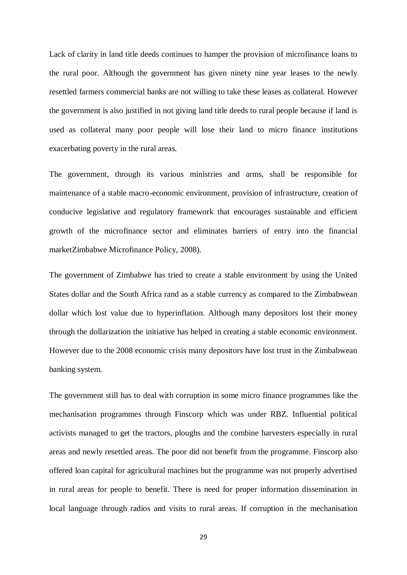Lack of clarity in land title deeds continues to hamper the provision of microfinance loans to the rural poor. Although the government has given ninety nine year leases to the newly resettled farmers commercial banks are not willing to take these leases as collateral. However the government is also justified in not giving land title deeds to rural people because if land is used as collateral many poor people will lose their land to micro finance institutions exacerbating poverty in the rural areas.

The government, through its various ministries and arms, shall be responsible for maintenance of a stable macro-economic environment, provision of infrastructure, creation of conducive legislative and regulatory framework that encourages sustainable and efficient growth of the microfinance sector and eliminates barriers of entry into the financial marketZimbabwe Microfinance Policy, 2008).

The government of Zimbabwe has tried to create a stable environment by using the United States dollar and the South Africa rand as a stable currency as compared to the Zimbabwean dollar which lost value due to hyperinflation. Although many depositors lost their money through the dollarization the initiative has helped in creating a stable economic environment. However due to the 2008 economic crisis many depositors have lost trust in the Zimbabwean banking system.

The government still has to deal with corruption in some micro finance programmes like the mechanisation programmes through Finscorp which was under RBZ. Influential political activists managed to get the tractors, ploughs and the combine harvesters especially in rural areas and newly resettled areas. The poor did not benefit from the programme. Finscorp also offered loan capital for agricultural machines but the programme was not properly advertised in rural areas for people to benefit. There is need for proper information dissemination in local language through radios and visits to rural areas. If corruption in the mechanisation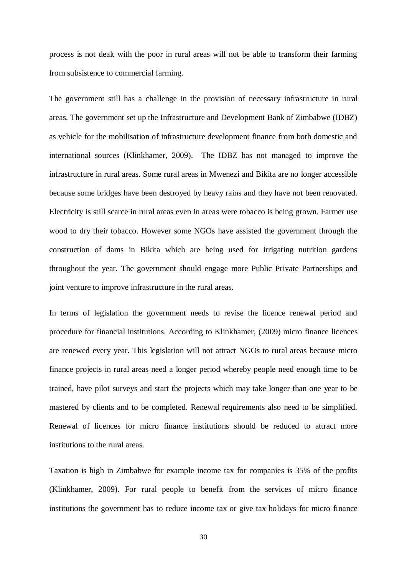process is not dealt with the poor in rural areas will not be able to transform their farming from subsistence to commercial farming.

The government still has a challenge in the provision of necessary infrastructure in rural areas. The government set up the Infrastructure and Development Bank of Zimbabwe (IDBZ) as vehicle for the mobilisation of infrastructure development finance from both domestic and international sources (Klinkhamer, 2009). The IDBZ has not managed to improve the infrastructure in rural areas. Some rural areas in Mwenezi and Bikita are no longer accessible because some bridges have been destroyed by heavy rains and they have not been renovated. Electricity is still scarce in rural areas even in areas were tobacco is being grown. Farmer use wood to dry their tobacco. However some NGOs have assisted the government through the construction of dams in Bikita which are being used for irrigating nutrition gardens throughout the year. The government should engage more Public Private Partnerships and joint venture to improve infrastructure in the rural areas.

In terms of legislation the government needs to revise the licence renewal period and procedure for financial institutions. According to Klinkhamer, (2009) micro finance licences are renewed every year. This legislation will not attract NGOs to rural areas because micro finance projects in rural areas need a longer period whereby people need enough time to be trained, have pilot surveys and start the projects which may take longer than one year to be mastered by clients and to be completed. Renewal requirements also need to be simplified. Renewal of licences for micro finance institutions should be reduced to attract more institutions to the rural areas.

Taxation is high in Zimbabwe for example income tax for companies is 35% of the profits (Klinkhamer, 2009). For rural people to benefit from the services of micro finance institutions the government has to reduce income tax or give tax holidays for micro finance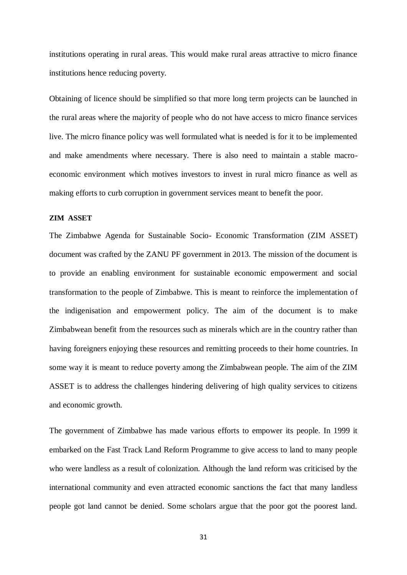institutions operating in rural areas. This would make rural areas attractive to micro finance institutions hence reducing poverty.

Obtaining of licence should be simplified so that more long term projects can be launched in the rural areas where the majority of people who do not have access to micro finance services live. The micro finance policy was well formulated what is needed is for it to be implemented and make amendments where necessary. There is also need to maintain a stable macroeconomic environment which motives investors to invest in rural micro finance as well as making efforts to curb corruption in government services meant to benefit the poor.

### **ZIM ASSET**

The Zimbabwe Agenda for Sustainable Socio- Economic Transformation (ZIM ASSET) document was crafted by the ZANU PF government in 2013. The mission of the document is to provide an enabling environment for sustainable economic empowerment and social transformation to the people of Zimbabwe. This is meant to reinforce the implementation of the indigenisation and empowerment policy. The aim of the document is to make Zimbabwean benefit from the resources such as minerals which are in the country rather than having foreigners enjoying these resources and remitting proceeds to their home countries. In some way it is meant to reduce poverty among the Zimbabwean people. The aim of the ZIM ASSET is to address the challenges hindering delivering of high quality services to citizens and economic growth.

The government of Zimbabwe has made various efforts to empower its people. In 1999 it embarked on the Fast Track Land Reform Programme to give access to land to many people who were landless as a result of colonization. Although the land reform was criticised by the international community and even attracted economic sanctions the fact that many landless people got land cannot be denied. Some scholars argue that the poor got the poorest land.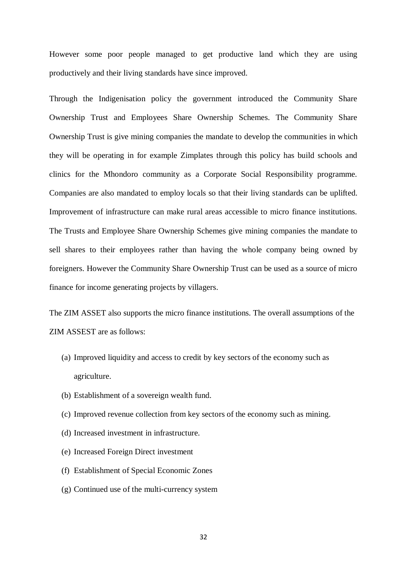However some poor people managed to get productive land which they are using productively and their living standards have since improved.

Through the Indigenisation policy the government introduced the Community Share Ownership Trust and Employees Share Ownership Schemes. The Community Share Ownership Trust is give mining companies the mandate to develop the communities in which they will be operating in for example Zimplates through this policy has build schools and clinics for the Mhondoro community as a Corporate Social Responsibility programme. Companies are also mandated to employ locals so that their living standards can be uplifted. Improvement of infrastructure can make rural areas accessible to micro finance institutions. The Trusts and Employee Share Ownership Schemes give mining companies the mandate to sell shares to their employees rather than having the whole company being owned by foreigners. However the Community Share Ownership Trust can be used as a source of micro finance for income generating projects by villagers.

The ZIM ASSET also supports the micro finance institutions. The overall assumptions of the ZIM ASSEST are as follows:

- (a) Improved liquidity and access to credit by key sectors of the economy such as agriculture.
- (b) Establishment of a sovereign wealth fund.
- (c) Improved revenue collection from key sectors of the economy such as mining.
- (d) Increased investment in infrastructure.
- (e) Increased Foreign Direct investment
- (f) Establishment of Special Economic Zones
- (g) Continued use of the multi-currency system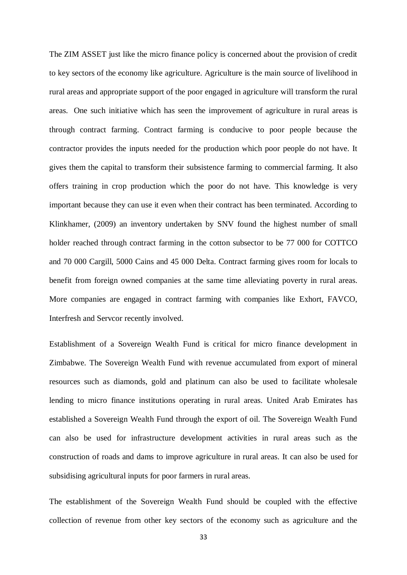The ZIM ASSET just like the micro finance policy is concerned about the provision of credit to key sectors of the economy like agriculture. Agriculture is the main source of livelihood in rural areas and appropriate support of the poor engaged in agriculture will transform the rural areas. One such initiative which has seen the improvement of agriculture in rural areas is through contract farming. Contract farming is conducive to poor people because the contractor provides the inputs needed for the production which poor people do not have. It gives them the capital to transform their subsistence farming to commercial farming. It also offers training in crop production which the poor do not have. This knowledge is very important because they can use it even when their contract has been terminated. According to Klinkhamer, (2009) an inventory undertaken by SNV found the highest number of small holder reached through contract farming in the cotton subsector to be 77 000 for COTTCO and 70 000 Cargill, 5000 Cains and 45 000 Delta. Contract farming gives room for locals to benefit from foreign owned companies at the same time alleviating poverty in rural areas. More companies are engaged in contract farming with companies like Exhort, FAVCO, Interfresh and Servcor recently involved.

Establishment of a Sovereign Wealth Fund is critical for micro finance development in Zimbabwe. The Sovereign Wealth Fund with revenue accumulated from export of mineral resources such as diamonds, gold and platinum can also be used to facilitate wholesale lending to micro finance institutions operating in rural areas. United Arab Emirates has established a Sovereign Wealth Fund through the export of oil. The Sovereign Wealth Fund can also be used for infrastructure development activities in rural areas such as the construction of roads and dams to improve agriculture in rural areas. It can also be used for subsidising agricultural inputs for poor farmers in rural areas.

The establishment of the Sovereign Wealth Fund should be coupled with the effective collection of revenue from other key sectors of the economy such as agriculture and the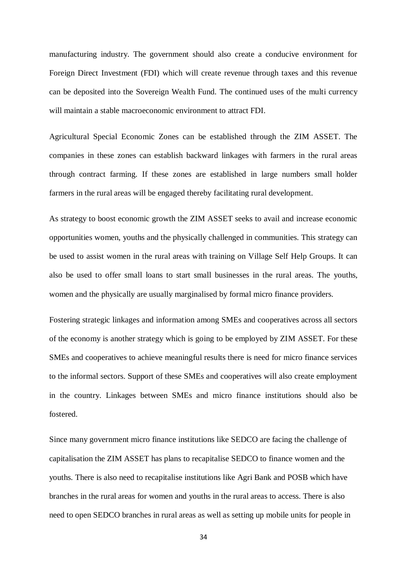manufacturing industry. The government should also create a conducive environment for Foreign Direct Investment (FDI) which will create revenue through taxes and this revenue can be deposited into the Sovereign Wealth Fund. The continued uses of the multi currency will maintain a stable macroeconomic environment to attract FDI.

Agricultural Special Economic Zones can be established through the ZIM ASSET. The companies in these zones can establish backward linkages with farmers in the rural areas through contract farming. If these zones are established in large numbers small holder farmers in the rural areas will be engaged thereby facilitating rural development.

As strategy to boost economic growth the ZIM ASSET seeks to avail and increase economic opportunities women, youths and the physically challenged in communities. This strategy can be used to assist women in the rural areas with training on Village Self Help Groups. It can also be used to offer small loans to start small businesses in the rural areas. The youths, women and the physically are usually marginalised by formal micro finance providers.

Fostering strategic linkages and information among SMEs and cooperatives across all sectors of the economy is another strategy which is going to be employed by ZIM ASSET. For these SMEs and cooperatives to achieve meaningful results there is need for micro finance services to the informal sectors. Support of these SMEs and cooperatives will also create employment in the country. Linkages between SMEs and micro finance institutions should also be fostered.

Since many government micro finance institutions like SEDCO are facing the challenge of capitalisation the ZIM ASSET has plans to recapitalise SEDCO to finance women and the youths. There is also need to recapitalise institutions like Agri Bank and POSB which have branches in the rural areas for women and youths in the rural areas to access. There is also need to open SEDCO branches in rural areas as well as setting up mobile units for people in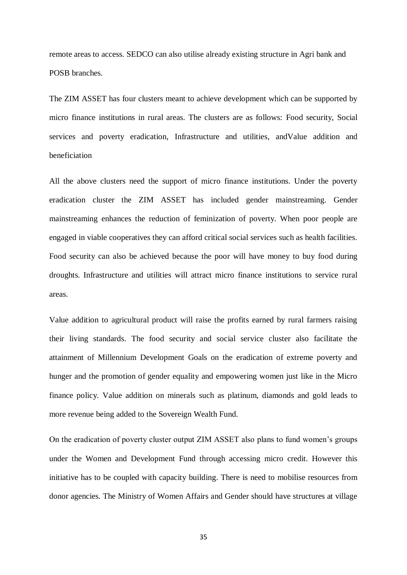remote areas to access. SEDCO can also utilise already existing structure in Agri bank and POSB branches.

The ZIM ASSET has four clusters meant to achieve development which can be supported by micro finance institutions in rural areas. The clusters are as follows: Food security, Social services and poverty eradication, Infrastructure and utilities, andValue addition and beneficiation

All the above clusters need the support of micro finance institutions. Under the poverty eradication cluster the ZIM ASSET has included gender mainstreaming. Gender mainstreaming enhances the reduction of feminization of poverty. When poor people are engaged in viable cooperatives they can afford critical social services such as health facilities. Food security can also be achieved because the poor will have money to buy food during droughts. Infrastructure and utilities will attract micro finance institutions to service rural areas.

Value addition to agricultural product will raise the profits earned by rural farmers raising their living standards. The food security and social service cluster also facilitate the attainment of Millennium Development Goals on the eradication of extreme poverty and hunger and the promotion of gender equality and empowering women just like in the Micro finance policy. Value addition on minerals such as platinum, diamonds and gold leads to more revenue being added to the Sovereign Wealth Fund.

On the eradication of poverty cluster output ZIM ASSET also plans to fund women's groups under the Women and Development Fund through accessing micro credit. However this initiative has to be coupled with capacity building. There is need to mobilise resources from donor agencies. The Ministry of Women Affairs and Gender should have structures at village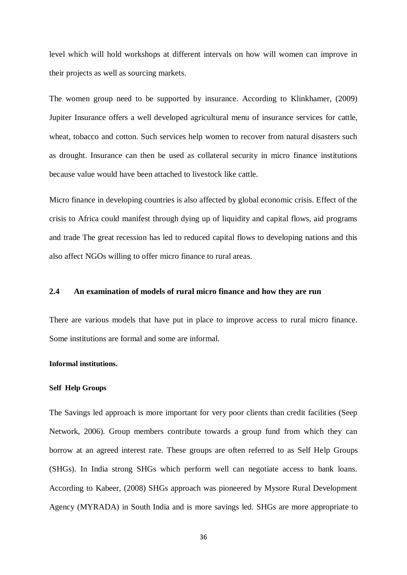level which will hold workshops at different intervals on how will women can improve in their projects as well as sourcing markets.

The women group need to be supported by insurance. According to Klinkhamer, (2009) Jupiter Insurance offers a well developed agricultural menu of insurance services for cattle, wheat, tobacco and cotton. Such services help women to recover from natural disasters such as drought. Insurance can then be used as collateral security in micro finance institutions because value would have been attached to livestock like cattle.

Micro finance in developing countries is also affected by global economic crisis. Effect of the crisis to Africa could manifest through dying up of liquidity and capital flows, aid programs and trade The great recession has led to reduced capital flows to developing nations and this also affect NGOs willing to offer micro finance to rural areas.

## **2.4 An examination of models of rural micro finance and how they are run**

There are various models that have put in place to improve access to rural micro finance. Some institutions are formal and some are informal.

## **Informal institutions.**

### **Self Help Groups**

The Savings led approach is more important for very poor clients than credit facilities (Seep Network, 2006). Group members contribute towards a group fund from which they can borrow at an agreed interest rate. These groups are often referred to as Self Help Groups (SHGs). In India strong SHGs which perform well can negotiate access to bank loans. According to Kabeer, (2008) SHGs approach was pioneered by Mysore Rural Development Agency (MYRADA) in South India and is more savings led. SHGs are more appropriate to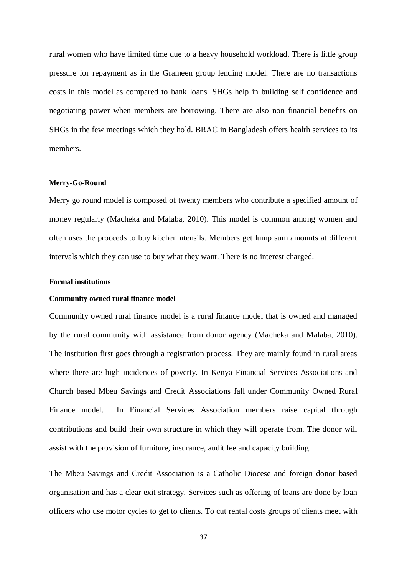rural women who have limited time due to a heavy household workload. There is little group pressure for repayment as in the Grameen group lending model. There are no transactions costs in this model as compared to bank loans. SHGs help in building self confidence and negotiating power when members are borrowing. There are also non financial benefits on SHGs in the few meetings which they hold. BRAC in Bangladesh offers health services to its members.

## **Merry-Go-Round**

Merry go round model is composed of twenty members who contribute a specified amount of money regularly (Macheka and Malaba, 2010). This model is common among women and often uses the proceeds to buy kitchen utensils. Members get lump sum amounts at different intervals which they can use to buy what they want. There is no interest charged.

### **Formal institutions**

#### **Community owned rural finance model**

Community owned rural finance model is a rural finance model that is owned and managed by the rural community with assistance from donor agency (Macheka and Malaba, 2010). The institution first goes through a registration process. They are mainly found in rural areas where there are high incidences of poverty. In Kenya Financial Services Associations and Church based Mbeu Savings and Credit Associations fall under Community Owned Rural Finance model. In Financial Services Association members raise capital through contributions and build their own structure in which they will operate from. The donor will assist with the provision of furniture, insurance, audit fee and capacity building.

The Mbeu Savings and Credit Association is a Catholic Diocese and foreign donor based organisation and has a clear exit strategy. Services such as offering of loans are done by loan officers who use motor cycles to get to clients. To cut rental costs groups of clients meet with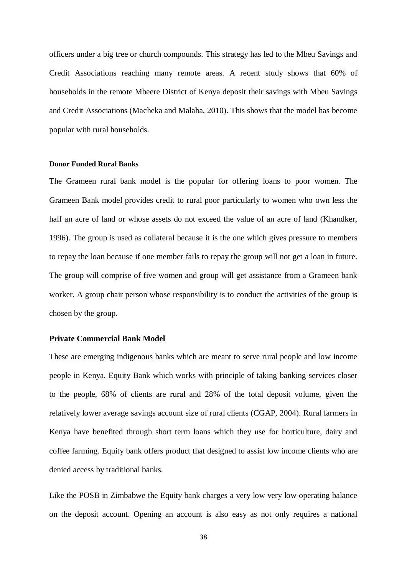officers under a big tree or church compounds. This strategy has led to the Mbeu Savings and Credit Associations reaching many remote areas. A recent study shows that 60% of households in the remote Mbeere District of Kenya deposit their savings with Mbeu Savings and Credit Associations (Macheka and Malaba, 2010). This shows that the model has become popular with rural households.

### **Donor Funded Rural Banks**

The Grameen rural bank model is the popular for offering loans to poor women. The Grameen Bank model provides credit to rural poor particularly to women who own less the half an acre of land or whose assets do not exceed the value of an acre of land (Khandker, 1996). The group is used as collateral because it is the one which gives pressure to members to repay the loan because if one member fails to repay the group will not get a loan in future. The group will comprise of five women and group will get assistance from a Grameen bank worker. A group chair person whose responsibility is to conduct the activities of the group is chosen by the group.

### **Private Commercial Bank Model**

These are emerging indigenous banks which are meant to serve rural people and low income people in Kenya. Equity Bank which works with principle of taking banking services closer to the people, 68% of clients are rural and 28% of the total deposit volume, given the relatively lower average savings account size of rural clients (CGAP, 2004). Rural farmers in Kenya have benefited through short term loans which they use for horticulture, dairy and coffee farming. Equity bank offers product that designed to assist low income clients who are denied access by traditional banks.

Like the POSB in Zimbabwe the Equity bank charges a very low very low operating balance on the deposit account. Opening an account is also easy as not only requires a national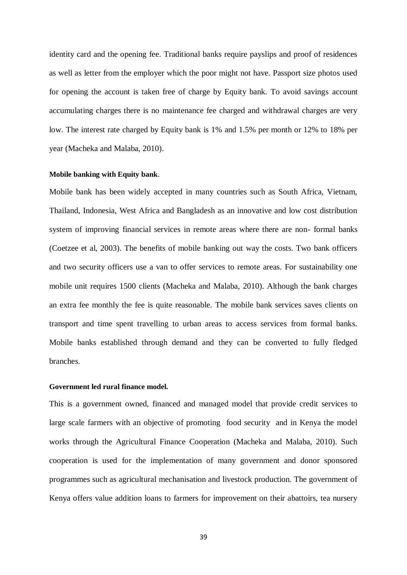identity card and the opening fee. Traditional banks require payslips and proof of residences as well as letter from the employer which the poor might not have. Passport size photos used for opening the account is taken free of charge by Equity bank. To avoid savings account accumulating charges there is no maintenance fee charged and withdrawal charges are very low. The interest rate charged by Equity bank is 1% and 1.5% per month or 12% to 18% per year (Macheka and Malaba, 2010).

## **Mobile banking with Equity bank**.

Mobile bank has been widely accepted in many countries such as South Africa, Vietnam, Thailand, Indonesia, West Africa and Bangladesh as an innovative and low cost distribution system of improving financial services in remote areas where there are non- formal banks (Coetzee et al, 2003). The benefits of mobile banking out way the costs. Two bank officers and two security officers use a van to offer services to remote areas. For sustainability one mobile unit requires 1500 clients (Macheka and Malaba, 2010). Although the bank charges an extra fee monthly the fee is quite reasonable. The mobile bank services saves clients on transport and time spent travelling to urban areas to access services from formal banks. Mobile banks established through demand and they can be converted to fully fledged branches.

# **Government led rural finance model.**

This is a government owned, financed and managed model that provide credit services to large scale farmers with an objective of promoting food security and in Kenya the model works through the Agricultural Finance Cooperation (Macheka and Malaba, 2010). Such cooperation is used for the implementation of many government and donor sponsored programmes such as agricultural mechanisation and livestock production. The government of Kenya offers value addition loans to farmers for improvement on their abattoirs, tea nursery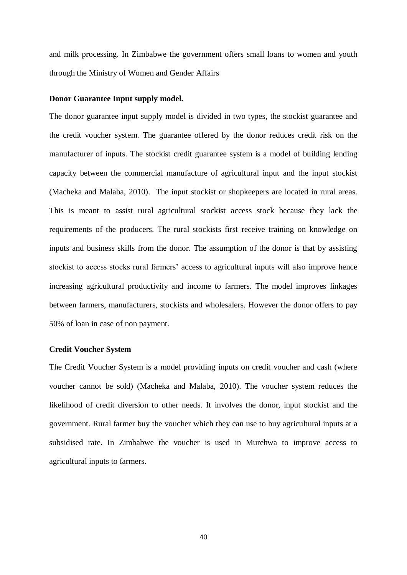and milk processing. In Zimbabwe the government offers small loans to women and youth through the Ministry of Women and Gender Affairs

# **Donor Guarantee Input supply model.**

The donor guarantee input supply model is divided in two types, the stockist guarantee and the credit voucher system. The guarantee offered by the donor reduces credit risk on the manufacturer of inputs. The stockist credit guarantee system is a model of building lending capacity between the commercial manufacture of agricultural input and the input stockist (Macheka and Malaba, 2010). The input stockist or shopkeepers are located in rural areas. This is meant to assist rural agricultural stockist access stock because they lack the requirements of the producers. The rural stockists first receive training on knowledge on inputs and business skills from the donor. The assumption of the donor is that by assisting stockist to access stocks rural farmers' access to agricultural inputs will also improve hence increasing agricultural productivity and income to farmers. The model improves linkages between farmers, manufacturers, stockists and wholesalers. However the donor offers to pay 50% of loan in case of non payment.

# **Credit Voucher System**

The Credit Voucher System is a model providing inputs on credit voucher and cash (where voucher cannot be sold) (Macheka and Malaba, 2010). The voucher system reduces the likelihood of credit diversion to other needs. It involves the donor, input stockist and the government. Rural farmer buy the voucher which they can use to buy agricultural inputs at a subsidised rate. In Zimbabwe the voucher is used in Murehwa to improve access to agricultural inputs to farmers.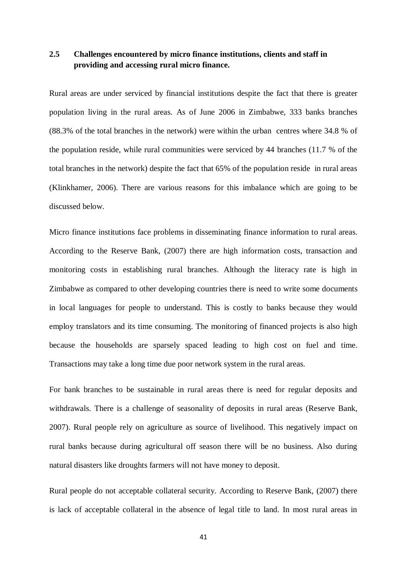# **2.5 Challenges encountered by micro finance institutions, clients and staff in providing and accessing rural micro finance.**

Rural areas are under serviced by financial institutions despite the fact that there is greater population living in the rural areas. As of June 2006 in Zimbabwe, 333 banks branches (88.3% of the total branches in the network) were within the urban centres where 34.8 % of the population reside, while rural communities were serviced by 44 branches (11.7 % of the total branches in the network) despite the fact that 65% of the population reside in rural areas (Klinkhamer, 2006). There are various reasons for this imbalance which are going to be discussed below.

Micro finance institutions face problems in disseminating finance information to rural areas. According to the Reserve Bank, (2007) there are high information costs, transaction and monitoring costs in establishing rural branches. Although the literacy rate is high in Zimbabwe as compared to other developing countries there is need to write some documents in local languages for people to understand. This is costly to banks because they would employ translators and its time consuming. The monitoring of financed projects is also high because the households are sparsely spaced leading to high cost on fuel and time. Transactions may take a long time due poor network system in the rural areas.

For bank branches to be sustainable in rural areas there is need for regular deposits and withdrawals. There is a challenge of seasonality of deposits in rural areas (Reserve Bank, 2007). Rural people rely on agriculture as source of livelihood. This negatively impact on rural banks because during agricultural off season there will be no business. Also during natural disasters like droughts farmers will not have money to deposit.

Rural people do not acceptable collateral security. According to Reserve Bank, (2007) there is lack of acceptable collateral in the absence of legal title to land. In most rural areas in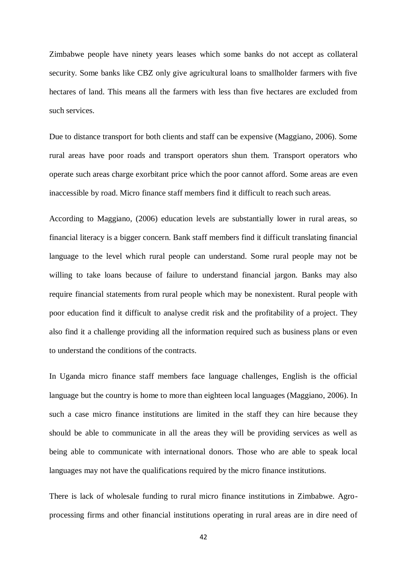Zimbabwe people have ninety years leases which some banks do not accept as collateral security. Some banks like CBZ only give agricultural loans to smallholder farmers with five hectares of land. This means all the farmers with less than five hectares are excluded from such services.

Due to distance transport for both clients and staff can be expensive (Maggiano, 2006). Some rural areas have poor roads and transport operators shun them. Transport operators who operate such areas charge exorbitant price which the poor cannot afford. Some areas are even inaccessible by road. Micro finance staff members find it difficult to reach such areas.

According to Maggiano, (2006) education levels are substantially lower in rural areas, so financial literacy is a bigger concern. Bank staff members find it difficult translating financial language to the level which rural people can understand. Some rural people may not be willing to take loans because of failure to understand financial jargon. Banks may also require financial statements from rural people which may be nonexistent. Rural people with poor education find it difficult to analyse credit risk and the profitability of a project. They also find it a challenge providing all the information required such as business plans or even to understand the conditions of the contracts.

In Uganda micro finance staff members face language challenges, English is the official language but the country is home to more than eighteen local languages (Maggiano, 2006). In such a case micro finance institutions are limited in the staff they can hire because they should be able to communicate in all the areas they will be providing services as well as being able to communicate with international donors. Those who are able to speak local languages may not have the qualifications required by the micro finance institutions.

There is lack of wholesale funding to rural micro finance institutions in Zimbabwe. Agroprocessing firms and other financial institutions operating in rural areas are in dire need of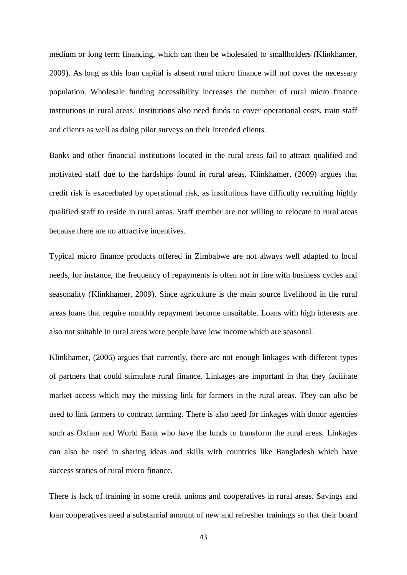medium or long term financing, which can then be wholesaled to smallholders (Klinkhamer, 2009). As long as this loan capital is absent rural micro finance will not cover the necessary population. Wholesale funding accessibility increases the number of rural micro finance institutions in rural areas. Institutions also need funds to cover operational costs, train staff and clients as well as doing pilot surveys on their intended clients.

Banks and other financial institutions located in the rural areas fail to attract qualified and motivated staff due to the hardships found in rural areas. Klinkhamer, (2009) argues that credit risk is exacerbated by operational risk, as institutions have difficulty recruiting highly qualified staff to reside in rural areas. Staff member are not willing to relocate to rural areas because there are no attractive incentives.

Typical micro finance products offered in Zimbabwe are not always well adapted to local needs, for instance, the frequency of repayments is often not in line with business cycles and seasonality (Klinkhamer, 2009). Since agriculture is the main source livelihood in the rural areas loans that require monthly repayment become unsuitable. Loans with high interests are also not suitable in rural areas were people have low income which are seasonal.

Klinkhamer, (2006) argues that currently, there are not enough linkages with different types of partners that could stimulate rural finance. Linkages are important in that they facilitate market access which may the missing link for farmers in the rural areas. They can also be used to link farmers to contract farming. There is also need for linkages with donor agencies such as Oxfam and World Bank who have the funds to transform the rural areas. Linkages can also be used in sharing ideas and skills with countries like Bangladesh which have success stories of rural micro finance.

There is lack of training in some credit unions and cooperatives in rural areas. Savings and loan cooperatives need a substantial amount of new and refresher trainings so that their board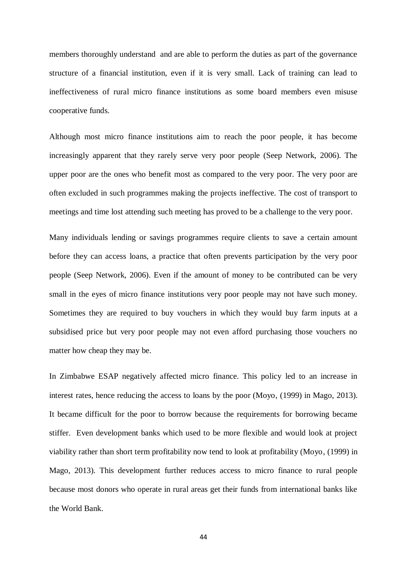members thoroughly understand and are able to perform the duties as part of the governance structure of a financial institution, even if it is very small. Lack of training can lead to ineffectiveness of rural micro finance institutions as some board members even misuse cooperative funds.

Although most micro finance institutions aim to reach the poor people, it has become increasingly apparent that they rarely serve very poor people (Seep Network, 2006). The upper poor are the ones who benefit most as compared to the very poor. The very poor are often excluded in such programmes making the projects ineffective. The cost of transport to meetings and time lost attending such meeting has proved to be a challenge to the very poor.

Many individuals lending or savings programmes require clients to save a certain amount before they can access loans, a practice that often prevents participation by the very poor people (Seep Network, 2006). Even if the amount of money to be contributed can be very small in the eyes of micro finance institutions very poor people may not have such money. Sometimes they are required to buy vouchers in which they would buy farm inputs at a subsidised price but very poor people may not even afford purchasing those vouchers no matter how cheap they may be.

In Zimbabwe ESAP negatively affected micro finance. This policy led to an increase in interest rates, hence reducing the access to loans by the poor (Moyo, (1999) in Mago, 2013). It became difficult for the poor to borrow because the requirements for borrowing became stiffer. Even development banks which used to be more flexible and would look at project viability rather than short term profitability now tend to look at profitability (Moyo, (1999) in Mago, 2013). This development further reduces access to micro finance to rural people because most donors who operate in rural areas get their funds from international banks like the World Bank.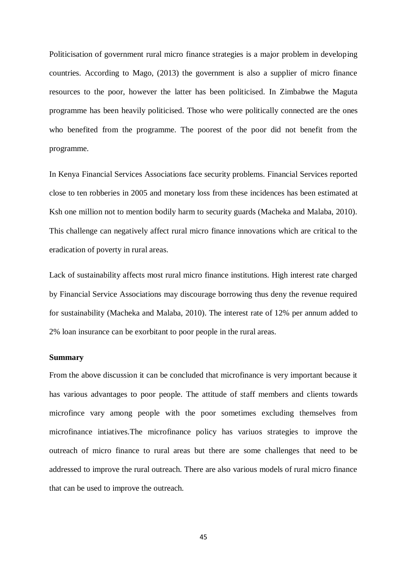Politicisation of government rural micro finance strategies is a major problem in developing countries. According to Mago, (2013) the government is also a supplier of micro finance resources to the poor, however the latter has been politicised. In Zimbabwe the Maguta programme has been heavily politicised. Those who were politically connected are the ones who benefited from the programme. The poorest of the poor did not benefit from the programme.

In Kenya Financial Services Associations face security problems. Financial Services reported close to ten robberies in 2005 and monetary loss from these incidences has been estimated at Ksh one million not to mention bodily harm to security guards (Macheka and Malaba, 2010). This challenge can negatively affect rural micro finance innovations which are critical to the eradication of poverty in rural areas.

Lack of sustainability affects most rural micro finance institutions. High interest rate charged by Financial Service Associations may discourage borrowing thus deny the revenue required for sustainability (Macheka and Malaba, 2010). The interest rate of 12% per annum added to 2% loan insurance can be exorbitant to poor people in the rural areas.

## **Summary**

From the above discussion it can be concluded that microfinance is very important because it has various advantages to poor people. The attitude of staff members and clients towards microfince vary among people with the poor sometimes excluding themselves from microfinance intiatives.The microfinance policy has variuos strategies to improve the outreach of micro finance to rural areas but there are some challenges that need to be addressed to improve the rural outreach. There are also various models of rural micro finance that can be used to improve the outreach.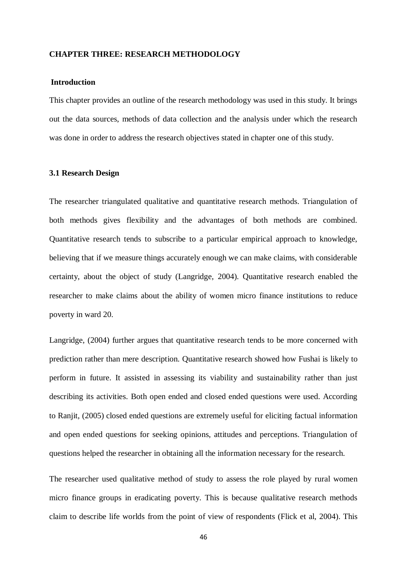### **CHAPTER THREE: RESEARCH METHODOLOGY**

# **Introduction**

This chapter provides an outline of the research methodology was used in this study. It brings out the data sources, methods of data collection and the analysis under which the research was done in order to address the research objectives stated in chapter one of this study.

### **3.1 Research Design**

The researcher triangulated qualitative and quantitative research methods. Triangulation of both methods gives flexibility and the advantages of both methods are combined. Quantitative research tends to subscribe to a particular empirical approach to knowledge, believing that if we measure things accurately enough we can make claims, with considerable certainty, about the object of study (Langridge, 2004). Quantitative research enabled the researcher to make claims about the ability of women micro finance institutions to reduce poverty in ward 20.

Langridge, (2004) further argues that quantitative research tends to be more concerned with prediction rather than mere description. Quantitative research showed how Fushai is likely to perform in future. It assisted in assessing its viability and sustainability rather than just describing its activities. Both open ended and closed ended questions were used. According to Ranjit, (2005) closed ended questions are extremely useful for eliciting factual information and open ended questions for seeking opinions, attitudes and perceptions. Triangulation of questions helped the researcher in obtaining all the information necessary for the research.

The researcher used qualitative method of study to assess the role played by rural women micro finance groups in eradicating poverty. This is because qualitative research methods claim to describe life worlds from the point of view of respondents (Flick et al, 2004). This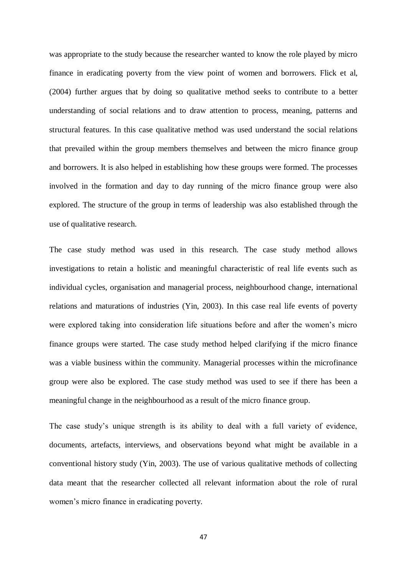was appropriate to the study because the researcher wanted to know the role played by micro finance in eradicating poverty from the view point of women and borrowers. Flick et al, (2004) further argues that by doing so qualitative method seeks to contribute to a better understanding of social relations and to draw attention to process, meaning, patterns and structural features. In this case qualitative method was used understand the social relations that prevailed within the group members themselves and between the micro finance group and borrowers. It is also helped in establishing how these groups were formed. The processes involved in the formation and day to day running of the micro finance group were also explored. The structure of the group in terms of leadership was also established through the use of qualitative research.

The case study method was used in this research. The case study method allows investigations to retain a holistic and meaningful characteristic of real life events such as individual cycles, organisation and managerial process, neighbourhood change, international relations and maturations of industries (Yin, 2003). In this case real life events of poverty were explored taking into consideration life situations before and after the women's micro finance groups were started. The case study method helped clarifying if the micro finance was a viable business within the community. Managerial processes within the microfinance group were also be explored. The case study method was used to see if there has been a meaningful change in the neighbourhood as a result of the micro finance group.

The case study's unique strength is its ability to deal with a full variety of evidence, documents, artefacts, interviews, and observations beyond what might be available in a conventional history study (Yin, 2003). The use of various qualitative methods of collecting data meant that the researcher collected all relevant information about the role of rural women's micro finance in eradicating poverty.

47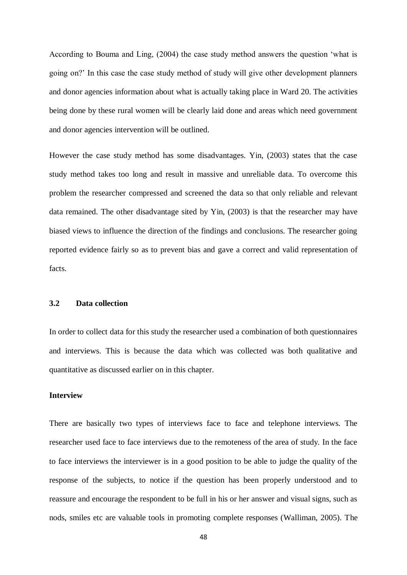According to Bouma and Ling, (2004) the case study method answers the question 'what is going on?' In this case the case study method of study will give other development planners and donor agencies information about what is actually taking place in Ward 20. The activities being done by these rural women will be clearly laid done and areas which need government and donor agencies intervention will be outlined.

However the case study method has some disadvantages. Yin, (2003) states that the case study method takes too long and result in massive and unreliable data. To overcome this problem the researcher compressed and screened the data so that only reliable and relevant data remained. The other disadvantage sited by Yin, (2003) is that the researcher may have biased views to influence the direction of the findings and conclusions. The researcher going reported evidence fairly so as to prevent bias and gave a correct and valid representation of facts.

## **3.2 Data collection**

In order to collect data for this study the researcher used a combination of both questionnaires and interviews. This is because the data which was collected was both qualitative and quantitative as discussed earlier on in this chapter.

# **Interview**

There are basically two types of interviews face to face and telephone interviews. The researcher used face to face interviews due to the remoteness of the area of study. In the face to face interviews the interviewer is in a good position to be able to judge the quality of the response of the subjects, to notice if the question has been properly understood and to reassure and encourage the respondent to be full in his or her answer and visual signs, such as nods, smiles etc are valuable tools in promoting complete responses (Walliman, 2005). The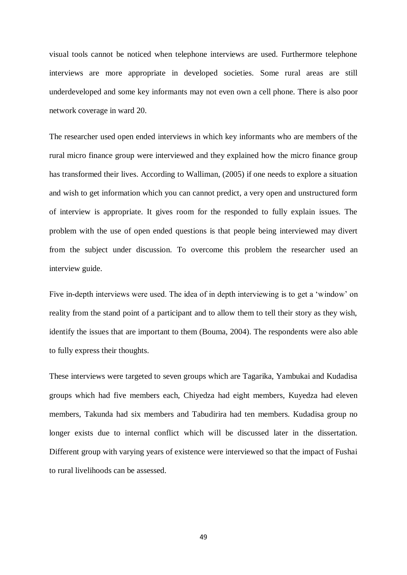visual tools cannot be noticed when telephone interviews are used. Furthermore telephone interviews are more appropriate in developed societies. Some rural areas are still underdeveloped and some key informants may not even own a cell phone. There is also poor network coverage in ward 20.

The researcher used open ended interviews in which key informants who are members of the rural micro finance group were interviewed and they explained how the micro finance group has transformed their lives. According to Walliman, (2005) if one needs to explore a situation and wish to get information which you can cannot predict, a very open and unstructured form of interview is appropriate. It gives room for the responded to fully explain issues. The problem with the use of open ended questions is that people being interviewed may divert from the subject under discussion. To overcome this problem the researcher used an interview guide.

Five in-depth interviews were used. The idea of in depth interviewing is to get a 'window' on reality from the stand point of a participant and to allow them to tell their story as they wish, identify the issues that are important to them (Bouma, 2004). The respondents were also able to fully express their thoughts.

These interviews were targeted to seven groups which are Tagarika, Yambukai and Kudadisa groups which had five members each, Chiyedza had eight members, Kuyedza had eleven members, Takunda had six members and Tabudirira had ten members. Kudadisa group no longer exists due to internal conflict which will be discussed later in the dissertation. Different group with varying years of existence were interviewed so that the impact of Fushai to rural livelihoods can be assessed.

49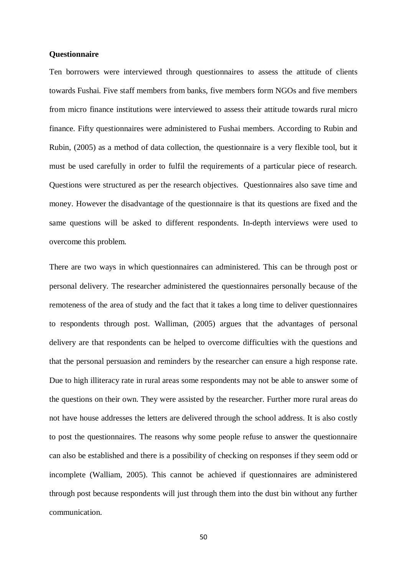## **Questionnaire**

Ten borrowers were interviewed through questionnaires to assess the attitude of clients towards Fushai. Five staff members from banks, five members form NGOs and five members from micro finance institutions were interviewed to assess their attitude towards rural micro finance. Fifty questionnaires were administered to Fushai members. According to Rubin and Rubin, (2005) as a method of data collection, the questionnaire is a very flexible tool, but it must be used carefully in order to fulfil the requirements of a particular piece of research. Questions were structured as per the research objectives. Questionnaires also save time and money. However the disadvantage of the questionnaire is that its questions are fixed and the same questions will be asked to different respondents. In-depth interviews were used to overcome this problem.

There are two ways in which questionnaires can administered. This can be through post or personal delivery. The researcher administered the questionnaires personally because of the remoteness of the area of study and the fact that it takes a long time to deliver questionnaires to respondents through post. Walliman, (2005) argues that the advantages of personal delivery are that respondents can be helped to overcome difficulties with the questions and that the personal persuasion and reminders by the researcher can ensure a high response rate. Due to high illiteracy rate in rural areas some respondents may not be able to answer some of the questions on their own. They were assisted by the researcher. Further more rural areas do not have house addresses the letters are delivered through the school address. It is also costly to post the questionnaires. The reasons why some people refuse to answer the questionnaire can also be established and there is a possibility of checking on responses if they seem odd or incomplete (Walliam, 2005). This cannot be achieved if questionnaires are administered through post because respondents will just through them into the dust bin without any further communication.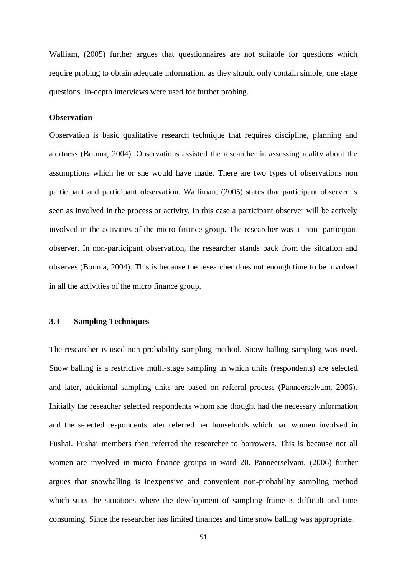Walliam, (2005) further argues that questionnaires are not suitable for questions which require probing to obtain adequate information, as they should only contain simple, one stage questions. In-depth interviews were used for further probing.

## **Observation**

Observation is basic qualitative research technique that requires discipline, planning and alertness (Bouma, 2004). Observations assisted the researcher in assessing reality about the assumptions which he or she would have made. There are two types of observations non participant and participant observation. Walliman, (2005) states that participant observer is seen as involved in the process or activity. In this case a participant observer will be actively involved in the activities of the micro finance group. The researcher was a non- participant observer. In non-participant observation, the researcher stands back from the situation and observes (Bouma, 2004). This is because the researcher does not enough time to be involved in all the activities of the micro finance group.

# **3.3 Sampling Techniques**

The researcher is used non probability sampling method. Snow balling sampling was used. Snow balling is a restrictive multi-stage sampling in which units (respondents) are selected and later, additional sampling units are based on referral process (Panneerselvam, 2006). Initially the reseacher selected respondents whom she thought had the necessary information and the selected respondents later referred her households which had women involved in Fushai. Fushai members then referred the researcher to borrowers. This is because not all women are involved in micro finance groups in ward 20. Panneerselvam, (2006) further argues that snowballing is inexpensive and convenient non-probability sampling method which suits the situations where the development of sampling frame is difficult and time consuming. Since the researcher has limited finances and time snow balling was appropriate.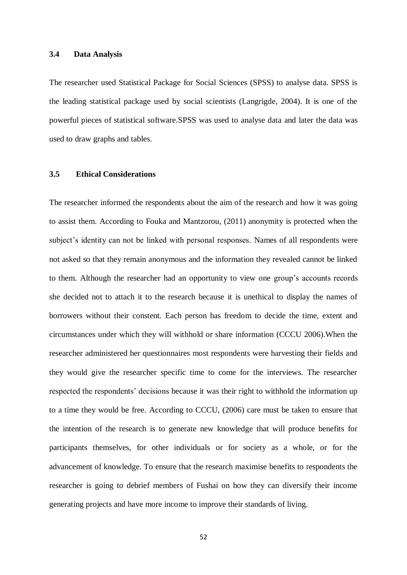### **3.4 Data Analysis**

The researcher used Statistical Package for Social Sciences (SPSS) to analyse data. SPSS is the leading statistical package used by social scientists (Langrigde, 2004). It is one of the powerful pieces of statistical software.SPSS was used to analyse data and later the data was used to draw graphs and tables.

## **3.5 Ethical Considerations**

The researcher informed the respondents about the aim of the research and how it was going to assist them. According to Fouka and Mantzorou, (2011) anonymity is protected when the subject's identity can not be linked with personal responses. Names of all respondents were not asked so that they remain anonymous and the information they revealed cannot be linked to them. Although the researcher had an opportunity to view one group's accounts records she decided not to attach it to the research because it is unethical to display the names of borrowers without their constent. Each person has freedom to decide the time, extent and circumstances under which they will withhold or share information (CCCU 2006).When the researcher administered her questionnaires most respondents were harvesting their fields and they would give the researcher specific time to come for the interviews. The researcher respected the respondents' decisions because it was their right to withhold the information up to a time they would be free. According to CCCU, (2006) care must be taken to ensure that the intention of the research is to generate new knowledge that will produce benefits for participants themselves, for other individuals or for society as a whole, or for the advancement of knowledge. To ensure that the research maximise benefits to respondents the researcher is going to debrief members of Fushai on how they can diversify their income generating projects and have more income to improve their standards of living.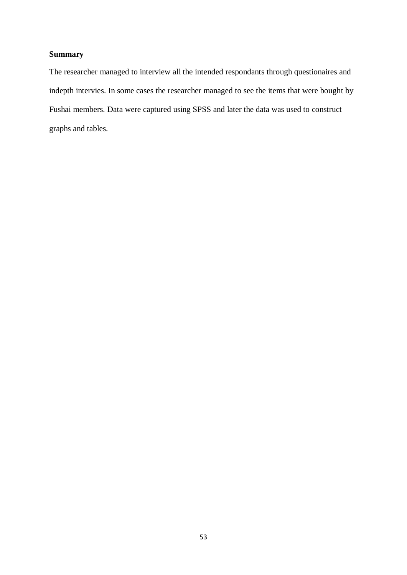# **Summary**

The researcher managed to interview all the intended respondants through questionaires and indepth intervies. In some cases the researcher managed to see the items that were bought by Fushai members. Data were captured using SPSS and later the data was used to construct graphs and tables.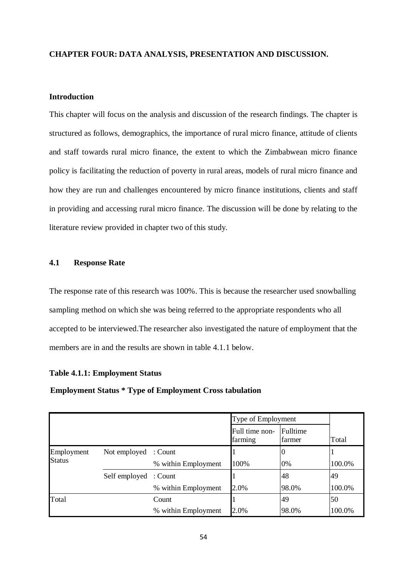# **CHAPTER FOUR: DATA ANALYSIS, PRESENTATION AND DISCUSSION.**

# **Introduction**

This chapter will focus on the analysis and discussion of the research findings. The chapter is structured as follows, demographics, the importance of rural micro finance, attitude of clients and staff towards rural micro finance, the extent to which the Zimbabwean micro finance policy is facilitating the reduction of poverty in rural areas, models of rural micro finance and how they are run and challenges encountered by micro finance institutions, clients and staff in providing and accessing rural micro finance. The discussion will be done by relating to the literature review provided in chapter two of this study.

# **4.1 Response Rate**

The response rate of this research was 100%. This is because the researcher used snowballing sampling method on which she was being referred to the appropriate respondents who all accepted to be interviewed.The researcher also investigated the nature of employment that the members are in and the results are shown in table 4.1.1 below.

## **Table 4.1.1: Employment Status**

## **Employment Status \* Type of Employment Cross tabulation**

|                             |                       |                     | Type of Employment        |                    |        |  |
|-----------------------------|-----------------------|---------------------|---------------------------|--------------------|--------|--|
|                             |                       |                     | Full time non-<br>farming | Fulltime<br>farmer | Total  |  |
| Employment<br><b>Status</b> | Not employed : Count  |                     |                           |                    |        |  |
|                             |                       | % within Employment | 100%                      | 0%                 | 100.0% |  |
|                             | Self employed : Count |                     |                           | 48                 | 49     |  |
|                             |                       | % within Employment | 2.0%                      | 98.0%              | 100.0% |  |
| Total                       |                       | Count               |                           | 49                 | 50     |  |
|                             |                       | % within Employment | 2.0%                      | 98.0%              | 100.0% |  |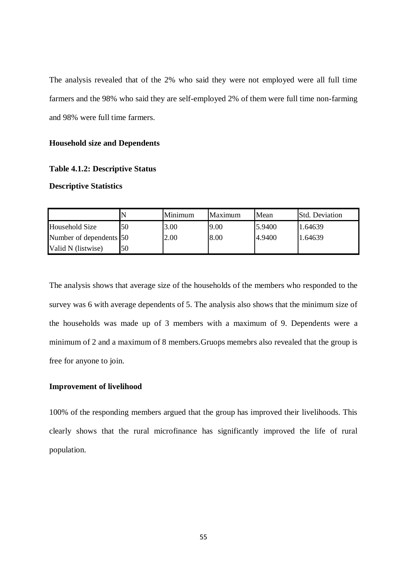The analysis revealed that of the 2% who said they were not employed were all full time farmers and the 98% who said they are self-employed 2% of them were full time non-farming and 98% were full time farmers.

## **Household size and Dependents**

## **Table 4.1.2: Descriptive Status**

### **Descriptive Statistics**

|                         |    | Minimum | <b>Maximum</b> | Mean   | <b>Std. Deviation</b> |
|-------------------------|----|---------|----------------|--------|-----------------------|
| Household Size          | 50 | 3.00    | 9.00           | 5.9400 | 1.64639               |
| Number of dependents 50 |    | 2.00    | 8.00           | 4.9400 | 1.64639               |
| Valid N (listwise)      | 50 |         |                |        |                       |

The analysis shows that average size of the households of the members who responded to the survey was 6 with average dependents of 5. The analysis also shows that the minimum size of the households was made up of 3 members with a maximum of 9. Dependents were a minimum of 2 and a maximum of 8 members.Gruops memebrs also revealed that the group is free for anyone to join.

# **Improvement of livelihood**

100% of the responding members argued that the group has improved their livelihoods. This clearly shows that the rural microfinance has significantly improved the life of rural population.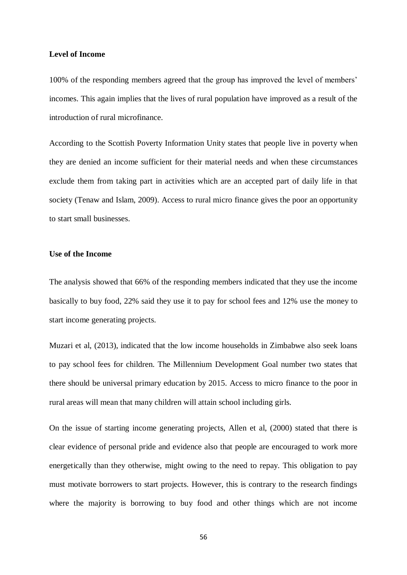### **Level of Income**

100% of the responding members agreed that the group has improved the level of members' incomes. This again implies that the lives of rural population have improved as a result of the introduction of rural microfinance.

According to the Scottish Poverty Information Unity states that people live in poverty when they are denied an income sufficient for their material needs and when these circumstances exclude them from taking part in activities which are an accepted part of daily life in that society (Tenaw and Islam, 2009). Access to rural micro finance gives the poor an opportunity to start small businesses.

# **Use of the Income**

The analysis showed that 66% of the responding members indicated that they use the income basically to buy food, 22% said they use it to pay for school fees and 12% use the money to start income generating projects.

Muzari et al, (2013), indicated that the low income households in Zimbabwe also seek loans to pay school fees for children. The Millennium Development Goal number two states that there should be universal primary education by 2015. Access to micro finance to the poor in rural areas will mean that many children will attain school including girls.

On the issue of starting income generating projects, Allen et al, (2000) stated that there is clear evidence of personal pride and evidence also that people are encouraged to work more energetically than they otherwise, might owing to the need to repay. This obligation to pay must motivate borrowers to start projects. However, this is contrary to the research findings where the majority is borrowing to buy food and other things which are not income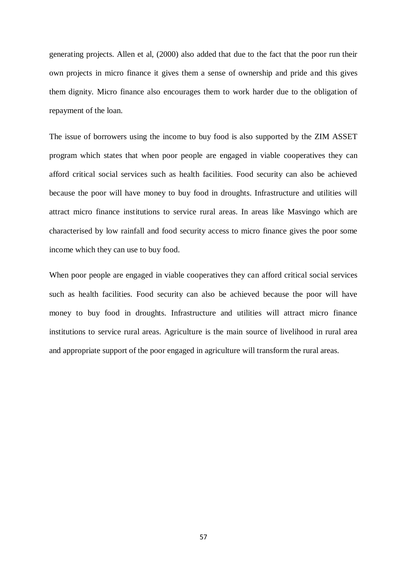generating projects. Allen et al, (2000) also added that due to the fact that the poor run their own projects in micro finance it gives them a sense of ownership and pride and this gives them dignity. Micro finance also encourages them to work harder due to the obligation of repayment of the loan.

The issue of borrowers using the income to buy food is also supported by the ZIM ASSET program which states that when poor people are engaged in viable cooperatives they can afford critical social services such as health facilities. Food security can also be achieved because the poor will have money to buy food in droughts. Infrastructure and utilities will attract micro finance institutions to service rural areas. In areas like Masvingo which are characterised by low rainfall and food security access to micro finance gives the poor some income which they can use to buy food.

When poor people are engaged in viable cooperatives they can afford critical social services such as health facilities. Food security can also be achieved because the poor will have money to buy food in droughts. Infrastructure and utilities will attract micro finance institutions to service rural areas. Agriculture is the main source of livelihood in rural area and appropriate support of the poor engaged in agriculture will transform the rural areas.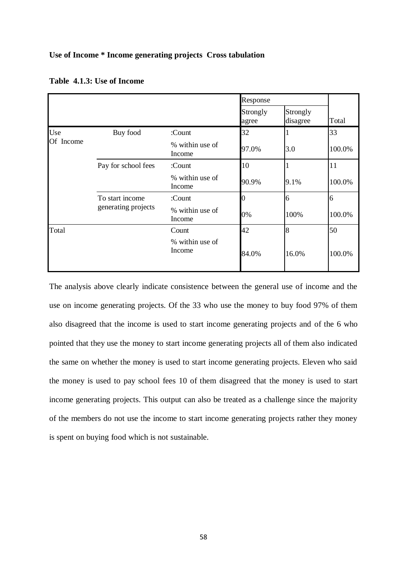## **Use of Income \* Income generating projects Cross tabulation**

|                  |                                        |                           | Response          |                      |        |
|------------------|----------------------------------------|---------------------------|-------------------|----------------------|--------|
|                  |                                        |                           | Strongly<br>agree | Strongly<br>disagree | Total  |
| Use<br>Of Income | Buy food                               | :Count                    | 32                |                      | 33     |
|                  |                                        | % within use of<br>Income | 97.0%             | 3.0                  | 100.0% |
|                  | Pay for school fees                    | :Count                    | 10                |                      | 11     |
|                  |                                        | % within use of<br>Income | 90.9%             | 9.1%                 | 100.0% |
|                  | To start income<br>generating projects | :Count                    | 0                 | 6                    | 6      |
|                  |                                        | % within use of<br>Income | 0%                | 100%                 | 100.0% |
| Total            |                                        | Count                     | 42                | 8                    | 50     |
|                  |                                        | % within use of<br>Income | 84.0%             | 16.0%                | 100.0% |

**Table 4.1.3: Use of Income** 

The analysis above clearly indicate consistence between the general use of income and the use on income generating projects. Of the 33 who use the money to buy food 97% of them also disagreed that the income is used to start income generating projects and of the 6 who pointed that they use the money to start income generating projects all of them also indicated the same on whether the money is used to start income generating projects. Eleven who said the money is used to pay school fees 10 of them disagreed that the money is used to start income generating projects. This output can also be treated as a challenge since the majority of the members do not use the income to start income generating projects rather they money is spent on buying food which is not sustainable.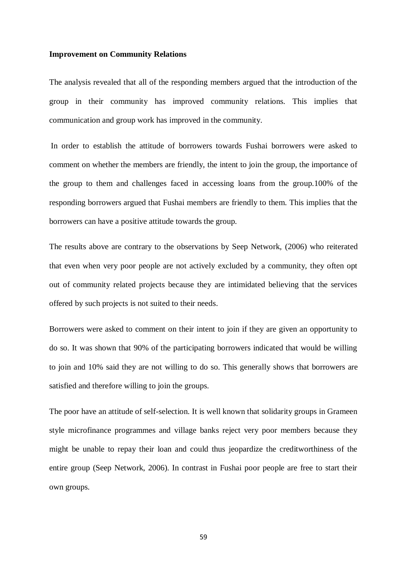### **Improvement on Community Relations**

The analysis revealed that all of the responding members argued that the introduction of the group in their community has improved community relations. This implies that communication and group work has improved in the community.

In order to establish the attitude of borrowers towards Fushai borrowers were asked to comment on whether the members are friendly, the intent to join the group, the importance of the group to them and challenges faced in accessing loans from the group.100% of the responding borrowers argued that Fushai members are friendly to them. This implies that the borrowers can have a positive attitude towards the group.

The results above are contrary to the observations by Seep Network, (2006) who reiterated that even when very poor people are not actively excluded by a community, they often opt out of community related projects because they are intimidated believing that the services offered by such projects is not suited to their needs.

Borrowers were asked to comment on their intent to join if they are given an opportunity to do so. It was shown that 90% of the participating borrowers indicated that would be willing to join and 10% said they are not willing to do so. This generally shows that borrowers are satisfied and therefore willing to join the groups.

The poor have an attitude of self-selection. It is well known that solidarity groups in Grameen style microfinance programmes and village banks reject very poor members because they might be unable to repay their loan and could thus jeopardize the creditworthiness of the entire group (Seep Network, 2006). In contrast in Fushai poor people are free to start their own groups.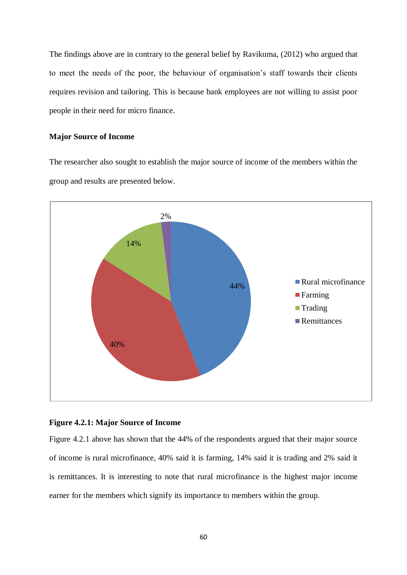The findings above are in contrary to the general belief by Ravikuma, (2012) who argued that to meet the needs of the poor, the behaviour of organisation's staff towards their clients requires revision and tailoring. This is because bank employees are not willing to assist poor people in their need for micro finance.

### **Major Source of Income**

The researcher also sought to establish the major source of income of the members within the group and results are presented below.



## **Figure 4.2.1: Major Source of Income**

Figure 4.2.1 above has shown that the 44% of the respondents argued that their major source of income is rural microfinance, 40% said it is farming, 14% said it is trading and 2% said it is remittances. It is interesting to note that rural microfinance is the highest major income earner for the members which signify its importance to members within the group.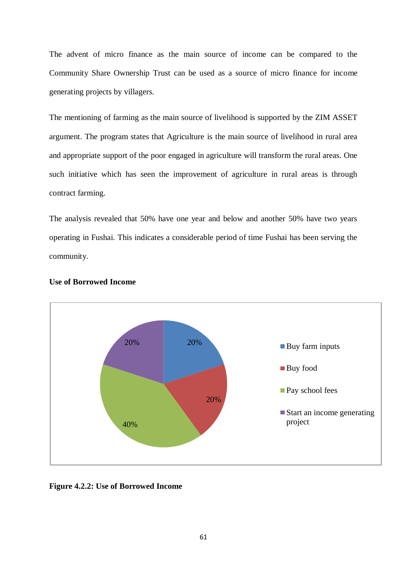The advent of micro finance as the main source of income can be compared to the Community Share Ownership Trust can be used as a source of micro finance for income generating projects by villagers.

The mentioning of farming as the main source of livelihood is supported by the ZIM ASSET argument. The program states that Agriculture is the main source of livelihood in rural area and appropriate support of the poor engaged in agriculture will transform the rural areas. One such initiative which has seen the improvement of agriculture in rural areas is through contract farming.

The analysis revealed that 50% have one year and below and another 50% have two years operating in Fushai. This indicates a considerable period of time Fushai has been serving the community.



## **Use of Borrowed Income**

**Figure 4.2.2: Use of Borrowed Income**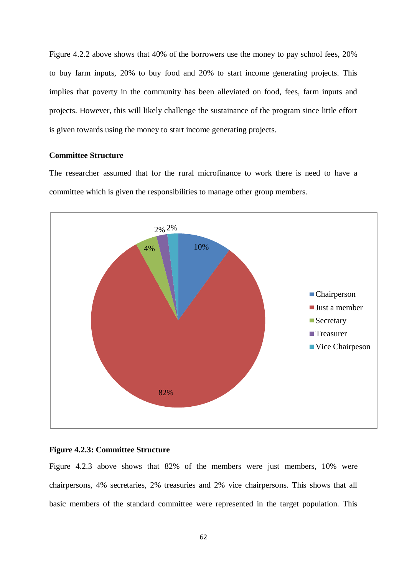Figure 4.2.2 above shows that 40% of the borrowers use the money to pay school fees, 20% to buy farm inputs, 20% to buy food and 20% to start income generating projects. This implies that poverty in the community has been alleviated on food, fees, farm inputs and projects. However, this will likely challenge the sustainance of the program since little effort is given towards using the money to start income generating projects.

## **Committee Structure**

The researcher assumed that for the rural microfinance to work there is need to have a committee which is given the responsibilities to manage other group members.



## **Figure 4.2.3: Committee Structure**

Figure 4.2.3 above shows that 82% of the members were just members, 10% were chairpersons, 4% secretaries, 2% treasuries and 2% vice chairpersons. This shows that all basic members of the standard committee were represented in the target population. This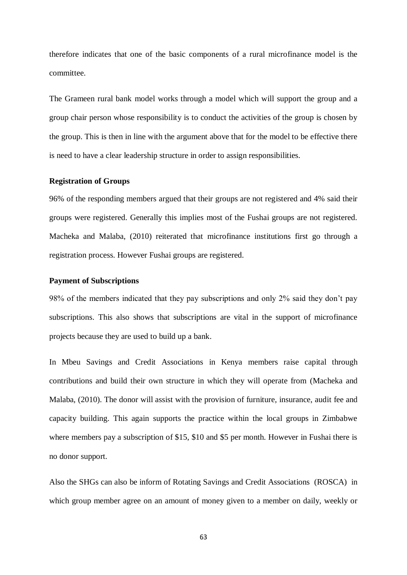therefore indicates that one of the basic components of a rural microfinance model is the committee.

The Grameen rural bank model works through a model which will support the group and a group chair person whose responsibility is to conduct the activities of the group is chosen by the group. This is then in line with the argument above that for the model to be effective there is need to have a clear leadership structure in order to assign responsibilities.

## **Registration of Groups**

96% of the responding members argued that their groups are not registered and 4% said their groups were registered. Generally this implies most of the Fushai groups are not registered. Macheka and Malaba, (2010) reiterated that microfinance institutions first go through a registration process. However Fushai groups are registered.

## **Payment of Subscriptions**

98% of the members indicated that they pay subscriptions and only 2% said they don't pay subscriptions. This also shows that subscriptions are vital in the support of microfinance projects because they are used to build up a bank.

In Mbeu Savings and Credit Associations in Kenya members raise capital through contributions and build their own structure in which they will operate from (Macheka and Malaba, (2010). The donor will assist with the provision of furniture, insurance, audit fee and capacity building. This again supports the practice within the local groups in Zimbabwe where members pay a subscription of \$15, \$10 and \$5 per month. However in Fushai there is no donor support.

Also the SHGs can also be inform of Rotating Savings and Credit Associations (ROSCA) in which group member agree on an amount of money given to a member on daily, weekly or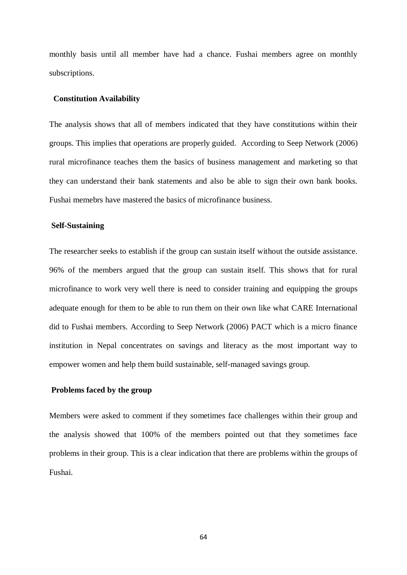monthly basis until all member have had a chance. Fushai members agree on monthly subscriptions.

### **Constitution Availability**

The analysis shows that all of members indicated that they have constitutions within their groups. This implies that operations are properly guided. According to Seep Network (2006) rural microfinance teaches them the basics of business management and marketing so that they can understand their bank statements and also be able to sign their own bank books. Fushai memebrs have mastered the basics of microfinance business.

### **Self-Sustaining**

The researcher seeks to establish if the group can sustain itself without the outside assistance. 96% of the members argued that the group can sustain itself. This shows that for rural microfinance to work very well there is need to consider training and equipping the groups adequate enough for them to be able to run them on their own like what CARE International did to Fushai members. According to Seep Network (2006) PACT which is a micro finance institution in Nepal concentrates on savings and literacy as the most important way to empower women and help them build sustainable, self-managed savings group.

## **Problems faced by the group**

Members were asked to comment if they sometimes face challenges within their group and the analysis showed that 100% of the members pointed out that they sometimes face problems in their group. This is a clear indication that there are problems within the groups of Fushai.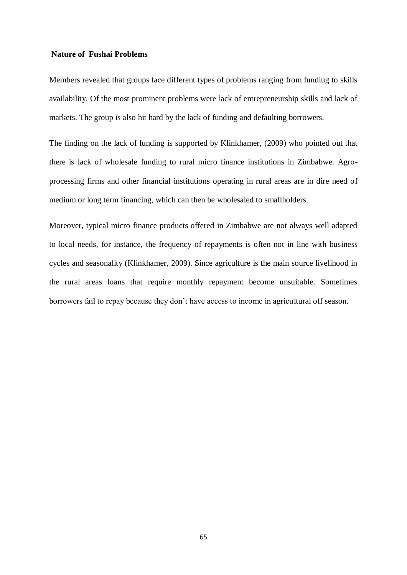# **Nature of Fushai Problems**

Members revealed that groups face different types of problems ranging from funding to skills availability. Of the most prominent problems were lack of entrepreneurship skills and lack of markets. The group is also hit hard by the lack of funding and defaulting borrowers.

The finding on the lack of funding is supported by Klinkhamer, (2009) who pointed out that there is lack of wholesale funding to rural micro finance institutions in Zimbabwe. Agroprocessing firms and other financial institutions operating in rural areas are in dire need of medium or long term financing, which can then be wholesaled to smallholders.

Moreover, typical micro finance products offered in Zimbabwe are not always well adapted to local needs, for instance, the frequency of repayments is often not in line with business cycles and seasonality (Klinkhamer, 2009). Since agriculture is the main source livelihood in the rural areas loans that require monthly repayment become unsuitable. Sometimes borrowers fail to repay because they don't have access to income in agricultural off season.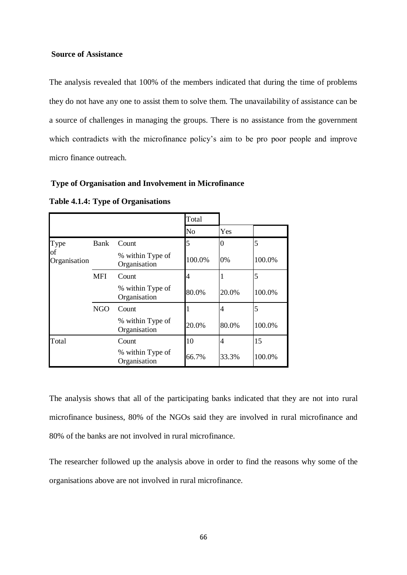# **Source of Assistance**

The analysis revealed that 100% of the members indicated that during the time of problems they do not have any one to assist them to solve them. The unavailability of assistance can be a source of challenges in managing the groups. There is no assistance from the government which contradicts with the microfinance policy's aim to be pro poor people and improve micro finance outreach.

### **Type of Organisation and Involvement in Microfinance**

**Table 4.1.4: Type of Organisations**

|                            |            |                                  | Total  |       |        |
|----------------------------|------------|----------------------------------|--------|-------|--------|
|                            |            |                                  | No     | Yes   |        |
| Type<br>of<br>Organisation | Bank       | Count                            |        | 0     | 5      |
|                            |            | % within Type of<br>Organisation | 100.0% | 0%    | 100.0% |
|                            | <b>MFI</b> | Count                            |        |       | 5      |
|                            |            | % within Type of<br>Organisation | 80.0%  | 20.0% | 100.0% |
|                            | <b>NGO</b> | Count                            |        |       | 5      |
|                            |            | % within Type of<br>Organisation | 20.0%  | 80.0% | 100.0% |
| Total                      |            | Count                            | 10     | 4     | 15     |
|                            |            | % within Type of<br>Organisation | 66.7%  | 33.3% | 100.0% |

The analysis shows that all of the participating banks indicated that they are not into rural microfinance business, 80% of the NGOs said they are involved in rural microfinance and 80% of the banks are not involved in rural microfinance.

The researcher followed up the analysis above in order to find the reasons why some of the organisations above are not involved in rural microfinance.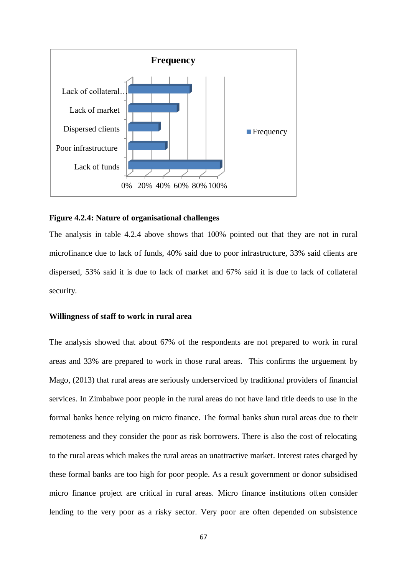

#### **Figure 4.2.4: Nature of organisational challenges**

The analysis in table 4.2.4 above shows that 100% pointed out that they are not in rural microfinance due to lack of funds, 40% said due to poor infrastructure, 33% said clients are dispersed, 53% said it is due to lack of market and 67% said it is due to lack of collateral security.

#### **Willingness of staff to work in rural area**

The analysis showed that about 67% of the respondents are not prepared to work in rural areas and 33% are prepared to work in those rural areas. This confirms the urguement by Mago, (2013) that rural areas are seriously underserviced by traditional providers of financial services. In Zimbabwe poor people in the rural areas do not have land title deeds to use in the formal banks hence relying on micro finance. The formal banks shun rural areas due to their remoteness and they consider the poor as risk borrowers. There is also the cost of relocating to the rural areas which makes the rural areas an unattractive market. Interest rates charged by these formal banks are too high for poor people. As a result government or donor subsidised micro finance project are critical in rural areas. Micro finance institutions often consider lending to the very poor as a risky sector. Very poor are often depended on subsistence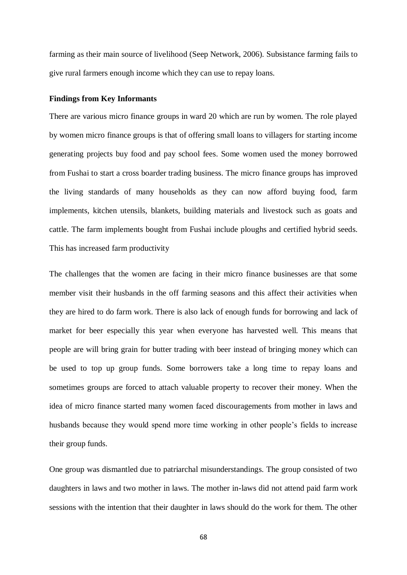farming as their main source of livelihood (Seep Network, 2006). Subsistance farming fails to give rural farmers enough income which they can use to repay loans.

#### **Findings from Key Informants**

There are various micro finance groups in ward 20 which are run by women. The role played by women micro finance groups is that of offering small loans to villagers for starting income generating projects buy food and pay school fees. Some women used the money borrowed from Fushai to start a cross boarder trading business. The micro finance groups has improved the living standards of many households as they can now afford buying food, farm implements, kitchen utensils, blankets, building materials and livestock such as goats and cattle. The farm implements bought from Fushai include ploughs and certified hybrid seeds. This has increased farm productivity

The challenges that the women are facing in their micro finance businesses are that some member visit their husbands in the off farming seasons and this affect their activities when they are hired to do farm work. There is also lack of enough funds for borrowing and lack of market for beer especially this year when everyone has harvested well. This means that people are will bring grain for butter trading with beer instead of bringing money which can be used to top up group funds. Some borrowers take a long time to repay loans and sometimes groups are forced to attach valuable property to recover their money. When the idea of micro finance started many women faced discouragements from mother in laws and husbands because they would spend more time working in other people's fields to increase their group funds.

One group was dismantled due to patriarchal misunderstandings. The group consisted of two daughters in laws and two mother in laws. The mother in-laws did not attend paid farm work sessions with the intention that their daughter in laws should do the work for them. The other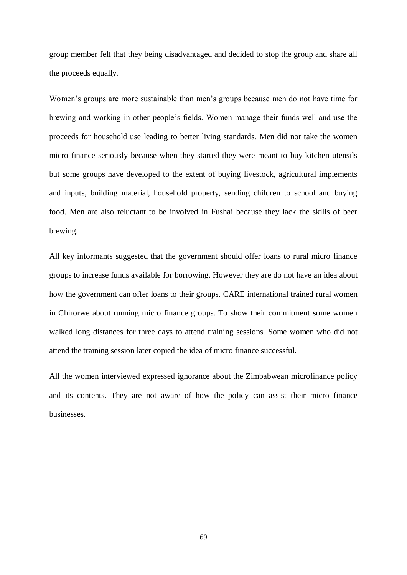group member felt that they being disadvantaged and decided to stop the group and share all the proceeds equally.

Women's groups are more sustainable than men's groups because men do not have time for brewing and working in other people's fields. Women manage their funds well and use the proceeds for household use leading to better living standards. Men did not take the women micro finance seriously because when they started they were meant to buy kitchen utensils but some groups have developed to the extent of buying livestock, agricultural implements and inputs, building material, household property, sending children to school and buying food. Men are also reluctant to be involved in Fushai because they lack the skills of beer brewing.

All key informants suggested that the government should offer loans to rural micro finance groups to increase funds available for borrowing. However they are do not have an idea about how the government can offer loans to their groups. CARE international trained rural women in Chirorwe about running micro finance groups. To show their commitment some women walked long distances for three days to attend training sessions. Some women who did not attend the training session later copied the idea of micro finance successful.

All the women interviewed expressed ignorance about the Zimbabwean microfinance policy and its contents. They are not aware of how the policy can assist their micro finance businesses.

69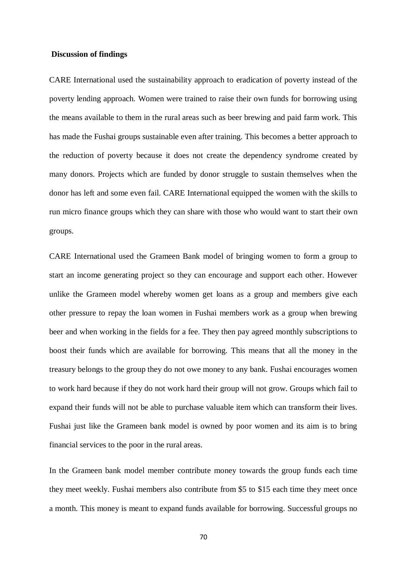#### **Discussion of findings**

CARE International used the sustainability approach to eradication of poverty instead of the poverty lending approach. Women were trained to raise their own funds for borrowing using the means available to them in the rural areas such as beer brewing and paid farm work. This has made the Fushai groups sustainable even after training. This becomes a better approach to the reduction of poverty because it does not create the dependency syndrome created by many donors. Projects which are funded by donor struggle to sustain themselves when the donor has left and some even fail. CARE International equipped the women with the skills to run micro finance groups which they can share with those who would want to start their own groups.

CARE International used the Grameen Bank model of bringing women to form a group to start an income generating project so they can encourage and support each other. However unlike the Grameen model whereby women get loans as a group and members give each other pressure to repay the loan women in Fushai members work as a group when brewing beer and when working in the fields for a fee. They then pay agreed monthly subscriptions to boost their funds which are available for borrowing. This means that all the money in the treasury belongs to the group they do not owe money to any bank. Fushai encourages women to work hard because if they do not work hard their group will not grow. Groups which fail to expand their funds will not be able to purchase valuable item which can transform their lives. Fushai just like the Grameen bank model is owned by poor women and its aim is to bring financial services to the poor in the rural areas.

In the Grameen bank model member contribute money towards the group funds each time they meet weekly. Fushai members also contribute from \$5 to \$15 each time they meet once a month. This money is meant to expand funds available for borrowing. Successful groups no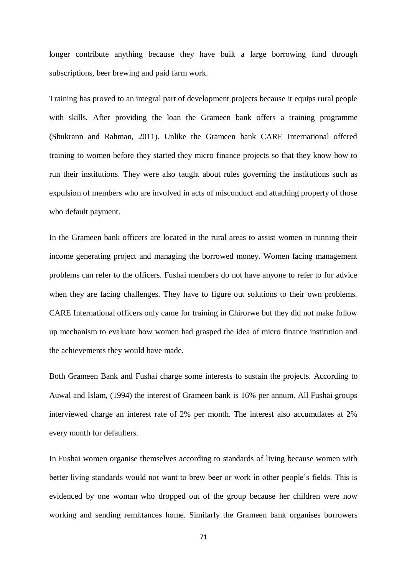longer contribute anything because they have built a large borrowing fund through subscriptions, beer brewing and paid farm work.

Training has proved to an integral part of development projects because it equips rural people with skills. After providing the loan the Grameen bank offers a training programme (Shukrann and Rahman, 2011). Unlike the Grameen bank CARE International offered training to women before they started they micro finance projects so that they know how to run their institutions. They were also taught about rules governing the institutions such as expulsion of members who are involved in acts of misconduct and attaching property of those who default payment.

In the Grameen bank officers are located in the rural areas to assist women in running their income generating project and managing the borrowed money. Women facing management problems can refer to the officers. Fushai members do not have anyone to refer to for advice when they are facing challenges. They have to figure out solutions to their own problems. CARE International officers only came for training in Chirorwe but they did not make follow up mechanism to evaluate how women had grasped the idea of micro finance institution and the achievements they would have made.

Both Grameen Bank and Fushai charge some interests to sustain the projects. According to Auwal and Islam, (1994) the interest of Grameen bank is 16% per annum. All Fushai groups interviewed charge an interest rate of 2% per month. The interest also accumulates at 2% every month for defaulters.

In Fushai women organise themselves according to standards of living because women with better living standards would not want to brew beer or work in other people's fields. This is evidenced by one woman who dropped out of the group because her children were now working and sending remittances home. Similarly the Grameen bank organises borrowers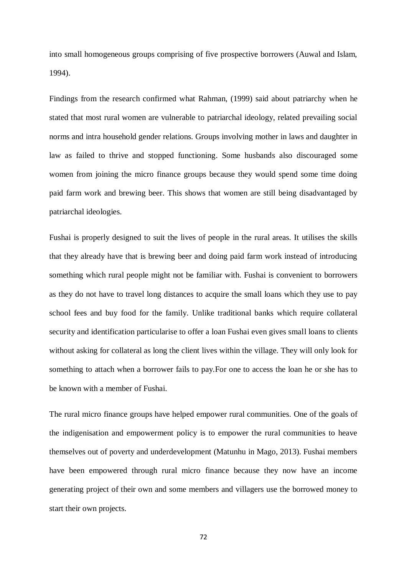into small homogeneous groups comprising of five prospective borrowers (Auwal and Islam, 1994).

Findings from the research confirmed what Rahman, (1999) said about patriarchy when he stated that most rural women are vulnerable to patriarchal ideology, related prevailing social norms and intra household gender relations. Groups involving mother in laws and daughter in law as failed to thrive and stopped functioning. Some husbands also discouraged some women from joining the micro finance groups because they would spend some time doing paid farm work and brewing beer. This shows that women are still being disadvantaged by patriarchal ideologies.

Fushai is properly designed to suit the lives of people in the rural areas. It utilises the skills that they already have that is brewing beer and doing paid farm work instead of introducing something which rural people might not be familiar with. Fushai is convenient to borrowers as they do not have to travel long distances to acquire the small loans which they use to pay school fees and buy food for the family. Unlike traditional banks which require collateral security and identification particularise to offer a loan Fushai even gives small loans to clients without asking for collateral as long the client lives within the village. They will only look for something to attach when a borrower fails to pay.For one to access the loan he or she has to be known with a member of Fushai.

The rural micro finance groups have helped empower rural communities. One of the goals of the indigenisation and empowerment policy is to empower the rural communities to heave themselves out of poverty and underdevelopment (Matunhu in Mago, 2013). Fushai members have been empowered through rural micro finance because they now have an income generating project of their own and some members and villagers use the borrowed money to start their own projects.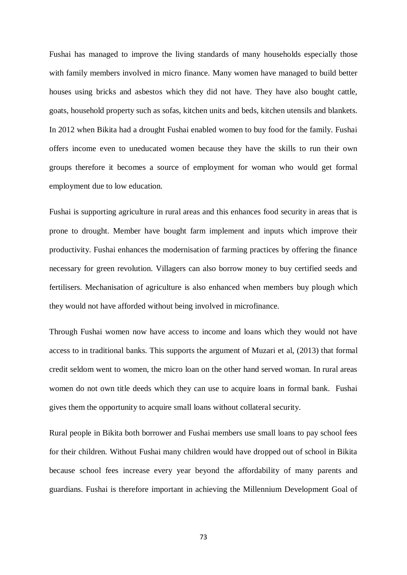Fushai has managed to improve the living standards of many households especially those with family members involved in micro finance. Many women have managed to build better houses using bricks and asbestos which they did not have. They have also bought cattle, goats, household property such as sofas, kitchen units and beds, kitchen utensils and blankets. In 2012 when Bikita had a drought Fushai enabled women to buy food for the family. Fushai offers income even to uneducated women because they have the skills to run their own groups therefore it becomes a source of employment for woman who would get formal employment due to low education.

Fushai is supporting agriculture in rural areas and this enhances food security in areas that is prone to drought. Member have bought farm implement and inputs which improve their productivity. Fushai enhances the modernisation of farming practices by offering the finance necessary for green revolution. Villagers can also borrow money to buy certified seeds and fertilisers. Mechanisation of agriculture is also enhanced when members buy plough which they would not have afforded without being involved in microfinance.

Through Fushai women now have access to income and loans which they would not have access to in traditional banks. This supports the argument of Muzari et al, (2013) that formal credit seldom went to women, the micro loan on the other hand served woman. In rural areas women do not own title deeds which they can use to acquire loans in formal bank. Fushai gives them the opportunity to acquire small loans without collateral security.

Rural people in Bikita both borrower and Fushai members use small loans to pay school fees for their children. Without Fushai many children would have dropped out of school in Bikita because school fees increase every year beyond the affordability of many parents and guardians. Fushai is therefore important in achieving the Millennium Development Goal of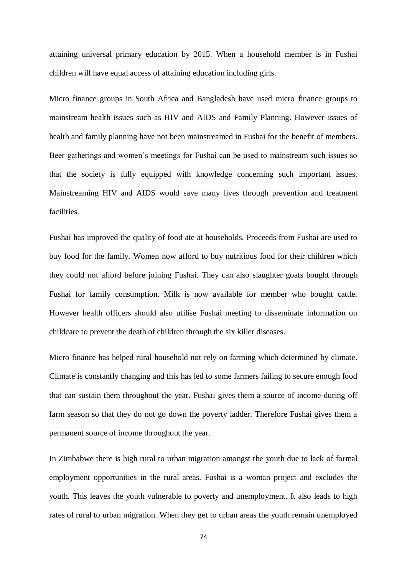attaining universal primary education by 2015. When a household member is in Fushai children will have equal access of attaining education including girls.

Micro finance groups in South Africa and Bangladesh have used micro finance groups to mainstream health issues such as HIV and AIDS and Family Planning. However issues of health and family planning have not been mainstreamed in Fushai for the benefit of members. Beer gatherings and women's meetings for Fushai can be used to mainstream such issues so that the society is fully equipped with knowledge concerning such important issues. Mainstreaming HIV and AIDS would save many lives through prevention and treatment facilities.

Fushai has improved the quality of food ate at households. Proceeds from Fushai are used to buy food for the family. Women now afford to buy nutritious food for their children which they could not afford before joining Fushai. They can also slaughter goats bought through Fushai for family consumption. Milk is now available for member who bought cattle. However health officers should also utilise Fushai meeting to disseminate information on childcare to prevent the death of children through the six killer diseases.

Micro finance has helped rural household not rely on farming which determined by climate. Climate is constantly changing and this has led to some farmers failing to secure enough food that can sustain them throughout the year. Fushai gives them a source of income during off farm season so that they do not go down the poverty ladder. Therefore Fushai gives them a permanent source of income throughout the year.

In Zimbabwe there is high rural to urban migration amongst the youth due to lack of formal employment opportunities in the rural areas. Fushai is a woman project and excludes the youth. This leaves the youth vulnerable to poverty and unemployment. It also leads to high rates of rural to urban migration. When they get to urban areas the youth remain unemployed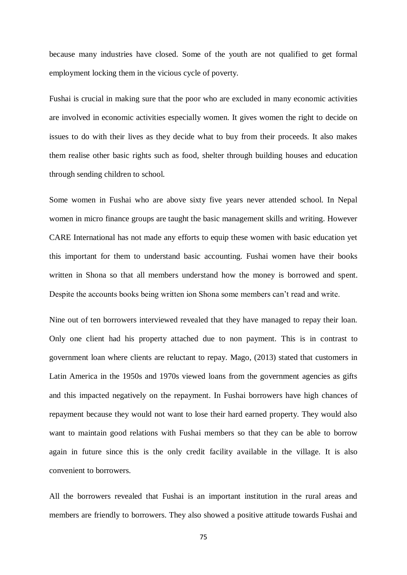because many industries have closed. Some of the youth are not qualified to get formal employment locking them in the vicious cycle of poverty.

Fushai is crucial in making sure that the poor who are excluded in many economic activities are involved in economic activities especially women. It gives women the right to decide on issues to do with their lives as they decide what to buy from their proceeds. It also makes them realise other basic rights such as food, shelter through building houses and education through sending children to school.

Some women in Fushai who are above sixty five years never attended school. In Nepal women in micro finance groups are taught the basic management skills and writing. However CARE International has not made any efforts to equip these women with basic education yet this important for them to understand basic accounting. Fushai women have their books written in Shona so that all members understand how the money is borrowed and spent. Despite the accounts books being written ion Shona some members can't read and write.

Nine out of ten borrowers interviewed revealed that they have managed to repay their loan. Only one client had his property attached due to non payment. This is in contrast to government loan where clients are reluctant to repay. Mago, (2013) stated that customers in Latin America in the 1950s and 1970s viewed loans from the government agencies as gifts and this impacted negatively on the repayment. In Fushai borrowers have high chances of repayment because they would not want to lose their hard earned property. They would also want to maintain good relations with Fushai members so that they can be able to borrow again in future since this is the only credit facility available in the village. It is also convenient to borrowers.

All the borrowers revealed that Fushai is an important institution in the rural areas and members are friendly to borrowers. They also showed a positive attitude towards Fushai and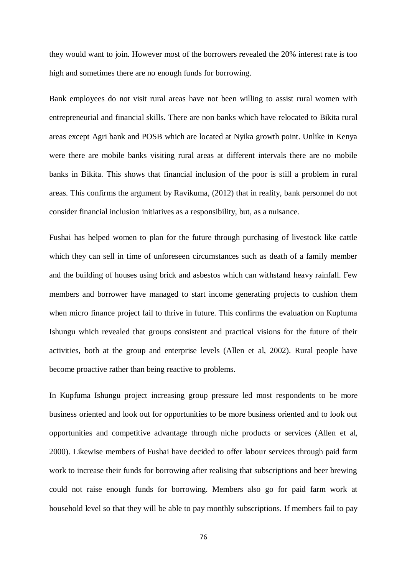they would want to join. However most of the borrowers revealed the 20% interest rate is too high and sometimes there are no enough funds for borrowing.

Bank employees do not visit rural areas have not been willing to assist rural women with entrepreneurial and financial skills. There are non banks which have relocated to Bikita rural areas except Agri bank and POSB which are located at Nyika growth point. Unlike in Kenya were there are mobile banks visiting rural areas at different intervals there are no mobile banks in Bikita. This shows that financial inclusion of the poor is still a problem in rural areas. This confirms the argument by Ravikuma, (2012) that in reality, bank personnel do not consider financial inclusion initiatives as a responsibility, but, as a nuisance.

Fushai has helped women to plan for the future through purchasing of livestock like cattle which they can sell in time of unforeseen circumstances such as death of a family member and the building of houses using brick and asbestos which can withstand heavy rainfall. Few members and borrower have managed to start income generating projects to cushion them when micro finance project fail to thrive in future. This confirms the evaluation on Kupfuma Ishungu which revealed that groups consistent and practical visions for the future of their activities, both at the group and enterprise levels (Allen et al, 2002). Rural people have become proactive rather than being reactive to problems.

In Kupfuma Ishungu project increasing group pressure led most respondents to be more business oriented and look out for opportunities to be more business oriented and to look out opportunities and competitive advantage through niche products or services (Allen et al, 2000). Likewise members of Fushai have decided to offer labour services through paid farm work to increase their funds for borrowing after realising that subscriptions and beer brewing could not raise enough funds for borrowing. Members also go for paid farm work at household level so that they will be able to pay monthly subscriptions. If members fail to pay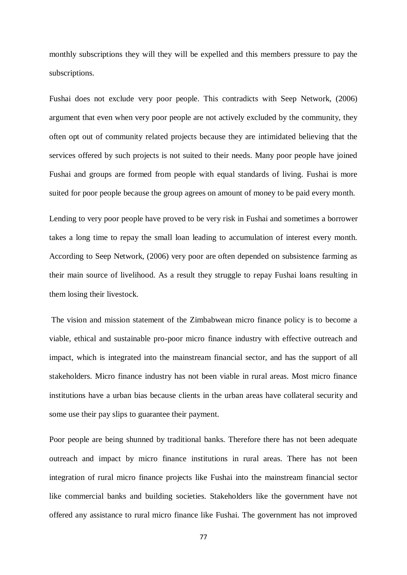monthly subscriptions they will they will be expelled and this members pressure to pay the subscriptions.

Fushai does not exclude very poor people. This contradicts with Seep Network, (2006) argument that even when very poor people are not actively excluded by the community, they often opt out of community related projects because they are intimidated believing that the services offered by such projects is not suited to their needs. Many poor people have joined Fushai and groups are formed from people with equal standards of living. Fushai is more suited for poor people because the group agrees on amount of money to be paid every month.

Lending to very poor people have proved to be very risk in Fushai and sometimes a borrower takes a long time to repay the small loan leading to accumulation of interest every month. According to Seep Network, (2006) very poor are often depended on subsistence farming as their main source of livelihood. As a result they struggle to repay Fushai loans resulting in them losing their livestock.

The vision and mission statement of the Zimbabwean micro finance policy is to become a viable, ethical and sustainable pro-poor micro finance industry with effective outreach and impact, which is integrated into the mainstream financial sector, and has the support of all stakeholders. Micro finance industry has not been viable in rural areas. Most micro finance institutions have a urban bias because clients in the urban areas have collateral security and some use their pay slips to guarantee their payment.

Poor people are being shunned by traditional banks. Therefore there has not been adequate outreach and impact by micro finance institutions in rural areas. There has not been integration of rural micro finance projects like Fushai into the mainstream financial sector like commercial banks and building societies. Stakeholders like the government have not offered any assistance to rural micro finance like Fushai. The government has not improved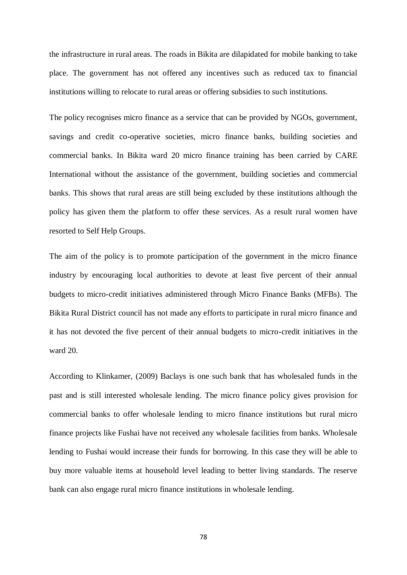the infrastructure in rural areas. The roads in Bikita are dilapidated for mobile banking to take place. The government has not offered any incentives such as reduced tax to financial institutions willing to relocate to rural areas or offering subsidies to such institutions.

The policy recognises micro finance as a service that can be provided by NGOs, government, savings and credit co-operative societies, micro finance banks, building societies and commercial banks. In Bikita ward 20 micro finance training has been carried by CARE International without the assistance of the government, building societies and commercial banks. This shows that rural areas are still being excluded by these institutions although the policy has given them the platform to offer these services. As a result rural women have resorted to Self Help Groups.

The aim of the policy is to promote participation of the government in the micro finance industry by encouraging local authorities to devote at least five percent of their annual budgets to micro-credit initiatives administered through Micro Finance Banks (MFBs). The Bikita Rural District council has not made any efforts to participate in rural micro finance and it has not devoted the five percent of their annual budgets to micro-credit initiatives in the ward 20.

According to Klinkamer, (2009) Baclays is one such bank that has wholesaled funds in the past and is still interested wholesale lending. The micro finance policy gives provision for commercial banks to offer wholesale lending to micro finance institutions but rural micro finance projects like Fushai have not received any wholesale facilities from banks. Wholesale lending to Fushai would increase their funds for borrowing. In this case they will be able to buy more valuable items at household level leading to better living standards. The reserve bank can also engage rural micro finance institutions in wholesale lending.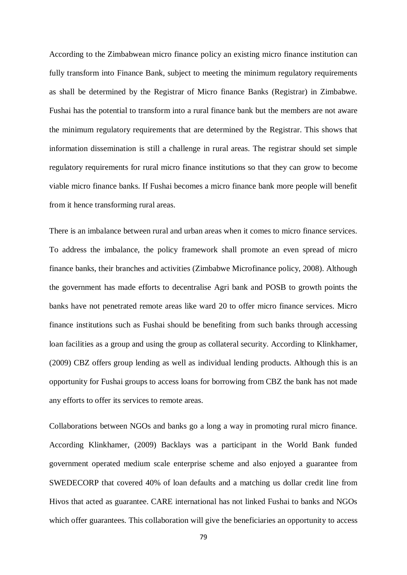According to the Zimbabwean micro finance policy an existing micro finance institution can fully transform into Finance Bank, subject to meeting the minimum regulatory requirements as shall be determined by the Registrar of Micro finance Banks (Registrar) in Zimbabwe. Fushai has the potential to transform into a rural finance bank but the members are not aware the minimum regulatory requirements that are determined by the Registrar. This shows that information dissemination is still a challenge in rural areas. The registrar should set simple regulatory requirements for rural micro finance institutions so that they can grow to become viable micro finance banks. If Fushai becomes a micro finance bank more people will benefit from it hence transforming rural areas.

There is an imbalance between rural and urban areas when it comes to micro finance services. To address the imbalance, the policy framework shall promote an even spread of micro finance banks, their branches and activities (Zimbabwe Microfinance policy, 2008). Although the government has made efforts to decentralise Agri bank and POSB to growth points the banks have not penetrated remote areas like ward 20 to offer micro finance services. Micro finance institutions such as Fushai should be benefiting from such banks through accessing loan facilities as a group and using the group as collateral security. According to Klinkhamer, (2009) CBZ offers group lending as well as individual lending products. Although this is an opportunity for Fushai groups to access loans for borrowing from CBZ the bank has not made any efforts to offer its services to remote areas.

Collaborations between NGOs and banks go a long a way in promoting rural micro finance. According Klinkhamer, (2009) Backlays was a participant in the World Bank funded government operated medium scale enterprise scheme and also enjoyed a guarantee from SWEDECORP that covered 40% of loan defaults and a matching us dollar credit line from Hivos that acted as guarantee. CARE international has not linked Fushai to banks and NGOs which offer guarantees. This collaboration will give the beneficiaries an opportunity to access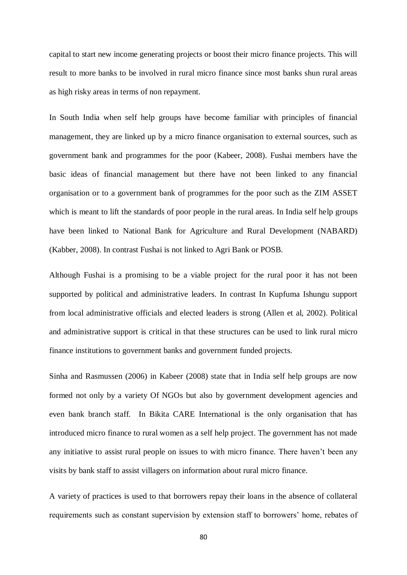capital to start new income generating projects or boost their micro finance projects. This will result to more banks to be involved in rural micro finance since most banks shun rural areas as high risky areas in terms of non repayment.

In South India when self help groups have become familiar with principles of financial management, they are linked up by a micro finance organisation to external sources, such as government bank and programmes for the poor (Kabeer, 2008). Fushai members have the basic ideas of financial management but there have not been linked to any financial organisation or to a government bank of programmes for the poor such as the ZIM ASSET which is meant to lift the standards of poor people in the rural areas. In India self help groups have been linked to National Bank for Agriculture and Rural Development (NABARD) (Kabber, 2008). In contrast Fushai is not linked to Agri Bank or POSB.

Although Fushai is a promising to be a viable project for the rural poor it has not been supported by political and administrative leaders. In contrast In Kupfuma Ishungu support from local administrative officials and elected leaders is strong (Allen et al, 2002). Political and administrative support is critical in that these structures can be used to link rural micro finance institutions to government banks and government funded projects.

Sinha and Rasmussen (2006) in Kabeer (2008) state that in India self help groups are now formed not only by a variety Of NGOs but also by government development agencies and even bank branch staff. In Bikita CARE International is the only organisation that has introduced micro finance to rural women as a self help project. The government has not made any initiative to assist rural people on issues to with micro finance. There haven't been any visits by bank staff to assist villagers on information about rural micro finance.

A variety of practices is used to that borrowers repay their loans in the absence of collateral requirements such as constant supervision by extension staff to borrowers' home, rebates of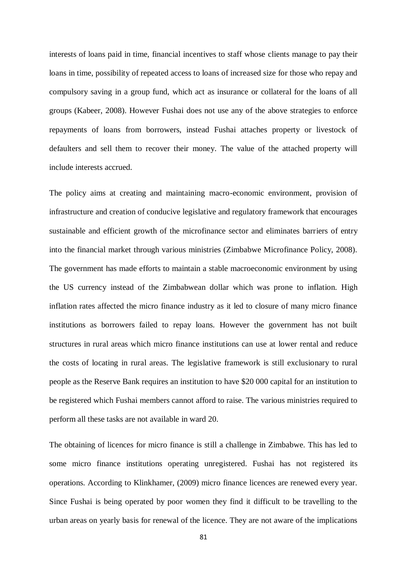interests of loans paid in time, financial incentives to staff whose clients manage to pay their loans in time, possibility of repeated access to loans of increased size for those who repay and compulsory saving in a group fund, which act as insurance or collateral for the loans of all groups (Kabeer, 2008). However Fushai does not use any of the above strategies to enforce repayments of loans from borrowers, instead Fushai attaches property or livestock of defaulters and sell them to recover their money. The value of the attached property will include interests accrued.

The policy aims at creating and maintaining macro-economic environment, provision of infrastructure and creation of conducive legislative and regulatory framework that encourages sustainable and efficient growth of the microfinance sector and eliminates barriers of entry into the financial market through various ministries (Zimbabwe Microfinance Policy, 2008). The government has made efforts to maintain a stable macroeconomic environment by using the US currency instead of the Zimbabwean dollar which was prone to inflation. High inflation rates affected the micro finance industry as it led to closure of many micro finance institutions as borrowers failed to repay loans. However the government has not built structures in rural areas which micro finance institutions can use at lower rental and reduce the costs of locating in rural areas. The legislative framework is still exclusionary to rural people as the Reserve Bank requires an institution to have \$20 000 capital for an institution to be registered which Fushai members cannot afford to raise. The various ministries required to perform all these tasks are not available in ward 20.

The obtaining of licences for micro finance is still a challenge in Zimbabwe. This has led to some micro finance institutions operating unregistered. Fushai has not registered its operations. According to Klinkhamer, (2009) micro finance licences are renewed every year. Since Fushai is being operated by poor women they find it difficult to be travelling to the urban areas on yearly basis for renewal of the licence. They are not aware of the implications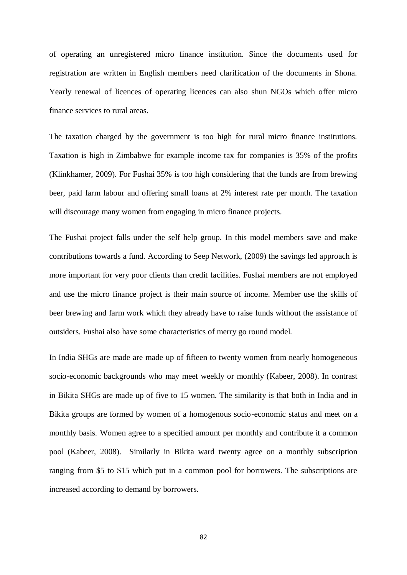of operating an unregistered micro finance institution. Since the documents used for registration are written in English members need clarification of the documents in Shona. Yearly renewal of licences of operating licences can also shun NGOs which offer micro finance services to rural areas.

The taxation charged by the government is too high for rural micro finance institutions. Taxation is high in Zimbabwe for example income tax for companies is 35% of the profits (Klinkhamer, 2009). For Fushai 35% is too high considering that the funds are from brewing beer, paid farm labour and offering small loans at 2% interest rate per month. The taxation will discourage many women from engaging in micro finance projects.

The Fushai project falls under the self help group. In this model members save and make contributions towards a fund. According to Seep Network, (2009) the savings led approach is more important for very poor clients than credit facilities. Fushai members are not employed and use the micro finance project is their main source of income. Member use the skills of beer brewing and farm work which they already have to raise funds without the assistance of outsiders. Fushai also have some characteristics of merry go round model.

In India SHGs are made are made up of fifteen to twenty women from nearly homogeneous socio-economic backgrounds who may meet weekly or monthly (Kabeer, 2008). In contrast in Bikita SHGs are made up of five to 15 women. The similarity is that both in India and in Bikita groups are formed by women of a homogenous socio-economic status and meet on a monthly basis. Women agree to a specified amount per monthly and contribute it a common pool (Kabeer, 2008). Similarly in Bikita ward twenty agree on a monthly subscription ranging from \$5 to \$15 which put in a common pool for borrowers. The subscriptions are increased according to demand by borrowers.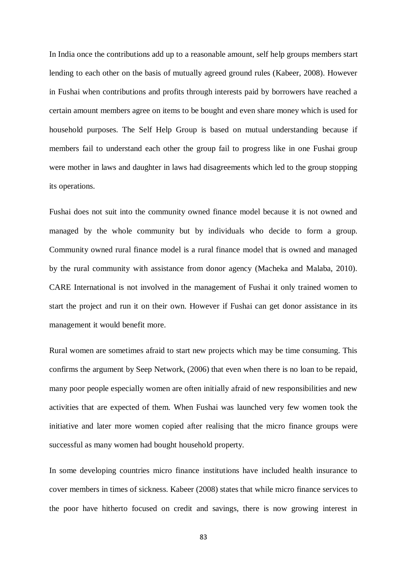In India once the contributions add up to a reasonable amount, self help groups members start lending to each other on the basis of mutually agreed ground rules (Kabeer, 2008). However in Fushai when contributions and profits through interests paid by borrowers have reached a certain amount members agree on items to be bought and even share money which is used for household purposes. The Self Help Group is based on mutual understanding because if members fail to understand each other the group fail to progress like in one Fushai group were mother in laws and daughter in laws had disagreements which led to the group stopping its operations.

Fushai does not suit into the community owned finance model because it is not owned and managed by the whole community but by individuals who decide to form a group. Community owned rural finance model is a rural finance model that is owned and managed by the rural community with assistance from donor agency (Macheka and Malaba, 2010). CARE International is not involved in the management of Fushai it only trained women to start the project and run it on their own. However if Fushai can get donor assistance in its management it would benefit more.

Rural women are sometimes afraid to start new projects which may be time consuming. This confirms the argument by Seep Network, (2006) that even when there is no loan to be repaid, many poor people especially women are often initially afraid of new responsibilities and new activities that are expected of them. When Fushai was launched very few women took the initiative and later more women copied after realising that the micro finance groups were successful as many women had bought household property.

In some developing countries micro finance institutions have included health insurance to cover members in times of sickness. Kabeer (2008) states that while micro finance services to the poor have hitherto focused on credit and savings, there is now growing interest in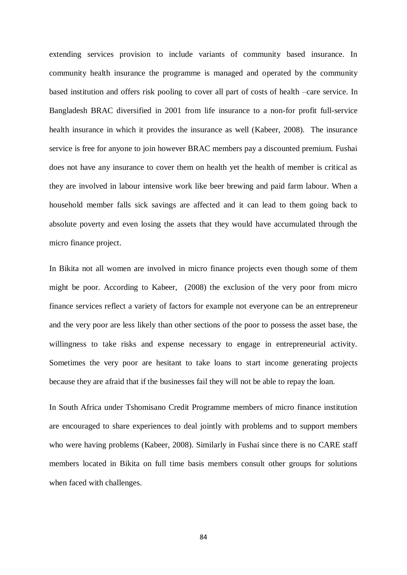extending services provision to include variants of community based insurance. In community health insurance the programme is managed and operated by the community based institution and offers risk pooling to cover all part of costs of health –care service. In Bangladesh BRAC diversified in 2001 from life insurance to a non-for profit full-service health insurance in which it provides the insurance as well (Kabeer, 2008). The insurance service is free for anyone to join however BRAC members pay a discounted premium. Fushai does not have any insurance to cover them on health yet the health of member is critical as they are involved in labour intensive work like beer brewing and paid farm labour. When a household member falls sick savings are affected and it can lead to them going back to absolute poverty and even losing the assets that they would have accumulated through the micro finance project.

In Bikita not all women are involved in micro finance projects even though some of them might be poor. According to Kabeer, (2008) the exclusion of the very poor from micro finance services reflect a variety of factors for example not everyone can be an entrepreneur and the very poor are less likely than other sections of the poor to possess the asset base, the willingness to take risks and expense necessary to engage in entrepreneurial activity. Sometimes the very poor are hesitant to take loans to start income generating projects because they are afraid that if the businesses fail they will not be able to repay the loan.

In South Africa under Tshomisano Credit Programme members of micro finance institution are encouraged to share experiences to deal jointly with problems and to support members who were having problems (Kabeer, 2008). Similarly in Fushai since there is no CARE staff members located in Bikita on full time basis members consult other groups for solutions when faced with challenges.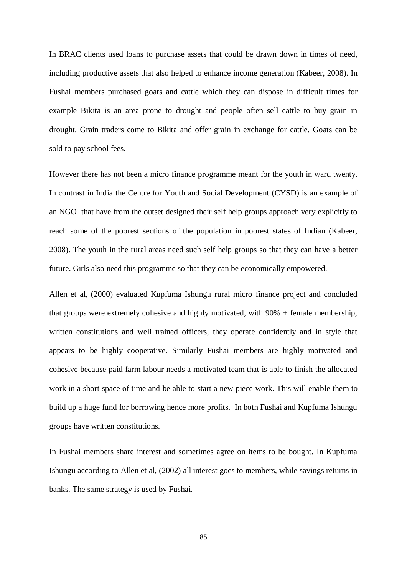In BRAC clients used loans to purchase assets that could be drawn down in times of need, including productive assets that also helped to enhance income generation (Kabeer, 2008). In Fushai members purchased goats and cattle which they can dispose in difficult times for example Bikita is an area prone to drought and people often sell cattle to buy grain in drought. Grain traders come to Bikita and offer grain in exchange for cattle. Goats can be sold to pay school fees.

However there has not been a micro finance programme meant for the youth in ward twenty. In contrast in India the Centre for Youth and Social Development (CYSD) is an example of an NGO that have from the outset designed their self help groups approach very explicitly to reach some of the poorest sections of the population in poorest states of Indian (Kabeer, 2008). The youth in the rural areas need such self help groups so that they can have a better future. Girls also need this programme so that they can be economically empowered.

Allen et al, (2000) evaluated Kupfuma Ishungu rural micro finance project and concluded that groups were extremely cohesive and highly motivated, with 90% + female membership, written constitutions and well trained officers, they operate confidently and in style that appears to be highly cooperative. Similarly Fushai members are highly motivated and cohesive because paid farm labour needs a motivated team that is able to finish the allocated work in a short space of time and be able to start a new piece work. This will enable them to build up a huge fund for borrowing hence more profits. In both Fushai and Kupfuma Ishungu groups have written constitutions.

In Fushai members share interest and sometimes agree on items to be bought. In Kupfuma Ishungu according to Allen et al, (2002) all interest goes to members, while savings returns in banks. The same strategy is used by Fushai.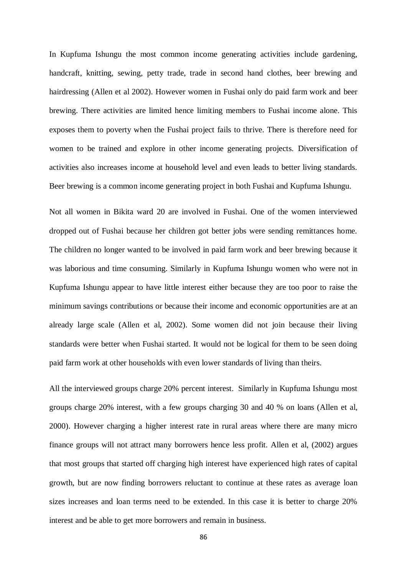In Kupfuma Ishungu the most common income generating activities include gardening, handcraft, knitting, sewing, petty trade, trade in second hand clothes, beer brewing and hairdressing (Allen et al 2002). However women in Fushai only do paid farm work and beer brewing. There activities are limited hence limiting members to Fushai income alone. This exposes them to poverty when the Fushai project fails to thrive. There is therefore need for women to be trained and explore in other income generating projects. Diversification of activities also increases income at household level and even leads to better living standards. Beer brewing is a common income generating project in both Fushai and Kupfuma Ishungu.

Not all women in Bikita ward 20 are involved in Fushai. One of the women interviewed dropped out of Fushai because her children got better jobs were sending remittances home. The children no longer wanted to be involved in paid farm work and beer brewing because it was laborious and time consuming. Similarly in Kupfuma Ishungu women who were not in Kupfuma Ishungu appear to have little interest either because they are too poor to raise the minimum savings contributions or because their income and economic opportunities are at an already large scale (Allen et al, 2002). Some women did not join because their living standards were better when Fushai started. It would not be logical for them to be seen doing paid farm work at other households with even lower standards of living than theirs.

All the interviewed groups charge 20% percent interest. Similarly in Kupfuma Ishungu most groups charge 20% interest, with a few groups charging 30 and 40 % on loans (Allen et al, 2000). However charging a higher interest rate in rural areas where there are many micro finance groups will not attract many borrowers hence less profit. Allen et al, (2002) argues that most groups that started off charging high interest have experienced high rates of capital growth, but are now finding borrowers reluctant to continue at these rates as average loan sizes increases and loan terms need to be extended. In this case it is better to charge 20% interest and be able to get more borrowers and remain in business.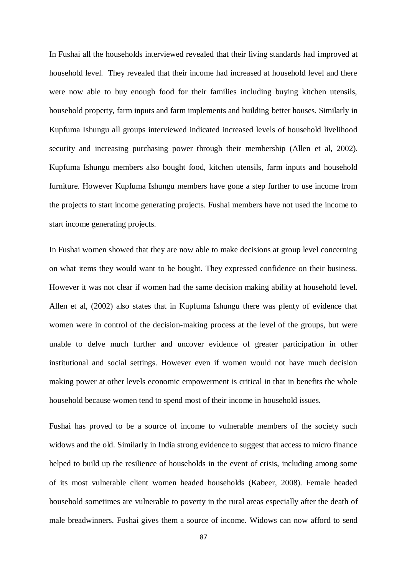In Fushai all the households interviewed revealed that their living standards had improved at household level. They revealed that their income had increased at household level and there were now able to buy enough food for their families including buying kitchen utensils, household property, farm inputs and farm implements and building better houses. Similarly in Kupfuma Ishungu all groups interviewed indicated increased levels of household livelihood security and increasing purchasing power through their membership (Allen et al, 2002). Kupfuma Ishungu members also bought food, kitchen utensils, farm inputs and household furniture. However Kupfuma Ishungu members have gone a step further to use income from the projects to start income generating projects. Fushai members have not used the income to start income generating projects.

In Fushai women showed that they are now able to make decisions at group level concerning on what items they would want to be bought. They expressed confidence on their business. However it was not clear if women had the same decision making ability at household level. Allen et al, (2002) also states that in Kupfuma Ishungu there was plenty of evidence that women were in control of the decision-making process at the level of the groups, but were unable to delve much further and uncover evidence of greater participation in other institutional and social settings. However even if women would not have much decision making power at other levels economic empowerment is critical in that in benefits the whole household because women tend to spend most of their income in household issues.

Fushai has proved to be a source of income to vulnerable members of the society such widows and the old. Similarly in India strong evidence to suggest that access to micro finance helped to build up the resilience of households in the event of crisis, including among some of its most vulnerable client women headed households (Kabeer, 2008). Female headed household sometimes are vulnerable to poverty in the rural areas especially after the death of male breadwinners. Fushai gives them a source of income. Widows can now afford to send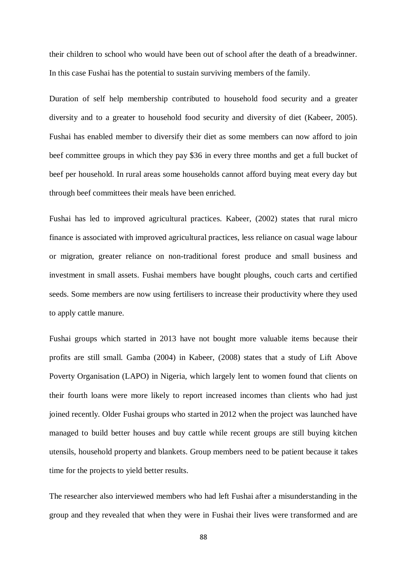their children to school who would have been out of school after the death of a breadwinner. In this case Fushai has the potential to sustain surviving members of the family.

Duration of self help membership contributed to household food security and a greater diversity and to a greater to household food security and diversity of diet (Kabeer, 2005). Fushai has enabled member to diversify their diet as some members can now afford to join beef committee groups in which they pay \$36 in every three months and get a full bucket of beef per household. In rural areas some households cannot afford buying meat every day but through beef committees their meals have been enriched.

Fushai has led to improved agricultural practices. Kabeer, (2002) states that rural micro finance is associated with improved agricultural practices, less reliance on casual wage labour or migration, greater reliance on non-traditional forest produce and small business and investment in small assets. Fushai members have bought ploughs, couch carts and certified seeds. Some members are now using fertilisers to increase their productivity where they used to apply cattle manure.

Fushai groups which started in 2013 have not bought more valuable items because their profits are still small. Gamba (2004) in Kabeer, (2008) states that a study of Lift Above Poverty Organisation (LAPO) in Nigeria, which largely lent to women found that clients on their fourth loans were more likely to report increased incomes than clients who had just joined recently. Older Fushai groups who started in 2012 when the project was launched have managed to build better houses and buy cattle while recent groups are still buying kitchen utensils, household property and blankets. Group members need to be patient because it takes time for the projects to yield better results.

The researcher also interviewed members who had left Fushai after a misunderstanding in the group and they revealed that when they were in Fushai their lives were transformed and are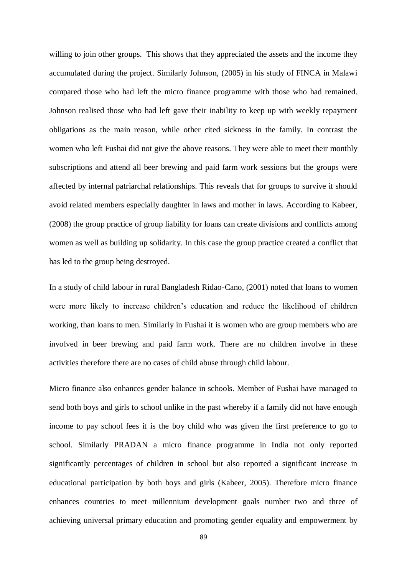willing to join other groups. This shows that they appreciated the assets and the income they accumulated during the project. Similarly Johnson, (2005) in his study of FINCA in Malawi compared those who had left the micro finance programme with those who had remained. Johnson realised those who had left gave their inability to keep up with weekly repayment obligations as the main reason, while other cited sickness in the family. In contrast the women who left Fushai did not give the above reasons. They were able to meet their monthly subscriptions and attend all beer brewing and paid farm work sessions but the groups were affected by internal patriarchal relationships. This reveals that for groups to survive it should avoid related members especially daughter in laws and mother in laws. According to Kabeer, (2008) the group practice of group liability for loans can create divisions and conflicts among women as well as building up solidarity. In this case the group practice created a conflict that has led to the group being destroyed.

In a study of child labour in rural Bangladesh Ridao-Cano, (2001) noted that loans to women were more likely to increase children's education and reduce the likelihood of children working, than loans to men. Similarly in Fushai it is women who are group members who are involved in beer brewing and paid farm work. There are no children involve in these activities therefore there are no cases of child abuse through child labour.

Micro finance also enhances gender balance in schools. Member of Fushai have managed to send both boys and girls to school unlike in the past whereby if a family did not have enough income to pay school fees it is the boy child who was given the first preference to go to school. Similarly PRADAN a micro finance programme in India not only reported significantly percentages of children in school but also reported a significant increase in educational participation by both boys and girls (Kabeer, 2005). Therefore micro finance enhances countries to meet millennium development goals number two and three of achieving universal primary education and promoting gender equality and empowerment by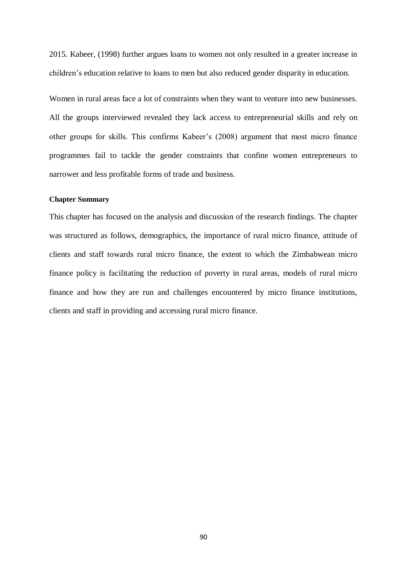2015. Kabeer, (1998) further argues loans to women not only resulted in a greater increase in children's education relative to loans to men but also reduced gender disparity in education.

Women in rural areas face a lot of constraints when they want to venture into new businesses. All the groups interviewed revealed they lack access to entrepreneurial skills and rely on other groups for skills. This confirms Kabeer's (2008) argument that most micro finance programmes fail to tackle the gender constraints that confine women entrepreneurs to narrower and less profitable forms of trade and business.

#### **Chapter Summary**

This chapter has focused on the analysis and discussion of the research findings. The chapter was structured as follows, demographics, the importance of rural micro finance, attitude of clients and staff towards rural micro finance, the extent to which the Zimbabwean micro finance policy is facilitating the reduction of poverty in rural areas, models of rural micro finance and how they are run and challenges encountered by micro finance institutions, clients and staff in providing and accessing rural micro finance.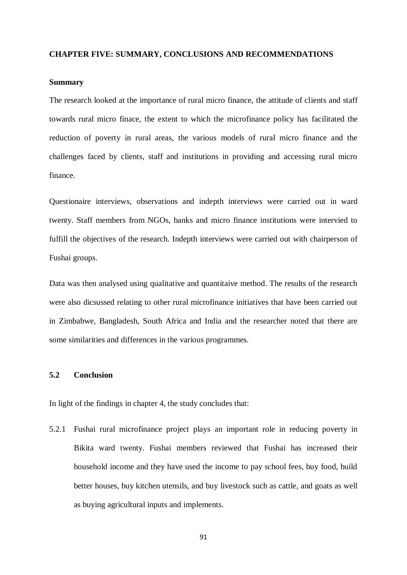#### **CHAPTER FIVE: SUMMARY, CONCLUSIONS AND RECOMMENDATIONS**

### **Summary**

The research looked at the importance of rural micro finance, the attitude of clients and staff towards rural micro finace, the extent to which the microfinance policy has facilitated the reduction of poverty in rural areas, the various models of rural micro finance and the challenges faced by clients, staff and institutions in providing and accessing rural micro finance.

Questionaire interviews, observations and indepth interviews were carried out in ward twenty. Staff members from NGOs, banks and micro finance institutions were intervied to fulfill the objectives of the research. Indepth interviews were carried out with chairperson of Fushai groups.

Data was then analysed using qualitative and quantitaive method. The results of the research were also dicsussed relating to other rural microfinance initiatives that have been carried out in Zimbabwe, Bangladesh, South Africa and India and the researcher noted that there are some similarities and differences in the various programmes.

# **5.2 Conclusion**

In light of the findings in chapter 4, the study concludes that:

5.2.1 Fushai rural microfinance project plays an important role in reducing poverty in Bikita ward twenty. Fushai members reviewed that Fushai has increased their household income and they have used the income to pay school fees, buy food, build better houses, buy kitchen utensils, and buy livestock such as cattle, and goats as well as buying agricultural inputs and implements.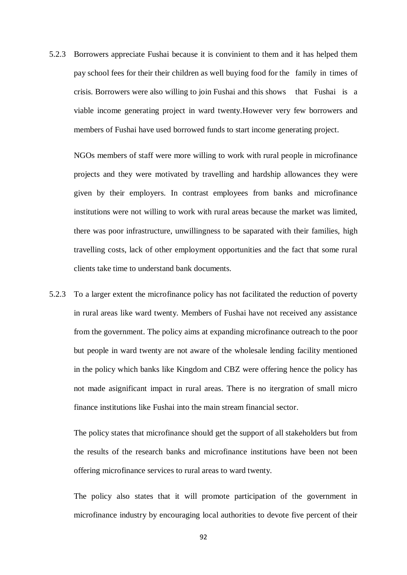5.2.3 Borrowers appreciate Fushai because it is convinient to them and it has helped them pay school fees for their their children as well buying food for the family in times of crisis. Borrowers were also willing to join Fushai and this shows that Fushai is a viable income generating project in ward twenty.However very few borrowers and members of Fushai have used borrowed funds to start income generating project.

NGOs members of staff were more willing to work with rural people in microfinance projects and they were motivated by travelling and hardship allowances they were given by their employers. In contrast employees from banks and microfinance institutions were not willing to work with rural areas because the market was limited, there was poor infrastructure, unwillingness to be saparated with their families, high travelling costs, lack of other employment opportunities and the fact that some rural clients take time to understand bank documents.

5.2.3 To a larger extent the microfinance policy has not facilitated the reduction of poverty in rural areas like ward twenty. Members of Fushai have not received any assistance from the government. The policy aims at expanding microfinance outreach to the poor but people in ward twenty are not aware of the wholesale lending facility mentioned in the policy which banks like Kingdom and CBZ were offering hence the policy has not made asignificant impact in rural areas. There is no itergration of small micro finance institutions like Fushai into the main stream financial sector.

The policy states that microfinance should get the support of all stakeholders but from the results of the research banks and microfinance institutions have been not been offering microfinance services to rural areas to ward twenty.

The policy also states that it will promote participation of the government in microfinance industry by encouraging local authorities to devote five percent of their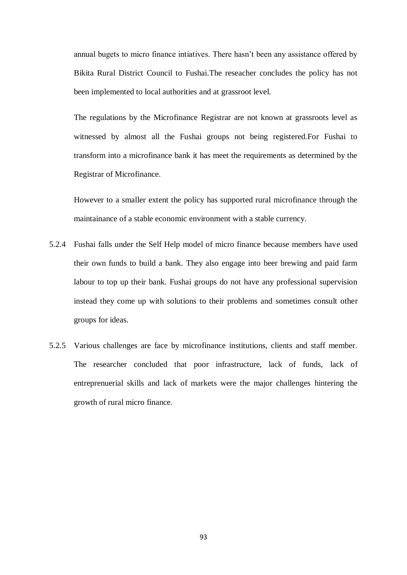annual bugets to micro finance intiatives. There hasn't been any assistance offered by Bikita Rural District Council to Fushai.The reseacher concludes the policy has not been implemented to local authorities and at grassroot level.

The regulations by the Microfinance Registrar are not known at grassroots level as witnessed by almost all the Fushai groups not being registered.For Fushai to transform into a microfinance bank it has meet the requirements as determined by the Registrar of Microfinance.

However to a smaller extent the policy has supported rural microfinance through the maintainance of a stable economic environment with a stable currency.

- 5.2.4 Fushai falls under the Self Help model of micro finance because members have used their own funds to build a bank. They also engage into beer brewing and paid farm labour to top up their bank. Fushai groups do not have any professional supervision instead they come up with solutions to their problems and sometimes consult other groups for ideas.
- 5.2.5 Various challenges are face by microfinance institutions, clients and staff member. The researcher concluded that poor infrastructure, lack of funds, lack of entreprenuerial skills and lack of markets were the major challenges hintering the growth of rural micro finance.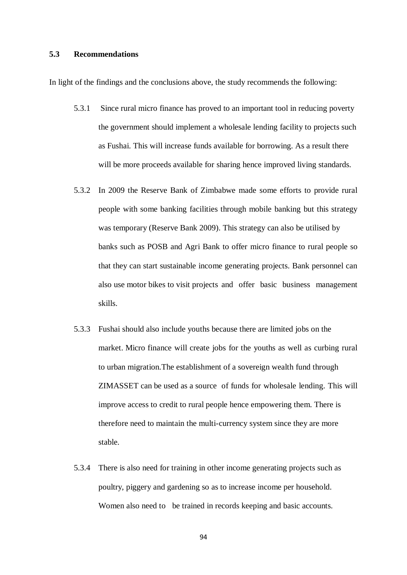#### **5.3 Recommendations**

In light of the findings and the conclusions above, the study recommends the following:

- 5.3.1 Since rural micro finance has proved to an important tool in reducing poverty the government should implement a wholesale lending facility to projects such as Fushai. This will increase funds available for borrowing. As a result there will be more proceeds available for sharing hence improved living standards.
- 5.3.2 In 2009 the Reserve Bank of Zimbabwe made some efforts to provide rural people with some banking facilities through mobile banking but this strategy was temporary (Reserve Bank 2009). This strategy can also be utilised by banks such as POSB and Agri Bank to offer micro finance to rural people so that they can start sustainable income generating projects. Bank personnel can also use motor bikes to visit projects and offer basic business management skills.
- 5.3.3 Fushai should also include youths because there are limited jobs on the market. Micro finance will create jobs for the youths as well as curbing rural to urban migration.The establishment of a sovereign wealth fund through ZIMASSET can be used as a source of funds for wholesale lending. This will improve access to credit to rural people hence empowering them. There is therefore need to maintain the multi-currency system since they are more stable.
- 5.3.4 There is also need for training in other income generating projects such as poultry, piggery and gardening so as to increase income per household. Women also need to be trained in records keeping and basic accounts.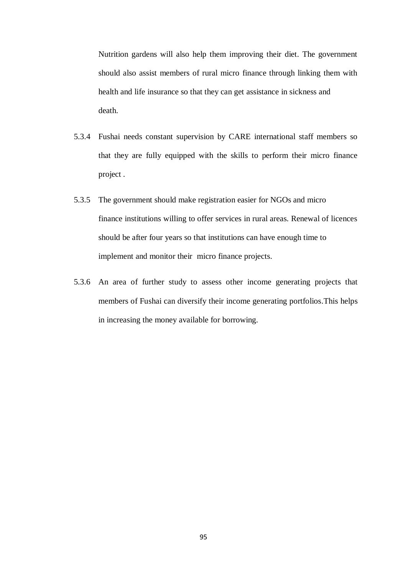Nutrition gardens will also help them improving their diet. The government should also assist members of rural micro finance through linking them with health and life insurance so that they can get assistance in sickness and death.

- 5.3.4 Fushai needs constant supervision by CARE international staff members so that they are fully equipped with the skills to perform their micro finance project .
- 5.3.5 The government should make registration easier for NGOs and micro finance institutions willing to offer services in rural areas. Renewal of licences should be after four years so that institutions can have enough time to implement and monitor their micro finance projects.
- 5.3.6 An area of further study to assess other income generating projects that members of Fushai can diversify their income generating portfolios.This helps in increasing the money available for borrowing.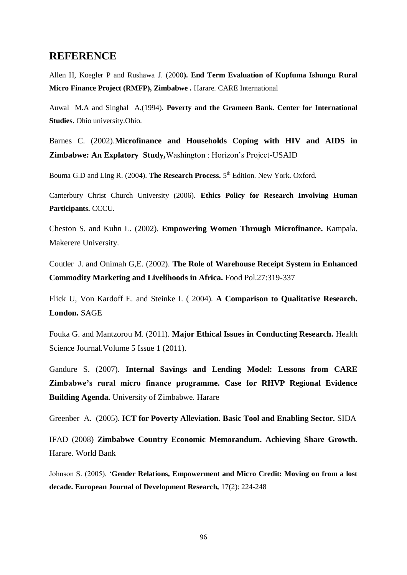# **REFERENCE**

Allen H, Koegler P and Rushawa J. (2000**). End Term Evaluation of Kupfuma Ishungu Rural Micro Finance Project (RMFP), Zimbabwe .** Harare. CARE International

Auwal M.A and Singhal A.(1994). **Poverty and the Grameen Bank. Center for International Studies**. Ohio university.Ohio.

Barnes C. (2002).**Microfinance and Households Coping with HIV and AIDS in Zimbabwe: An Explatory Study,**Washington : Horizon's Project-USAID

Bouma G.D and Ling R. (2004). The Research Process. 5<sup>th</sup> Edition. New York. Oxford.

Canterbury Christ Church University (2006). **Ethics Policy for Research Involving Human Participants.** CCCU.

Cheston S. and Kuhn L. (2002). **Empowering Women Through Microfinance.** Kampala. Makerere University.

Coutler J. and Onimah G,E. (2002). **The Role of Warehouse Receipt System in Enhanced Commodity Marketing and Livelihoods in Africa.** Food Pol.27:319-337

Flick U, Von Kardoff E. and Steinke I. ( 2004). **A Comparison to Qualitative Research. London.** SAGE

Fouka G. and Mantzorou M. (2011). **Major Ethical Issues in Conducting Research.** Health Science Journal.Volume 5 Issue 1 (2011).

Gandure S. (2007). **Internal Savings and Lending Model: Lessons from CARE Zimbabwe's rural micro finance programme. Case for RHVP Regional Evidence Building Agenda.** University of Zimbabwe. Harare

Greenber A. (2005). **ICT for Poverty Alleviation. Basic Tool and Enabling Sector.** SIDA

IFAD (2008) **Zimbabwe Country Economic Memorandum. Achieving Share Growth.** Harare. World Bank

Johnson S. (2005). '**Gender Relations, Empowerment and Micro Credit: Moving on from a lost decade. European Journal of Development Research,** 17(2): 224-248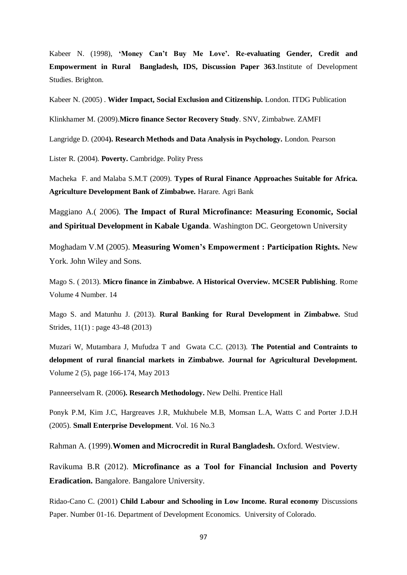Kabeer N. (1998), **'Money Can't Buy Me Love'. Re-evaluating Gender, Credit and Empowerment in Rural Bangladesh, IDS, Discussion Paper 363**.Institute of Development Studies. Brighton.

Kabeer N. (2005) . **Wider Impact, Social Exclusion and Citizenship.** London. ITDG Publication

Klinkhamer M. (2009).**Micro finance Sector Recovery Study**. SNV, Zimbabwe. ZAMFI

Langridge D. (2004**). Research Methods and Data Analysis in Psychology.** London. Pearson

Lister R. (2004). **Poverty.** Cambridge. Polity Press

Macheka F. and Malaba S.M.T (2009). **Types of Rural Finance Approaches Suitable for Africa. Agriculture Development Bank of Zimbabwe.** Harare. Agri Bank

Maggiano A.( 2006). **The Impact of Rural Microfinance: Measuring Economic, Social and Spiritual Development in Kabale Uganda**. Washington DC. Georgetown University

Moghadam V.M (2005). **Measuring Women's Empowerment : Participation Rights.** New York. John Wiley and Sons.

Mago S. ( 2013). **Micro finance in Zimbabwe. A Historical Overview. MCSER Publishing**. Rome Volume 4 Number. 14

Mago S. and Matunhu J. (2013). **Rural Banking for Rural Development in Zimbabwe.** Stud Strides, 11(1) : page 43-48 (2013)

Muzari W, Mutambara J, Mufudza T and Gwata C.C. (2013). **The Potential and Contraints to delopment of rural financial markets in Zimbabwe. Journal for Agricultural Development.** Volume 2 (5), page 166-174, May 2013

Panneerselvam R. (2006**). Research Methodology.** New Delhi. Prentice Hall

Ponyk P.M, Kim J.C, Hargreaves J.R, Mukhubele M.B, Momsan L.A, Watts C and Porter J.D.H (2005). **Small Enterprise Development**. Vol. 16 No.3

Rahman A. (1999).**Women and Microcredit in Rural Bangladesh.** Oxford. Westview.

Ravikuma B.R (2012). **Microfinance as a Tool for Financial Inclusion and Poverty Eradication.** Bangalore. Bangalore University.

Ridao-Cano C. (2001) **Child Labour and Schooling in Low Income. Rural economy** Discussions Paper. Number 01-16. Department of Development Economics. University of Colorado.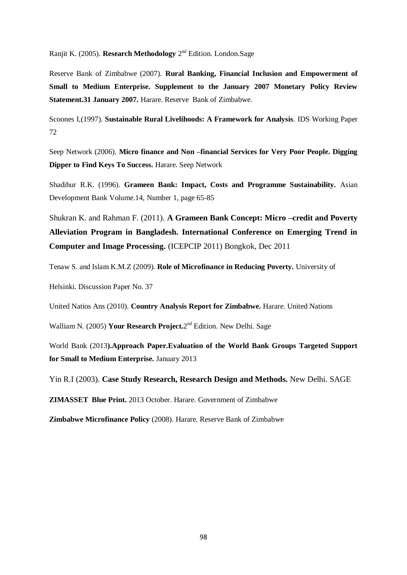Ranjit K. (2005). Research Methodology 2<sup>nd</sup> Edition. London.Sage

Reserve Bank of Zimbabwe (2007). **Rural Banking, Financial Inclusion and Empowerment of Small to Medium Enterprise. Supplement to the January 2007 Monetary Policy Review Statement.31 January 2007.** Harare. Reserve Bank of Zimbabwe.

Scoones I,(1997). **Sustainable Rural Livelihoods: A Framework for Analysis**. IDS Working Paper 72

Seep Network (2006). **Micro finance and Non –financial Services for Very Poor People. Digging Dipper to Find Keys To Success.** Harare. Seep Network

Shadihur R.K. (1996). **Grameen Bank: Impact, Costs and Programme Sustainability.** Asian Development Bank Volume.14, Number 1, page 65-85

Shukran K. and Rahman F. (2011). **A Grameen Bank Concept: Micro –credit and Poverty Alleviation Program in Bangladesh. International Conference on Emerging Trend in Computer and Image Processing.** (ICEPCIP 2011) Bongkok, Dec 2011

Tenaw S. and Islam K.M.Z (2009). **Role of Microfinance in Reducing Poverty.** University of

Helsinki. Discussion Paper No. 37

United Natios Ans (2010). **Country Analysis Report for Zimbabwe.** Harare. United Nations

Walliam N. (2005) Your Research Project.2<sup>nd</sup> Edition. New Delhi. Sage

World Bank (2013**).Approach Paper.Evaluation of the World Bank Groups Targeted Support for Small to Medium Enterprise.** January 2013

Yin R.I (2003). **Case Study Research, Research Design and Methods.** New Delhi. SAGE

**ZIMASSET Blue Print.** 2013 October. Harare. Government of Zimbabwe

**Zimbabwe Microfinance Policy** (2008). Harare. Reserve Bank of Zimbabwe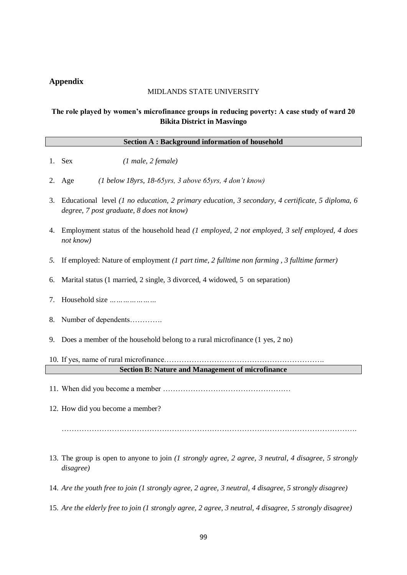# **Appendix**

# MIDLANDS STATE UNIVERSITY

# **The role played by women's microfinance groups in reducing poverty: A case study of ward 20 Bikita District in Masvingo**

| <b>Section A: Background information of household</b> |  |
|-------------------------------------------------------|--|
|                                                       |  |

- 1. Sex *(1 male, 2 female)*
- 2. Age *(1 below 18yrs, 18-65yrs, 3 above 65yrs, 4 don't know)*
- 3. Educational level *(1 no education, 2 primary education, 3 secondary, 4 certificate, 5 diploma, 6 degree, 7 post graduate, 8 does not know)*
- 4. Employment status of the household head *(1 employed, 2 not employed, 3 self employed, 4 does not know)*
- *5.* If employed: Nature of employment *(1 part time, 2 fulltime non farming , 3 fulltime farmer)*
- 6. Marital status (1 married, 2 single, 3 divorced, 4 widowed, 5 on separation)
- 7. Household size *…………………*
- 8. Number of dependents………….
- 9. Does a member of the household belong to a rural microfinance (1 yes, 2 no)
- 10. If yes, name of rural microfinance………………………………………………………. **Section B: Nature and Management of microfinance**
- 11. When did you become a member ……………………………………………
- 12. How did you become a member?

……………………………………………………………………………………………………….

- 13. The group is open to anyone to join *(1 strongly agree, 2 agree, 3 neutral, 4 disagree, 5 strongly disagree)*
- 14. *Are the youth free to join (1 strongly agree, 2 agree, 3 neutral, 4 disagree, 5 strongly disagree)*
- 15. *Are the elderly free to join (1 strongly agree, 2 agree, 3 neutral, 4 disagree, 5 strongly disagree)*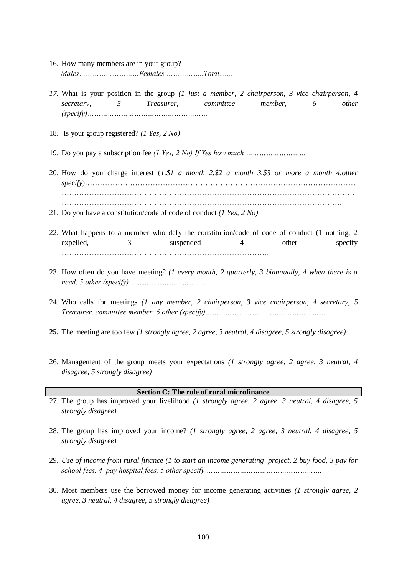- 16. How many members are in your group?  *Males………………………Females ……………..Total.......*
- *17.* What is your position in the group *(1 just a member, 2 chairperson, 3 vice chairperson, 4 secretary, 5 Treasurer, committee member, 6 other (specify)………………………………………………*
- 18. Is your group registered? *(1 Yes, 2 No)*
- 19. Do you pay a subscription fee *(1 Yes, 2 No) If Yes how much ………………………*
- 20. How do you charge interest (*1.\$1 a month 2.\$2 a month 3.\$3 or more a month 4.other specify*)……………………………………………………………………………………………… ……………………………………………………………………………………………………… ………………………………………………………………………………………………….
- 21. Do you have a constitution/code of code of conduct *(1 Yes, 2 No)*
- 22. What happens to a member who defy the constitution/code of code of conduct (1 nothing, 2 expelled, 3 suspended 4 other specify ………………………………………………………………………..
- 23. How often do you have meeting? *(1 every month, 2 quarterly, 3 biannually, 4 when there is a need, 5 other (specify)……………………………..*
- 24. Who calls for meetings *(1 any member, 2 chairperson, 3 vice chairperson, 4 secretary, 5 Treasurer, committee member, 6 other (specify)………………………………………………*
- **25.** The meeting are too few *(1 strongly agree, 2 agree, 3 neutral, 4 disagree, 5 strongly disagree)*
- 26. Management of the group meets your expectations *(1 strongly agree, 2 agree, 3 neutral, 4 disagree, 5 strongly disagree)*

#### **Section C: The role of rural microfinance**

- 27. The group has improved your livelihood *(1 strongly agree, 2 agree, 3 neutral, 4 disagree, 5 strongly disagree)*
- 28. The group has improved your income? *(1 strongly agree, 2 agree, 3 neutral, 4 disagree, 5 strongly disagree)*
- 29. *Use of income from rural finance (1 to start an income generating project, 2 buy food, 3 pay for school fees, 4 pay hospital fees, 5 other specify …………………………………………….*
- 30. Most members use the borrowed money for income generating activities *(1 strongly agree, 2 agree, 3 neutral, 4 disagree, 5 strongly disagree)*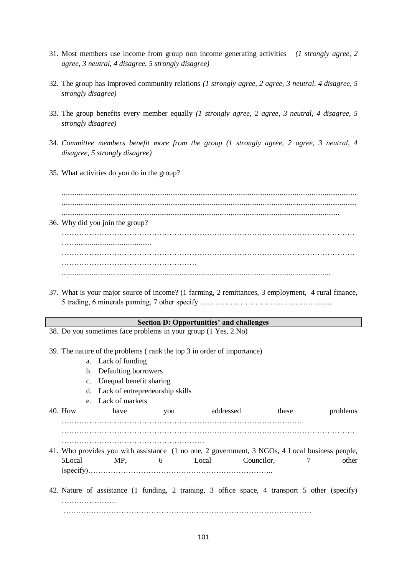- 31. Most members use income from group non income generating activities *(1 strongly agree, 2 agree, 3 neutral, 4 disagree, 5 strongly disagree)*
- 32. The group has improved community relations *(1 strongly agree, 2 agree, 3 neutral, 4 disagree, 5 strongly disagree)*
- 33. The group benefits every member equally *(1 strongly agree, 2 agree, 3 neutral, 4 disagree, 5 strongly disagree)*
- 34. *Committee members benefit more from the group (1 strongly agree, 2 agree, 3 neutral, 4 disagree, 5 strongly disagree)*
- 35. What activities do you do in the group?

............................................................................................................................................................. ............................................................................................................................................................. .................................................................................................................................................... 36. Why did you join the group? ……………………………………………………………………………………………………… ……........................................ ……………………………………………………………………………………………………… ……………………………………………… ...............................................................................................................................................

37. What is your major source of income? (1 farming, 2 remittances, 3 employment, 4 rural finance, 5 trading, 6 minerals panning, 7 other specify ……………………………………………..

## **Section D: Opportunities' and challenges**

38. Do you sometimes face problems in your group (1 Yes, 2 No)

39. The nature of the problems ( rank the top 3 in order of importance)

- a. Lack of funding
- b. Defaulting borrowers
- c. Unequal benefit sharing
- d. Lack of entrepreneurship skills
- e. Lack of markets

40. How have you addressed these problems ……………………………………………………………………………………. ………………………………………………… 41. Who provides you with assistance (1 no one, 2 government, 3 NGOs, 4 Local business people, 5Local MP, 6 Local Councilor, 7 other (specify)………………………………………………………………..

42. Nature of assistance (1 funding, 2 training, 3 office space, 4 transport 5 other (specify) ………………………………………………………………………………………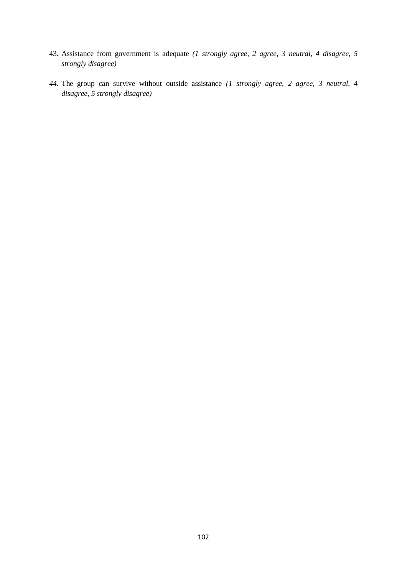- 43. Assistance from government is adequate *(1 strongly agree, 2 agree, 3 neutral, 4 disagree, 5 strongly disagree)*
- *44.* The group can survive without outside assistance *(1 strongly agree, 2 agree, 3 neutral, 4 disagree, 5 strongly disagree)*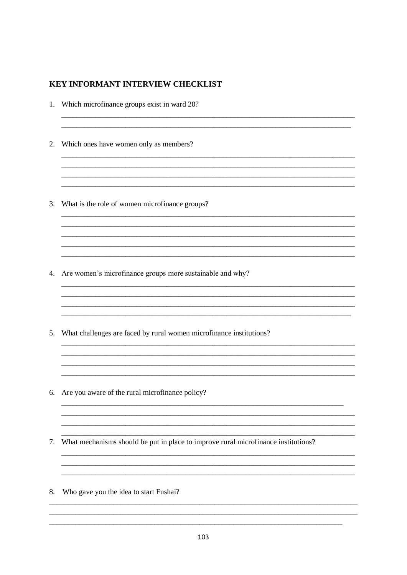## **KEY INFORMANT INTERVIEW CHECKLIST**

1. Which microfinance groups exist in ward 20? 2. Which ones have women only as members? <u> 1989 - Johann Stoff, amerikansk politiker (d. 1989)</u> 3. What is the role of women microfinance groups? 4. Are women's microfinance groups more sustainable and why? 5. What challenges are faced by rural women microfinance institutions? 6. Are you aware of the rural microfinance policy? 7. What mechanisms should be put in place to improve rural microfinance institutions? 8. Who gave you the idea to start Fushai?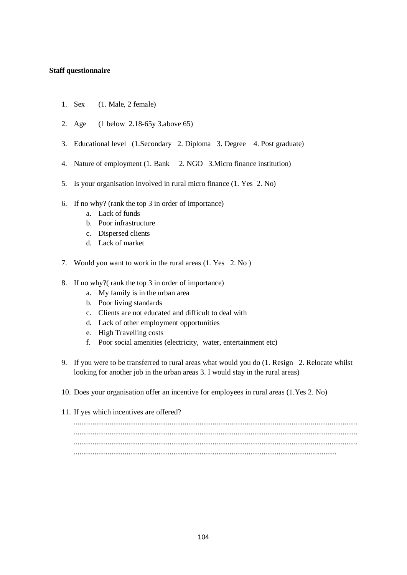## **Staff questionnaire**

- 1. Sex (1. Male, 2 female)
- 2. Age (1 below 2.18-65y 3.above 65)
- 3. Educational level (1.Secondary 2. Diploma 3. Degree 4. Post graduate)
- 4. Nature of employment (1. Bank 2. NGO 3.Micro finance institution)
- 5. Is your organisation involved in rural micro finance (1. Yes 2. No)
- 6. If no why? (rank the top 3 in order of importance)
	- a. Lack of funds
	- b. Poor infrastructure
	- c. Dispersed clients
	- d. Lack of market
- 7. Would you want to work in the rural areas (1. Yes 2. No )
- 8. If no why?( rank the top 3 in order of importance)
	- a. My family is in the urban area
	- b. Poor living standards
	- c. Clients are not educated and difficult to deal with
	- d. Lack of other employment opportunities
	- e. High Travelling costs
	- f. Poor social amenities (electricity, water, entertainment etc)
- 9. If you were to be transferred to rural areas what would you do (1. Resign 2. Relocate whilst looking for another job in the urban areas 3. I would stay in the rural areas)
- 10. Does your organisation offer an incentive for employees in rural areas (1.Yes 2. No)
- 11. If yes which incentives are offered?